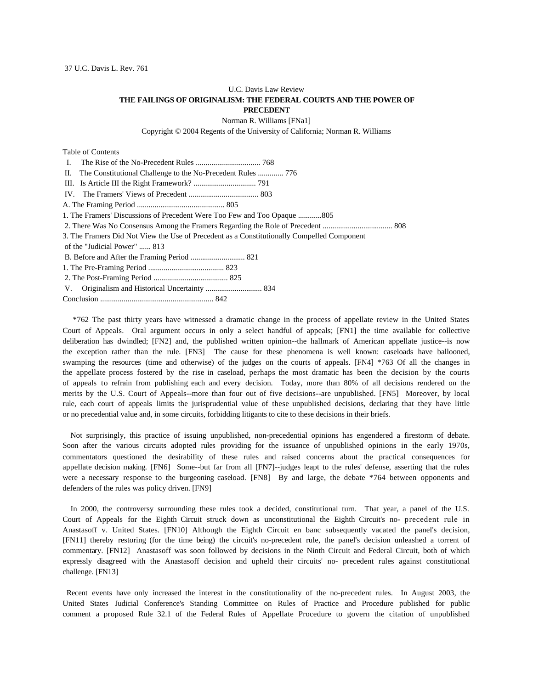# U.C. Davis Law Review **THE FAILINGS OF ORIGINALISM: THE FEDERAL COURTS AND THE POWER OF PRECEDENT**

Norman R. Williams [FNa1]

Copyright © 2004 Regents of the University of California; Norman R. Williams

Table of Contents

| L.                                                                                         |
|--------------------------------------------------------------------------------------------|
| II. The Constitutional Challenge to the No-Precedent Rules  776                            |
|                                                                                            |
|                                                                                            |
|                                                                                            |
| 1. The Framers' Discussions of Precedent Were Too Few and Too Opaque 805                   |
|                                                                                            |
| 3. The Framers Did Not View the Use of Precedent as a Constitutionally Compelled Component |
| of the "Judicial Power"  813                                                               |
|                                                                                            |
|                                                                                            |
|                                                                                            |
| V.                                                                                         |
|                                                                                            |

 \*762 The past thirty years have witnessed a dramatic change in the process of appellate review in the United States Court of Appeals. Oral argument occurs in only a select handful of appeals; [FN1] the time available for collective deliberation has dwindled; [FN2] and, the published written opinion--the hallmark of American appellate justice--is now the exception rather than the rule. [FN3] The cause for these phenomena is well known: caseloads have ballooned, swamping the resources (time and otherwise) of the judges on the courts of appeals. [FN4] \*763 Of all the changes in the appellate process fostered by the rise in caseload, perhaps the most dramatic has been the decision by the courts of appeals to refrain from publishing each and every decision. Today, more than 80% of all decisions rendered on the merits by the U.S. Court of Appeals--more than four out of five decisions--are unpublished. [FN5] Moreover, by local rule, each court of appeals limits the jurisprudential value of these unpublished decisions, declaring that they have little or no precedential value and, in some circuits, forbidding litigants to cite to these decisions in their briefs.

 Not surprisingly, this practice of issuing unpublished, non-precedential opinions has engendered a firestorm of debate. Soon after the various circuits adopted rules providing for the issuance of unpublished opinions in the early 1970s, commentators questioned the desirability of these rules and raised concerns about the practical consequences for appellate decision making. [FN6] Some--but far from all [FN7]--judges leapt to the rules' defense, asserting that the rules were a necessary response to the burgeoning caseload. [FN8] By and large, the debate \*764 between opponents and defenders of the rules was policy driven. [FN9]

In 2000, the controversy surrounding these rules took a decided, constitutional turn. That year, a panel of the U.S. Court of Appeals for the Eighth Circuit struck down as unconstitutional the Eighth Circuit's no- precedent rule in Anastasoff v. United States. [FN10] Although the Eighth Circuit en banc subsequently vacated the panel's decision, [FN11] thereby restoring (for the time being) the circuit's no-precedent rule, the panel's decision unleashed a torrent of commentary. [FN12] Anastasoff was soon followed by decisions in the Ninth Circuit and Federal Circuit, both of which expressly disagreed with the Anastasoff decision and upheld their circuits' no- precedent rules against constitutional challenge. [FN13]

Recent events have only increased the interest in the constitutionality of the no-precedent rules. In August 2003, the United States Judicial Conference's Standing Committee on Rules of Practice and Procedure published for public comment a proposed Rule 32.1 of the Federal Rules of Appellate Procedure to govern the citation of unpublished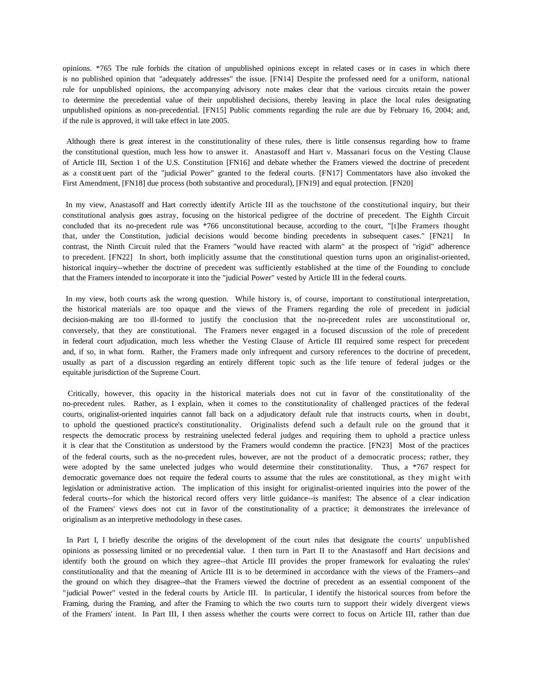opinions. \*765 The rule forbids the citation of unpublished opinions except in related cases or in cases in which there is no published opinion that "adequately addresses" the issue. [FN14] Despite the professed need for a uniform, national rule for unpublished opinions, the accompanying advisory note makes clear that the various circuits retain the power to determine the precedential value of their unpublished decisions, thereby leaving in place the local rules designating unpublished opinions as non-precedential. [FN15] Public comments regarding the rule are due by February 16, 2004; and, if the rule is approved, it will take effect in late 2005.

Although there is great interest in the constitutionality of these rules, there is little consensus regarding how to frame the constitutional question, much less how to answer it. Anastasoff and Hart v. Massanari focus on the Vesting Clause of Article III, Section 1 of the U.S. Constitution [FN16] and debate whether the Framers viewed the doctrine of precedent as a constit uent part of the "judicial Power" granted to the federal courts. [FN17] Commentators have also invoked the First Amendment, [FN18] due process (both substantive and procedural), [FN19] and equal protection. [FN20]

In my view, Anastasoff and Hart correctly identify Article III as the touchstone of the constitutional inquiry, but their constitutional analysis goes astray, focusing on the historical pedigree of the doctrine of precedent. The Eighth Circuit concluded that its no-precedent rule was \*766 unconstitutional because, according to the court, "[t]he Framers thought that, under the Constitution, judicial decisions would become binding precedents in subsequent cases." [FN21] In contrast, the Ninth Circuit ruled that the Framers "would have reacted with alarm" at the prospect of "rigid" adherence to precedent. [FN22] In short, both implicitly assume that the constitutional question turns upon an originalist-oriented, historical inquiry--whether the doctrine of precedent was sufficiently established at the time of the Founding to conclude that the Framers intended to incorporate it into the "judicial Power" vested by Article III in the federal courts.

In my view, both courts ask the wrong question. While history is, of course, important to constitutional interpretation, the historical materials are too opaque and the views of the Framers regarding the role of precedent in judicial decision-making are too ill-formed to justify the conclusion that the no-precedent rules are unconstitutional or, conversely, that they are constitutional. The Framers never engaged in a focused discussion of the role of precedent in federal court adjudication, much less whether the Vesting Clause of Article III required some respect for precedent and, if so, in what form. Rather, the Framers made only infrequent and cursory references to the doctrine of precedent, usually as part of a discussion regarding an entirely different topic such as the life tenure of federal judges or the equitable jurisdiction of the Supreme Court.

Critically, however, this opacity in the historical materials does not cut in favor of the constitutionality of the no-precedent rules. Rather, as I explain, when it comes to the constitutionality of challenged practices of the federal courts, originalist-oriented inquiries cannot fall back on a adjudicatory default rule that instructs courts, when in doubt, to uphold the questioned practice's constitutionality. Originalists defend such a default rule on the ground that it respects the democratic process by restraining unelected federal judges and requiring them to uphold a practice unless it is clear that the Constitution as understood by the Framers would condemn the practice. [FN23] Most of the practices of the federal courts, such as the no-precedent rules, however, are not the product of a democratic process; rather, they were adopted by the same unelected judges who would determine their constitutionality. Thus, a \*767 respect for democratic governance does not require the federal courts to assume that the rules are constitutional, as they might with legislation or administrative action. The implication of this insight for originalist-oriented inquiries into the power of the federal courts--for which the historical record offers very little guidance--is manifest: The absence of a clear indication of the Framers' views does not cut in favor of the constitutionality of a practice; it demonstrates the irrelevance of originalism as an interpretive methodology in these cases.

In Part I, I briefly describe the origins of the development of the court rules that designate the courts' unpublished opinions as possessing limited or no precedential value. I then turn in Part II to the Anastasoff and Hart decisions and identify both the ground on which they agree--that Article III provides the proper framework for evaluating the rules' constitutionality and that the meaning of Article III is to be determined in accordance with the views of the Framers--and the ground on which they disagree--that the Framers viewed the doctrine of precedent as an essential component of the "judicial Power" vested in the federal courts by Article III. In particular, I identify the historical sources from before the Framing, during the Framing, and after the Framing to which the two courts turn to support their widely divergent views of the Framers' intent. In Part III, I then assess whether the courts were correct to focus on Article III, rather than due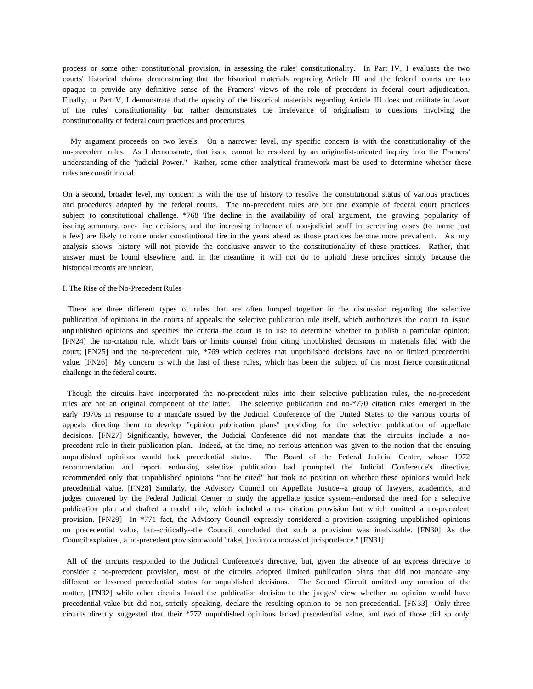process or some other constitutional provision, in assessing the rules' constitutionality. In Part IV, I evaluate the two courts' historical claims, demonstrating that the historical materials regarding Article III and the federal courts are too opaque to provide any definitive sense of the Framers' views of the role of precedent in federal court adjudication. Finally, in Part V, I demonstrate that the opacity of the historical materials regarding Article III does not militate in favor of the rules' constitutionality but rather demonstrates the irrelevance of originalism to questions involving the constitutionality of federal court practices and procedures.

 My argument proceeds on two levels. On a narrower level, my specific concern is with the constitutionality of the no-precedent rules. As I demonstrate, that issue cannot be resolved by an originalist-oriented inquiry into the Framers' understanding of the "judicial Power." Rather, some other analytical framework must be used to determine whether these rules are constitutional.

On a second, broader level, my concern is with the use of history to resolve the constitutional status of various practices and procedures adopted by the federal courts. The no-precedent rules are but one example of federal court practices subject to constitutional challenge. \*768 The decline in the availability of oral argument, the growing popularity of issuing summary, one- line decisions, and the increasing influence of non-judicial staff in screening cases (to name just a few) are likely to come under constitutional fire in the years ahead as those practices become more prevalent. As my analysis shows, history will not provide the conclusive answer to the constitutionality of these practices. Rather, that answer must be found elsewhere, and, in the meantime, it will not do to uphold these practices simply because the historical records are unclear.

### I. The Rise of the No-Precedent Rules

There are three different types of rules that are often lumped together in the discussion regarding the selective publication of opinions in the courts of appeals: the selective publication rule itself, which authorizes the court to issue unp ublished opinions and specifies the criteria the court is to use to determine whether to publish a particular opinion; [FN24] the no-citation rule, which bars or limits counsel from citing unpublished decisions in materials filed with the court; [FN25] and the no-precedent rule, \*769 which declares that unpublished decisions have no or limited precedential value. [FN26] My concern is with the last of these rules, which has been the subject of the most fierce constitutional challenge in the federal courts.

 Though the circuits have incorporated the no-precedent rules into their selective publication rules, the no-precedent rules are not an original component of the latter. The selective publication and no-\*770 citation rules emerged in the early 1970s in response to a mandate issued by the Judicial Conference of the United States to the various courts of appeals directing them to develop "opinion publication plans" providing for the selective publication of appellate decisions. [FN27] Significantly, however, the Judicial Conference did not mandate that the circuits include a noprecedent rule in their publication plan. Indeed, at the time, no serious attention was given to the notion that the ensuing unpublished opinions would lack precedential status. The Board of the Federal Judicial Center, whose 1972 recommendation and report endorsing selective publication had prompted the Judicial Conference's directive, recommended only that unpublished opinions "not be cited" but took no position on whether these opinions would lack precedential value. [FN28] Similarly, the Advisory Council on Appellate Justice--a group of lawyers, academics, and judges convened by the Federal Judicial Center to study the appellate justice system--endorsed the need for a selective publication plan and drafted a model rule, which included a no- citation provision but which omitted a no-precedent provision. [FN29] In \*771 fact, the Advisory Council expressly considered a provision assigning unpublished opinions no precedential value, but--critically--the Council concluded that such a provision was inadvisable. [FN30] As the Council explained, a no-precedent provision would "take[ ] us into a morass of jurisprudence." [FN31]

 All of the circuits responded to the Judicial Conference's directive, but, given the absence of an express directive to consider a no-precedent provision, most of the circuits adopted limited publication plans that did not mandate any different or lessened precedential status for unpublished decisions. The Second Circuit omitted any mention of the matter, [FN32] while other circuits linked the publication decision to the judges' view whether an opinion would have precedential value but did not, strictly speaking, declare the resulting opinion to be non-precedential. [FN33] Only three circuits directly suggested that their \*772 unpublished opinions lacked precedential value, and two of those did so only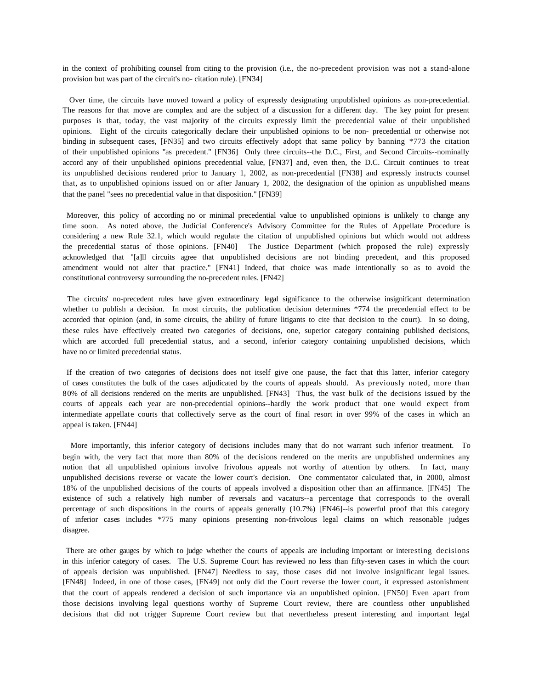in the context of prohibiting counsel from citing to the provision (i.e., the no-precedent provision was not a stand-alone provision but was part of the circuit's no- citation rule). [FN34]

 Over time, the circuits have moved toward a policy of expressly designating unpublished opinions as non-precedential. The reasons for that move are complex and are the subject of a discussion for a different day. The key point for present purposes is that, today, the vast majority of the circuits expressly limit the precedential value of their unpublished opinions. Eight of the circuits categorically declare their unpublished opinions to be non- precedential or otherwise not binding in subsequent cases, [FN35] and two circuits effectively adopt that same policy by banning \*773 the citation of their unpublished opinions "as precedent." [FN36] Only three circuits--the D.C., First, and Second Circuits--nominally accord any of their unpublished opinions precedential value, [FN37] and, even then, the D.C. Circuit continues to treat its unpublished decisions rendered prior to January 1, 2002, as non-precedential [FN38] and expressly instructs counsel that, as to unpublished opinions issued on or after January 1, 2002, the designation of the opinion as unpublished means that the panel "sees no precedential value in that disposition." [FN39]

Moreover, this policy of according no or minimal precedential value to unpublished opinions is unlikely to change any time soon. As noted above, the Judicial Conference's Advisory Committee for the Rules of Appellate Procedure is considering a new Rule 32.1, which would regulate the citation of unpublished opinions but which would not address the precedential status of those opinions. [FN40] The Justice Department (which proposed the rule) expressly acknowledged that "[a]ll circuits agree that unpublished decisions are not binding precedent, and this proposed amendment would not alter that practice." [FN41] Indeed, that choice was made intentionally so as to avoid the constitutional controversy surrounding the no-precedent rules. [FN42]

The circuits' no-precedent rules have given extraordinary legal significance to the otherwise insignificant determination whether to publish a decision. In most circuits, the publication decision determines \*774 the precedential effect to be accorded that opinion (and, in some circuits, the ability of future litigants to cite that decision to the court). In so doing, these rules have effectively created two categories of decisions, one, superior category containing published decisions, which are accorded full precedential status, and a second, inferior category containing unpublished decisions, which have no or limited precedential status.

If the creation of two categories of decisions does not itself give one pause, the fact that this latter, inferior category of cases constitutes the bulk of the cases adjudicated by the courts of appeals should. As previously noted, more than 80% of all decisions rendered on the merits are unpublished. [FN43] Thus, the vast bulk of the decisions issued by the courts of appeals each year are non-precedential opinions--hardly the work product that one would expect from intermediate appellate courts that collectively serve as the court of final resort in over 99% of the cases in which an appeal is taken. [FN44]

 More importantly, this inferior category of decisions includes many that do not warrant such inferior treatment. To begin with, the very fact that more than 80% of the decisions rendered on the merits are unpublished undermines any notion that all unpublished opinions involve frivolous appeals not worthy of attention by others. In fact, many unpublished decisions reverse or vacate the lower court's decision. One commentator calculated that, in 2000, almost 18% of the unpublished decisions of the courts of appeals involved a disposition other than an affirmance. [FN45] The existence of such a relatively high number of reversals and vacaturs--a percentage that corresponds to the overall percentage of such dispositions in the courts of appeals generally (10.7%) [FN46]--is powerful proof that this category of inferior cases includes \*775 many opinions presenting non-frivolous legal claims on which reasonable judges disagree.

There are other gauges by which to judge whether the courts of appeals are including important or interesting decisions in this inferior category of cases. The U.S. Supreme Court has reviewed no less than fifty-seven cases in which the court of appeals decision was unpublished. [FN47] Needless to say, those cases did not involve insignificant legal issues. [FN48] Indeed, in one of those cases, [FN49] not only did the Court reverse the lower court, it expressed astonishment that the court of appeals rendered a decision of such importance via an unpublished opinion. [FN50] Even apart from those decisions involving legal questions worthy of Supreme Court review, there are countless other unpublished decisions that did not trigger Supreme Court review but that nevertheless present interesting and important legal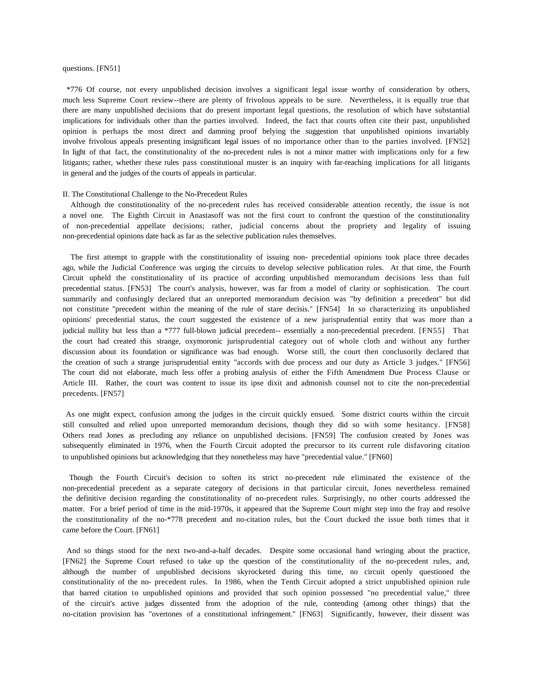### questions. [FN51]

\*776 Of course, not every unpublished decision involves a significant legal issue worthy of consideration by others, much less Supreme Court review--there are plenty of frivolous appeals to be sure. Nevertheless, it is equally true that there are many unpublished decisions that do present important legal questions, the resolution of which have substantial implications for individuals other than the parties involved. Indeed, the fact that courts often cite their past, unpublished opinion is perhaps the most direct and damning proof belying the suggestion that unpublished opinions invariably involve frivolous appeals presenting insignificant legal issues of no importance other than to the parties involved. [FN52] In light of that fact, the constitutionality of the no-precedent rules is not a minor matter with implications only for a few litigants; rather, whether these rules pass constitutional muster is an inquiry with far-reaching implications for all litigants in general and the judges of the courts of appeals in particular.

### II. The Constitutional Challenge to the No-Precedent Rules

 Although the constitutionality of the no-precedent rules has received considerable attention recently, the issue is not a novel one. The Eighth Circuit in Anastasoff was not the first court to confront the question of the constitutionality of non-precedential appellate decisions; rather, judicial concerns about the propriety and legality of issuing non-precedential opinions date back as far as the selective publication rules themselves.

 The first attempt to grapple with the constitutionality of issuing non- precedential opinions took place three decades ago, while the Judicial Conference was urging the circuits to develop selective publication rules. At that time, the Fourth Circuit upheld the constitutionality of its practice of according unpublished memorandum decisions less than full precedential status. [FN53] The court's analysis, however, was far from a model of clarity or sophistication. The court summarily and confusingly declared that an unreported memorandum decision was "by definition a precedent" but did not constitute "precedent within the meaning of the rule of stare decisis." [FN54] In so characterizing its unpublished opinions' precedential status, the court suggested the existence of a new jurisprudential entity that was more than a judicial nullity but less than a \*777 full-blown judicial precedent-- essentially a non-precedential precedent. [FN55] That the court had created this strange, oxymoronic jurisprudential category out of whole cloth and without any further discussion about its foundation or significance was bad enough. Worse still, the court then conclusorily declared that the creation of such a strange jurisprudential entity "accords with due process and our duty as Article 3 judges." [FN56] The court did not elaborate, much less offer a probing analysis of either the Fifth Amendment Due Process Clause or Article III. Rather, the court was content to issue its ipse dixit and admonish counsel not to cite the non-precedential precedents. [FN57]

As one might expect, confusion among the judges in the circuit quickly ensued. Some district courts within the circuit still consulted and relied upon unreported memorandum decisions, though they did so with some hesitancy. [FN58] Others read Jones as precluding any reliance on unpublished decisions. [FN59] The confusion created by Jones was subsequently eliminated in 1976, when the Fourth Circuit adopted the precursor to its current rule disfavoring citation to unpublished opinions but acknowledging that they nonetheless may have "precedential value." [FN60]

Though the Fourth Circuit's decision to soften its strict no-precedent rule eliminated the existence of the non-precedential precedent as a separate category of decisions in that particular circuit, Jones nevertheless remained the definitive decision regarding the constitutionality of no-precedent rules. Surprisingly, no other courts addressed the matter. For a brief period of time in the mid-1970s, it appeared that the Supreme Court might step into the fray and resolve the constitutionality of the no-\*778 precedent and no-citation rules, but the Court ducked the issue both times that it came before the Court. [FN61]

And so things stood for the next two-and-a-half decades. Despite some occasional hand wringing about the practice, [FN62] the Supreme Court refused to take up the question of the constitutionality of the no-precedent rules, and, although the number of unpublished decisions skyrocketed during this time, no circuit openly questioned the constitutionality of the no- precedent rules. In 1986, when the Tenth Circuit adopted a strict unpublished opinion rule that barred citation to unpublished opinions and provided that such opinion possessed "no precedential value," three of the circuit's active judges dissented from the adoption of the rule, contending (among other things) that the no-citation provision has "overtones of a constitutional infringement." [FN63] Significantly, however, their dissent was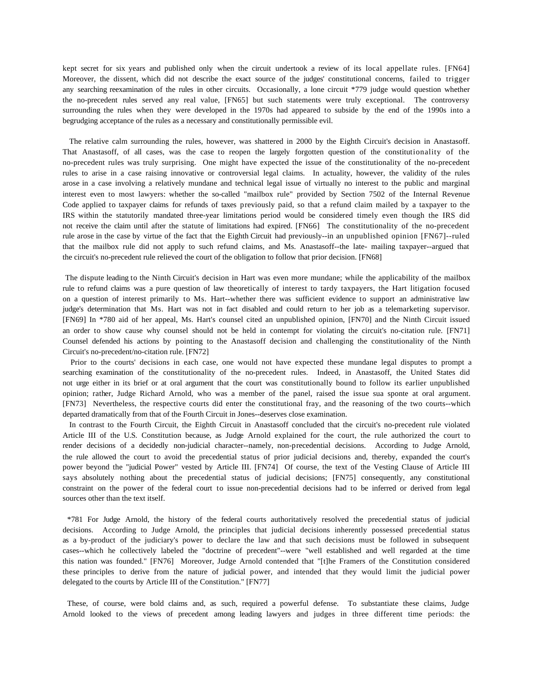kept secret for six years and published only when the circuit undertook a review of its local appellate rules. [FN64] Moreover, the dissent, which did not describe the exact source of the judges' constitutional concerns, failed to trigger any searching reexamination of the rules in other circuits. Occasionally, a lone circuit \*779 judge would question whether the no-precedent rules served any real value, [FN65] but such statements were truly exceptional. The controversy surrounding the rules when they were developed in the 1970s had appeared to subside by the end of the 1990s into a begrudging acceptance of the rules as a necessary and constitutionally permissible evil.

 The relative calm surrounding the rules, however, was shattered in 2000 by the Eighth Circuit's decision in Anastasoff. That Anastasoff, of all cases, was the case to reopen the largely forgotten question of the constitutionality of the no-precedent rules was truly surprising. One might have expected the issue of the constitutionality of the no-precedent rules to arise in a case raising innovative or controversial legal claims. In actuality, however, the validity of the rules arose in a case involving a relatively mundane and technical legal issue of virtually no interest to the public and marginal interest even to most lawyers: whether the so-called "mailbox rule" provided by Section 7502 of the Internal Revenue Code applied to taxpayer claims for refunds of taxes previously paid, so that a refund claim mailed by a taxpayer to the IRS within the statutorily mandated three-year limitations period would be considered timely even though the IRS did not receive the claim until after the statute of limitations had expired. [FN66] The constitutionality of the no-precedent rule arose in the case by virtue of the fact that the Eighth Circuit had previously--in an unpublished opinion [FN67]--ruled that the mailbox rule did not apply to such refund claims, and Ms. Anastasoff--the late- mailing taxpayer--argued that the circuit's no-precedent rule relieved the court of the obligation to follow that prior decision. [FN68]

The dispute leading to the Ninth Circuit's decision in Hart was even more mundane; while the applicability of the mailbox rule to refund claims was a pure question of law theoretically of interest to tardy taxpayers, the Hart litigation focused on a question of interest primarily to Ms. Hart--whether there was sufficient evidence to support an administrative law judge's determination that Ms. Hart was not in fact disabled and could return to her job as a telemarketing supervisor. [FN69] In \*780 aid of her appeal, Ms. Hart's counsel cited an unpublished opinion, [FN70] and the Ninth Circuit issued an order to show cause why counsel should not be held in contempt for violating the circuit's no-citation rule. [FN71] Counsel defended his actions by pointing to the Anastasoff decision and challenging the constitutionality of the Ninth Circuit's no-precedent/no-citation rule. [FN72]

 Prior to the courts' decisions in each case, one would not have expected these mundane legal disputes to prompt a searching examination of the constitutionality of the no-precedent rules. Indeed, in Anastasoff, the United States did not urge either in its brief or at oral argument that the court was constitutionally bound to follow its earlier unpublished opinion; rather, Judge Richard Arnold, who was a member of the panel, raised the issue sua sponte at oral argument. [FN73] Nevertheless, the respective courts did enter the constitutional fray, and the reasoning of the two courts--which departed dramatically from that of the Fourth Circuit in Jones--deserves close examination.

 In contrast to the Fourth Circuit, the Eighth Circuit in Anastasoff concluded that the circuit's no-precedent rule violated Article III of the U.S. Constitution because, as Judge Arnold explained for the court, the rule authorized the court to render decisions of a decidedly non-judicial character--namely, non-precedential decisions. According to Judge Arnold, the rule allowed the court to avoid the precedential status of prior judicial decisions and, thereby, expanded the court's power beyond the "judicial Power" vested by Article III. [FN74] Of course, the text of the Vesting Clause of Article III says absolutely nothing about the precedential status of judicial decisions; [FN75] consequently, any constitutional constraint on the power of the federal court to issue non-precedential decisions had to be inferred or derived from legal sources other than the text itself.

\*781 For Judge Arnold, the history of the federal courts authoritatively resolved the precedential status of judicial decisions. According to Judge Arnold, the principles that judicial decisions inherently possessed precedential status as a by-product of the judiciary's power to declare the law and that such decisions must be followed in subsequent cases--which he collectively labeled the "doctrine of precedent"--were "well established and well regarded at the time this nation was founded." [FN76] Moreover, Judge Arnold contended that "[t]he Framers of the Constitution considered these principles to derive from the nature of judicial power, and intended that they would limit the judicial power delegated to the courts by Article III of the Constitution." [FN77]

These, of course, were bold claims and, as such, required a powerful defense. To substantiate these claims, Judge Arnold looked to the views of precedent among leading lawyers and judges in three different time periods: the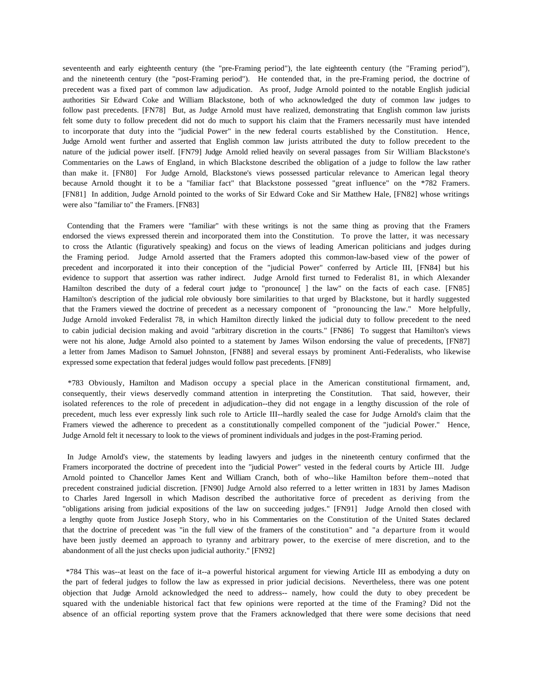seventeenth and early eighteenth century (the "pre-Framing period"), the late eighteenth century (the "Framing period"), and the nineteenth century (the "post-Framing period"). He contended that, in the pre-Framing period, the doctrine of precedent was a fixed part of common law adjudication. As proof, Judge Arnold pointed to the notable English judicial authorities Sir Edward Coke and William Blackstone, both of who acknowledged the duty of common law judges to follow past precedents. [FN78] But, as Judge Arnold must have realized, demonstrating that English common law jurists felt some duty to follow precedent did not do much to support his claim that the Framers necessarily must have intended to incorporate that duty into the "judicial Power" in the new federal courts established by the Constitution. Hence, Judge Arnold went further and asserted that English common law jurists attributed the duty to follow precedent to the nature of the judicial power itself. [FN79] Judge Arnold relied heavily on several passages from Sir William Blackstone's Commentaries on the Laws of England, in which Blackstone described the obligation of a judge to follow the law rather than make it. [FN80] For Judge Arnold, Blackstone's views possessed particular relevance to American legal theory because Arnold thought it to be a "familiar fact" that Blackstone possessed "great influence" on the \*782 Framers. [FN81] In addition, Judge Arnold pointed to the works of Sir Edward Coke and Sir Matthew Hale, [FN82] whose writings were also "familiar to" the Framers. [FN83]

Contending that the Framers were "familiar" with these writings is not the same thing as proving that the Framers endorsed the views expressed therein and incorporated them into the Constitution. To prove the latter, it was necessary to cross the Atlantic (figuratively speaking) and focus on the views of leading American politicians and judges during the Framing period. Judge Arnold asserted that the Framers adopted this common-law-based view of the power of precedent and incorporated it into their conception of the "judicial Power" conferred by Article III, [FN84] but his evidence to support that assertion was rather indirect. Judge Arnold first turned to Federalist 81, in which Alexander Hamilton described the duty of a federal court judge to "pronounce<sup>[]</sup> the law" on the facts of each case. [FN85] Hamilton's description of the judicial role obviously bore similarities to that urged by Blackstone, but it hardly suggested that the Framers viewed the doctrine of precedent as a necessary component of "pronouncing the law." More helpfully, Judge Arnold invoked Federalist 78, in which Hamilton directly linked the judicial duty to follow precedent to the need to cabin judicial decision making and avoid "arbitrary discretion in the courts." [FN86] To suggest that Hamilton's views were not his alone, Judge Arnold also pointed to a statement by James Wilson endorsing the value of precedents, [FN87] a letter from James Madison to Samuel Johnston, [FN88] and several essays by prominent Anti-Federalists, who likewise expressed some expectation that federal judges would follow past precedents. [FN89]

\*783 Obviously, Hamilton and Madison occupy a special place in the American constitutional firmament, and, consequently, their views deservedly command attention in interpreting the Constitution. That said, however, their isolated references to the role of precedent in adjudication--they did not engage in a lengthy discussion of the role of precedent, much less ever expressly link such role to Article III--hardly sealed the case for Judge Arnold's claim that the Framers viewed the adherence to precedent as a constitutionally compelled component of the "judicial Power." Hence, Judge Arnold felt it necessary to look to the views of prominent individuals and judges in the post-Framing period.

In Judge Arnold's view, the statements by leading lawyers and judges in the nineteenth century confirmed that the Framers incorporated the doctrine of precedent into the "judicial Power" vested in the federal courts by Article III. Judge Arnold pointed to Chancellor James Kent and William Cranch, both of who--like Hamilton before them--noted that precedent constrained judicial discretion. [FN90] Judge Arnold also referred to a letter written in 1831 by James Madison to Charles Jared Ingersoll in which Madison described the authoritative force of precedent as deriving from the "obligations arising from judicial expositions of the law on succeeding judges." [FN91] Judge Arnold then closed with a lengthy quote from Justice Joseph Story, who in his Commentaries on the Constitution of the United States declared that the doctrine of precedent was "in the full view of the framers of the constitution" and "a departure from it would have been justly deemed an approach to tyranny and arbitrary power, to the exercise of mere discretion, and to the abandonment of all the just checks upon judicial authority." [FN92]

\*784 This was--at least on the face of it--a powerful historical argument for viewing Article III as embodying a duty on the part of federal judges to follow the law as expressed in prior judicial decisions. Nevertheless, there was one potent objection that Judge Arnold acknowledged the need to address-- namely, how could the duty to obey precedent be squared with the undeniable historical fact that few opinions were reported at the time of the Framing? Did not the absence of an official reporting system prove that the Framers acknowledged that there were some decisions that need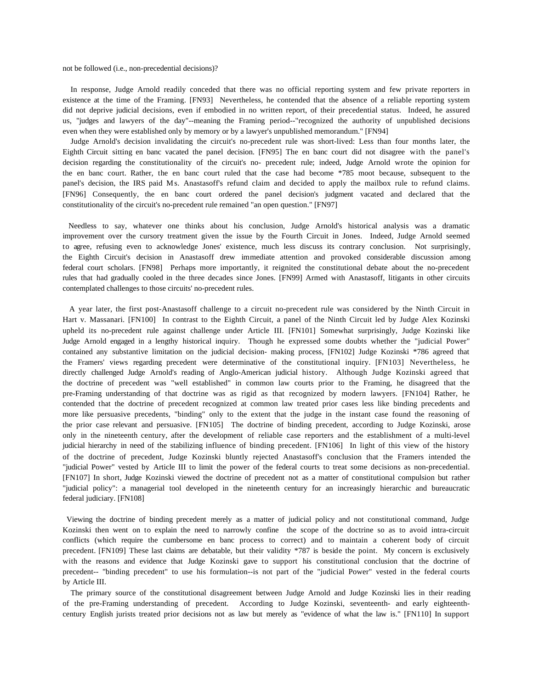not be followed (i.e., non-precedential decisions)?

 In response, Judge Arnold readily conceded that there was no official reporting system and few private reporters in existence at the time of the Framing. [FN93] Nevertheless, he contended that the absence of a reliable reporting system did not deprive judicial decisions, even if embodied in no written report, of their precedential status. Indeed, he assured us, "judges and lawyers of the day"--meaning the Framing period--"recognized the authority of unpublished decisions even when they were established only by memory or by a lawyer's unpublished memorandum." [FN94]

 Judge Arnold's decision invalidating the circuit's no-precedent rule was short-lived: Less than four months later, the Eighth Circuit sitting en banc vacated the panel decision. [FN95] The en banc court did not disagree with the panel's decision regarding the constitutionality of the circuit's no- precedent rule; indeed, Judge Arnold wrote the opinion for the en banc court. Rather, the en banc court ruled that the case had become \*785 moot because, subsequent to the panel's decision, the IRS paid Ms. Anastasoff's refund claim and decided to apply the mailbox rule to refund claims. [FN96] Consequently, the en banc court ordered the panel decision's judgment vacated and declared that the constitutionality of the circuit's no-precedent rule remained "an open question." [FN97]

Needless to say, whatever one thinks about his conclusion, Judge Arnold's historical analysis was a dramatic improvement over the cursory treatment given the issue by the Fourth Circuit in Jones. Indeed, Judge Arnold seemed to agree, refusing even to acknowledge Jones' existence, much less discuss its contrary conclusion. Not surprisingly, the Eighth Circuit's decision in Anastasoff drew immediate attention and provoked considerable discussion among federal court scholars. [FN98] Perhaps more importantly, it reignited the constitutional debate about the no-precedent rules that had gradually cooled in the three decades since Jones. [FN99] Armed with Anastasoff, litigants in other circuits contemplated challenges to those circuits' no-precedent rules.

 A year later, the first post-Anastasoff challenge to a circuit no-precedent rule was considered by the Ninth Circuit in Hart v. Massanari. [FN100] In contrast to the Eighth Circuit, a panel of the Ninth Circuit led by Judge Alex Kozinski upheld its no-precedent rule against challenge under Article III. [FN101] Somewhat surprisingly, Judge Kozinski like Judge Arnold engaged in a lengthy historical inquiry. Though he expressed some doubts whether the "judicial Power" contained any substantive limitation on the judicial decision- making process, [FN102] Judge Kozinski \*786 agreed that the Framers' views regarding precedent were determinative of the constitutional inquiry. [FN103] Nevertheless, he directly challenged Judge Arnold's reading of Anglo-American judicial history. Although Judge Kozinski agreed that the doctrine of precedent was "well established" in common law courts prior to the Framing, he disagreed that the pre-Framing understanding of that doctrine was as rigid as that recognized by modern lawyers. [FN104] Rather, he contended that the doctrine of precedent recognized at common law treated prior cases less like binding precedents and more like persuasive precedents, "binding" only to the extent that the judge in the instant case found the reasoning of the prior case relevant and persuasive. [FN105] The doctrine of binding precedent, according to Judge Kozinski, arose only in the nineteenth century, after the development of reliable case reporters and the establishment of a multi-level judicial hierarchy in need of the stabilizing influence of binding precedent. [FN106] In light of this view of the history of the doctrine of precedent, Judge Kozinski bluntly rejected Anastasoff's conclusion that the Framers intended the "judicial Power" vested by Article III to limit the power of the federal courts to treat some decisions as non-precedential. [FN107] In short, Judge Kozinski viewed the doctrine of precedent not as a matter of constitutional compulsion but rather "judicial policy": a managerial tool developed in the nineteenth century for an increasingly hierarchic and bureaucratic federal judiciary. [FN108]

Viewing the doctrine of binding precedent merely as a matter of judicial policy and not constitutional command, Judge Kozinski then went on to explain the need to narrowly confine the scope of the doctrine so as to avoid intra-circuit conflicts (which require the cumbersome en banc process to correct) and to maintain a coherent body of circuit precedent. [FN109] These last claims are debatable, but their validity \*787 is beside the point. My concern is exclusively with the reasons and evidence that Judge Kozinski gave to support his constitutional conclusion that the doctrine of precedent-- "binding precedent" to use his formulation--is not part of the "judicial Power" vested in the federal courts by Article III.

 The primary source of the constitutional disagreement between Judge Arnold and Judge Kozinski lies in their reading of the pre-Framing understanding of precedent. According to Judge Kozinski, seventeenth- and early eighteenthcentury English jurists treated prior decisions not as law but merely as "evidence of what the law is." [FN110] In support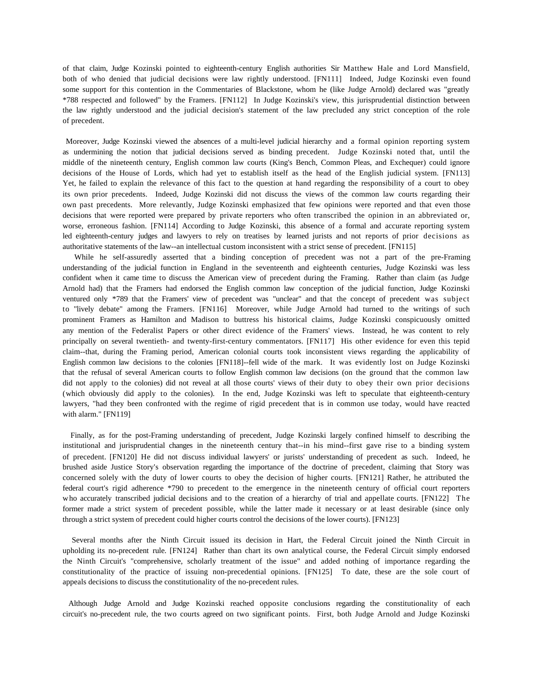of that claim, Judge Kozinski pointed to eighteenth-century English authorities Sir Matthew Hale and Lord Mansfield, both of who denied that judicial decisions were law rightly understood. [FN111] Indeed, Judge Kozinski even found some support for this contention in the Commentaries of Blackstone, whom he (like Judge Arnold) declared was "greatly \*788 respected and followed" by the Framers. [FN112] In Judge Kozinski's view, this jurisprudential distinction between the law rightly understood and the judicial decision's statement of the law precluded any strict conception of the role of precedent.

Moreover, Judge Kozinski viewed the absences of a multi-level judicial hierarchy and a formal opinion reporting system as undermining the notion that judicial decisions served as binding precedent. Judge Kozinski noted that, until the middle of the nineteenth century, English common law courts (King's Bench, Common Pleas, and Exchequer) could ignore decisions of the House of Lords, which had yet to establish itself as the head of the English judicial system. [FN113] Yet, he failed to explain the relevance of this fact to the question at hand regarding the responsibility of a court to obey its own prior precedents. Indeed, Judge Kozinski did not discuss the views of the common law courts regarding their own past precedents. More relevantly, Judge Kozinski emphasized that few opinions were reported and that even those decisions that were reported were prepared by private reporters who often transcribed the opinion in an abbreviated or, worse, erroneous fashion. [FN114] According to Judge Kozinski, this absence of a formal and accurate reporting system led eighteenth-century judges and lawyers to rely on treatises by learned jurists and not reports of prior decisions as authoritative statements of the law--an intellectual custom inconsistent with a strict sense of precedent. [FN115]

 While he self-assuredly asserted that a binding conception of precedent was not a part of the pre-Framing understanding of the judicial function in England in the seventeenth and eighteenth centuries, Judge Kozinski was less confident when it came time to discuss the American view of precedent during the Framing. Rather than claim (as Judge Arnold had) that the Framers had endorsed the English common law conception of the judicial function, Judge Kozinski ventured only \*789 that the Framers' view of precedent was "unclear" and that the concept of precedent was subject to "lively debate" among the Framers. [FN116] Moreover, while Judge Arnold had turned to the writings of such prominent Framers as Hamilton and Madison to buttress his historical claims, Judge Kozinski conspicuously omitted any mention of the Federalist Papers or other direct evidence of the Framers' views. Instead, he was content to rely principally on several twentieth- and twenty-first-century commentators. [FN117] His other evidence for even this tepid claim--that, during the Framing period, American colonial courts took inconsistent views regarding the applicability of English common law decisions to the colonies [FN118]--fell wide of the mark. It was evidently lost on Judge Kozinski that the refusal of several American courts to follow English common law decisions (on the ground that the common law did not apply to the colonies) did not reveal at all those courts' views of their duty to obey their own prior decisions (which obviously did apply to the colonies). In the end, Judge Kozinski was left to speculate that eighteenth-century lawyers, "had they been confronted with the regime of rigid precedent that is in common use today, would have reacted with alarm." [FN119]

 Finally, as for the post-Framing understanding of precedent, Judge Kozinski largely confined himself to describing the institutional and jurisprudential changes in the nineteenth century that--in his mind--first gave rise to a binding system of precedent. [FN120] He did not discuss individual lawyers' or jurists' understanding of precedent as such. Indeed, he brushed aside Justice Story's observation regarding the importance of the doctrine of precedent, claiming that Story was concerned solely with the duty of lower courts to obey the decision of higher courts. [FN121] Rather, he attributed the federal court's rigid adherence \*790 to precedent to the emergence in the nineteenth century of official court reporters who accurately transcribed judicial decisions and to the creation of a hierarchy of trial and appellate courts. [FN122] The former made a strict system of precedent possible, while the latter made it necessary or at least desirable (since only through a strict system of precedent could higher courts control the decisions of the lower courts). [FN123]

 Several months after the Ninth Circuit issued its decision in Hart, the Federal Circuit joined the Ninth Circuit in upholding its no-precedent rule. [FN124] Rather than chart its own analytical course, the Federal Circuit simply endorsed the Ninth Circuit's "comprehensive, scholarly treatment of the issue" and added nothing of importance regarding the constitutionality of the practice of issuing non-precedential opinions. [FN125] To date, these are the sole court of appeals decisions to discuss the constitutionality of the no-precedent rules.

Although Judge Arnold and Judge Kozinski reached opposite conclusions regarding the constitutionality of each circuit's no-precedent rule, the two courts agreed on two significant points. First, both Judge Arnold and Judge Kozinski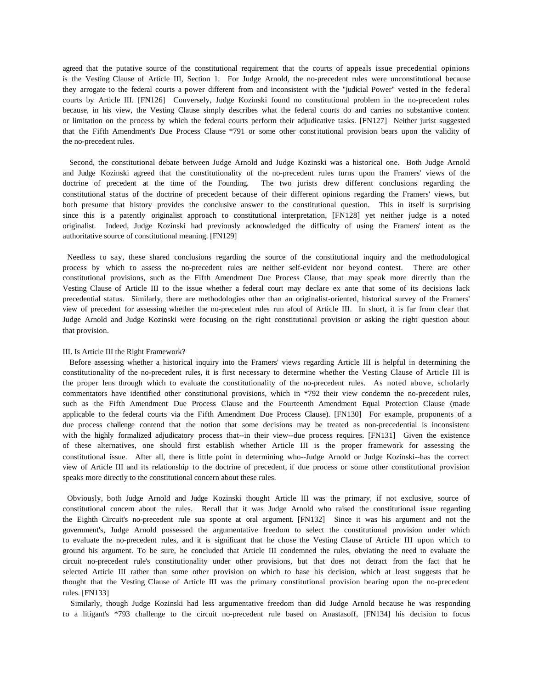agreed that the putative source of the constitutional requirement that the courts of appeals issue precedential opinions is the Vesting Clause of Article III, Section 1. For Judge Arnold, the no-precedent rules were unconstitutional because they arrogate to the federal courts a power different from and inconsistent with the "judicial Power" vested in the federal courts by Article III. [FN126] Conversely, Judge Kozinski found no constitutional problem in the no-precedent rules because, in his view, the Vesting Clause simply describes what the federal courts do and carries no substantive content or limitation on the process by which the federal courts perform their adjudicative tasks. [FN127] Neither jurist suggested that the Fifth Amendment's Due Process Clause \*791 or some other constitutional provision bears upon the validity of the no-precedent rules.

 Second, the constitutional debate between Judge Arnold and Judge Kozinski was a historical one. Both Judge Arnold and Judge Kozinski agreed that the constitutionality of the no-precedent rules turns upon the Framers' views of the doctrine of precedent at the time of the Founding. The two jurists drew different conclusions regarding the constitutional status of the doctrine of precedent because of their different opinions regarding the Framers' views, but both presume that history provides the conclusive answer to the constitutional question. This in itself is surprising since this is a patently originalist approach to constitutional interpretation, [FN128] yet neither judge is a noted originalist. Indeed, Judge Kozinski had previously acknowledged the difficulty of using the Framers' intent as the authoritative source of constitutional meaning. [FN129]

Needless to say, these shared conclusions regarding the source of the constitutional inquiry and the methodological process by which to assess the no-precedent rules are neither self-evident nor beyond contest. There are other constitutional provisions, such as the Fifth Amendment Due Process Clause, that may speak more directly than the Vesting Clause of Article III to the issue whether a federal court may declare ex ante that some of its decisions lack precedential status. Similarly, there are methodologies other than an originalist-oriented, historical survey of the Framers' view of precedent for assessing whether the no-precedent rules run afoul of Article III. In short, it is far from clear that Judge Arnold and Judge Kozinski were focusing on the right constitutional provision or asking the right question about that provision.

#### III. Is Article III the Right Framework?

 Before assessing whether a historical inquiry into the Framers' views regarding Article III is helpful in determining the constitutionality of the no-precedent rules, it is first necessary to determine whether the Vesting Clause of Article III is the proper lens through which to evaluate the constitutionality of the no-precedent rules. As noted above, scholarly commentators have identified other constitutional provisions, which in \*792 their view condemn the no-precedent rules, such as the Fifth Amendment Due Process Clause and the Fourteenth Amendment Equal Protection Clause (made applicable to the federal courts via the Fifth Amendment Due Process Clause). [FN130] For example, proponents of a due process challenge contend that the notion that some decisions may be treated as non-precedential is inconsistent with the highly formalized adjudicatory process that--in their view--due process requires. [FN131] Given the existence of these alternatives, one should first establish whether Article III is the proper framework for assessing the constitutional issue. After all, there is little point in determining who--Judge Arnold or Judge Kozinski--has the correct view of Article III and its relationship to the doctrine of precedent, if due process or some other constitutional provision speaks more directly to the constitutional concern about these rules.

Obviously, both Judge Arnold and Judge Kozinski thought Article III was the primary, if not exclusive, source of constitutional concern about the rules. Recall that it was Judge Arnold who raised the constitutional issue regarding the Eighth Circuit's no-precedent rule sua sponte at oral argument. [FN132] Since it was his argument and not the government's, Judge Arnold possessed the argumentative freedom to select the constitutional provision under which to evaluate the no-precedent rules, and it is significant that he chose the Vesting Clause of Article III upon which to ground his argument. To be sure, he concluded that Article III condemned the rules, obviating the need to evaluate the circuit no-precedent rule's constitutionality under other provisions, but that does not detract from the fact that he selected Article III rather than some other provision on which to base his decision, which at least suggests that he thought that the Vesting Clause of Article III was the primary constitutional provision bearing upon the no-precedent rules. [FN133]

 Similarly, though Judge Kozinski had less argumentative freedom than did Judge Arnold because he was responding to a litigant's \*793 challenge to the circuit no-precedent rule based on Anastasoff, [FN134] his decision to focus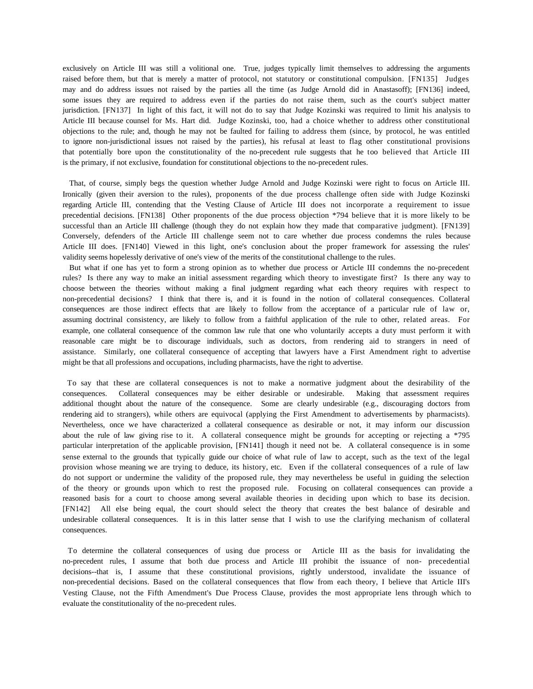exclusively on Article III was still a volitional one. True, judges typically limit themselves to addressing the arguments raised before them, but that is merely a matter of protocol, not statutory or constitutional compulsion. [FN135] Judges may and do address issues not raised by the parties all the time (as Judge Arnold did in Anastasoff); [FN136] indeed, some issues they are required to address even if the parties do not raise them, such as the court's subject matter jurisdiction. [FN137] In light of this fact, it will not do to say that Judge Kozinski was required to limit his analysis to Article III because counsel for Ms. Hart did. Judge Kozinski, too, had a choice whether to address other constitutional objections to the rule; and, though he may not be faulted for failing to address them (since, by protocol, he was entitled to ignore non-jurisdictional issues not raised by the parties), his refusal at least to flag other constitutional provisions that potentially bore upon the constitutionality of the no-precedent rule suggests that he too believed that Article III is the primary, if not exclusive, foundation for constitutional objections to the no-precedent rules.

 That, of course, simply begs the question whether Judge Arnold and Judge Kozinski were right to focus on Article III. Ironically (given their aversion to the rules), proponents of the due process challenge often side with Judge Kozinski regarding Article III, contending that the Vesting Clause of Article III does not incorporate a requirement to issue precedential decisions. [FN138] Other proponents of the due process objection \*794 believe that it is more likely to be successful than an Article III challenge (though they do not explain how they made that comparative judgment). [FN139] Conversely, defenders of the Article III challenge seem not to care whether due process condemns the rules because Article III does. [FN140] Viewed in this light, one's conclusion about the proper framework for assessing the rules' validity seems hopelessly derivative of one's view of the merits of the constitutional challenge to the rules.

 But what if one has yet to form a strong opinion as to whether due process or Article III condemns the no-precedent rules? Is there any way to make an initial assessment regarding which theory to investigate first? Is there any way to choose between the theories without making a final judgment regarding what each theory requires with respect to non-precedential decisions? I think that there is, and it is found in the notion of collateral consequences. Collateral consequences are those indirect effects that are likely to follow from the acceptance of a particular rule of law or, assuming doctrinal consistency, are likely to follow from a faithful application of the rule to other, related areas. For example, one collateral consequence of the common law rule that one who voluntarily accepts a duty must perform it with reasonable care might be to discourage individuals, such as doctors, from rendering aid to strangers in need of assistance. Similarly, one collateral consequence of accepting that lawyers have a First Amendment right to advertise might be that all professions and occupations, including pharmacists, have the right to advertise.

To say that these are collateral consequences is not to make a normative judgment about the desirability of the consequences. Collateral consequences may be either desirable or undesirable. Making that assessment requires additional thought about the nature of the consequence. Some are clearly undesirable (e.g., discouraging doctors from rendering aid to strangers), while others are equivocal (applying the First Amendment to advertisements by pharmacists). Nevertheless, once we have characterized a collateral consequence as desirable or not, it may inform our discussion about the rule of law giving rise to it. A collateral consequence might be grounds for accepting or rejecting a \*795 particular interpretation of the applicable provision, [FN141] though it need not be. A collateral consequence is in some sense external to the grounds that typically guide our choice of what rule of law to accept, such as the text of the legal provision whose meaning we are trying to deduce, its history, etc. Even if the collateral consequences of a rule of law do not support or undermine the validity of the proposed rule, they may nevertheless be useful in guiding the selection of the theory or grounds upon which to rest the proposed rule. Focusing on collateral consequences can provide a reasoned basis for a court to choose among several available theories in deciding upon which to base its decision. [FN142] All else being equal, the court should select the theory that creates the best balance of desirable and undesirable collateral consequences. It is in this latter sense that I wish to use the clarifying mechanism of collateral consequences.

To determine the collateral consequences of using due process or Article III as the basis for invalidating the no-precedent rules, I assume that both due process and Article III prohibit the issuance of non- precedential decisions--that is, I assume that these constitutional provisions, rightly understood, invalidate the issuance of non-precedential decisions. Based on the collateral consequences that flow from each theory, I believe that Article III's Vesting Clause, not the Fifth Amendment's Due Process Clause, provides the most appropriate lens through which to evaluate the constitutionality of the no-precedent rules.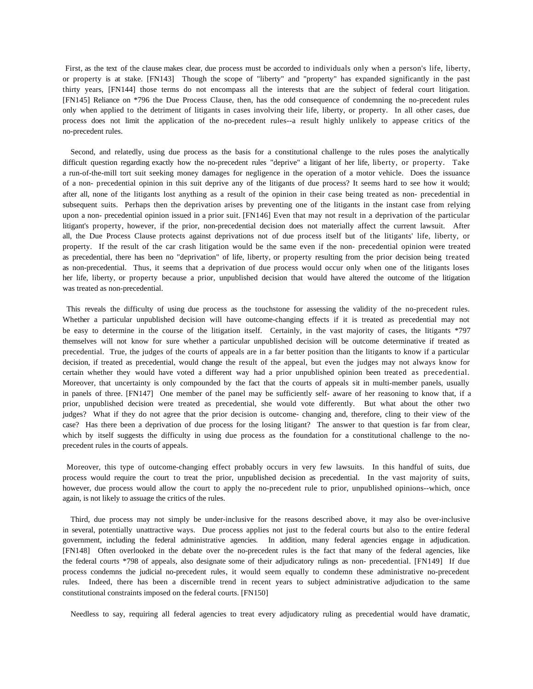First, as the text of the clause makes clear, due process must be accorded to individuals only when a person's life, liberty, or property is at stake. [FN143] Though the scope of "liberty" and "property" has expanded significantly in the past thirty years, [FN144] those terms do not encompass all the interests that are the subject of federal court litigation. [FN145] Reliance on \*796 the Due Process Clause, then, has the odd consequence of condemning the no-precedent rules only when applied to the detriment of litigants in cases involving their life, liberty, or property. In all other cases, due process does not limit the application of the no-precedent rules--a result highly unlikely to appease critics of the no-precedent rules.

 Second, and relatedly, using due process as the basis for a constitutional challenge to the rules poses the analytically difficult question regarding exactly how the no-precedent rules "deprive" a litigant of her life, liberty, or property. Take a run-of-the-mill tort suit seeking money damages for negligence in the operation of a motor vehicle. Does the issuance of a non- precedential opinion in this suit deprive any of the litigants of due process? It seems hard to see how it would; after all, none of the litigants lost anything as a result of the opinion in their case being treated as non- precedential in subsequent suits. Perhaps then the deprivation arises by preventing one of the litigants in the instant case from relying upon a non- precedential opinion issued in a prior suit. [FN146] Even that may not result in a deprivation of the particular litigant's property, however, if the prior, non-precedential decision does not materially affect the current lawsuit. After all, the Due Process Clause protects against deprivations not of due process itself but of the litigants' life, liberty, or property. If the result of the car crash litigation would be the same even if the non- precedential opinion were treated as precedential, there has been no "deprivation" of life, liberty, or property resulting from the prior decision being treated as non-precedential. Thus, it seems that a deprivation of due process would occur only when one of the litigants loses her life, liberty, or property because a prior, unpublished decision that would have altered the outcome of the litigation was treated as non-precedential.

This reveals the difficulty of using due process as the touchstone for assessing the validity of the no-precedent rules. Whether a particular unpublished decision will have outcome-changing effects if it is treated as precedential may not be easy to determine in the course of the litigation itself. Certainly, in the vast majority of cases, the litigants \*797 themselves will not know for sure whether a particular unpublished decision will be outcome determinative if treated as precedential. True, the judges of the courts of appeals are in a far better position than the litigants to know if a particular decision, if treated as precedential, would change the result of the appeal, but even the judges may not always know for certain whether they would have voted a different way had a prior unpublished opinion been treated as precedential. Moreover, that uncertainty is only compounded by the fact that the courts of appeals sit in multi-member panels, usually in panels of three. [FN147] One member of the panel may be sufficiently self- aware of her reasoning to know that, if a prior, unpublished decision were treated as precedential, she would vote differently. But what about the other two judges? What if they do not agree that the prior decision is outcome- changing and, therefore, cling to their view of the case? Has there been a deprivation of due process for the losing litigant? The answer to that question is far from clear, which by itself suggests the difficulty in using due process as the foundation for a constitutional challenge to the noprecedent rules in the courts of appeals.

Moreover, this type of outcome-changing effect probably occurs in very few lawsuits. In this handful of suits, due process would require the court to treat the prior, unpublished decision as precedential. In the vast majority of suits, however, due process would allow the court to apply the no-precedent rule to prior, unpublished opinions--which, once again, is not likely to assuage the critics of the rules.

 Third, due process may not simply be under-inclusive for the reasons described above, it may also be over-inclusive in several, potentially unattractive ways. Due process applies not just to the federal courts but also to the entire federal government, including the federal administrative agencies. In addition, many federal agencies engage in adjudication. [FN148] Often overlooked in the debate over the no-precedent rules is the fact that many of the federal agencies, like the federal courts \*798 of appeals, also designate some of their adjudicatory rulings as non- precedential. [FN149] If due process condemns the judicial no-precedent rules, it would seem equally to condemn these administrative no-precedent rules. Indeed, there has been a discernible trend in recent years to subject administrative adjudication to the same constitutional constraints imposed on the federal courts. [FN150]

Needless to say, requiring all federal agencies to treat every adjudicatory ruling as precedential would have dramatic,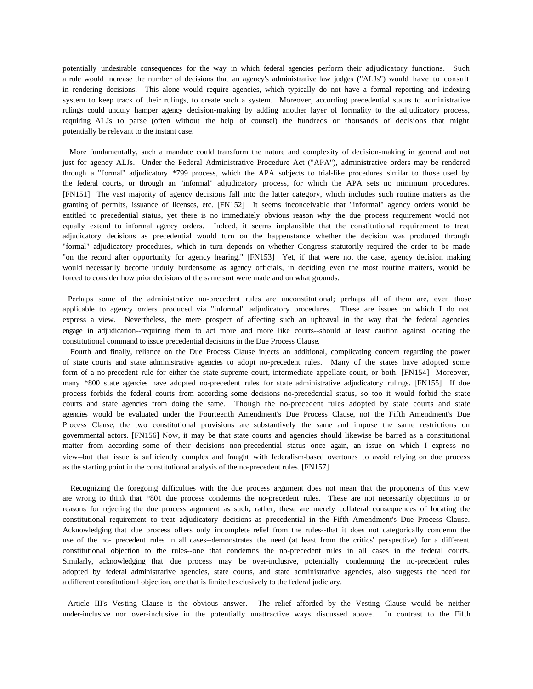potentially undesirable consequences for the way in which federal agencies perform their adjudicatory functions. Such a rule would increase the number of decisions that an agency's administrative law judges ("ALJs") would have to consult in rendering decisions. This alone would require agencies, which typically do not have a formal reporting and indexing system to keep track of their rulings, to create such a system. Moreover, according precedential status to administrative rulings could unduly hamper agency decision-making by adding another layer of formality to the adjudicatory process, requiring ALJs to parse (often without the help of counsel) the hundreds or thousands of decisions that might potentially be relevant to the instant case.

 More fundamentally, such a mandate could transform the nature and complexity of decision-making in general and not just for agency ALJs. Under the Federal Administrative Procedure Act ("APA"), administrative orders may be rendered through a "formal" adjudicatory \*799 process, which the APA subjects to trial-like procedures similar to those used by the federal courts, or through an "informal" adjudicatory process, for which the APA sets no minimum procedures. [FN151] The vast majority of agency decisions fall into the latter category, which includes such routine matters as the granting of permits, issuance of licenses, etc. [FN152] It seems inconceivable that "informal" agency orders would be entitled to precedential status, yet there is no immediately obvious reason why the due process requirement would not equally extend to informal agency orders. Indeed, it seems implausible that the constitutional requirement to treat adjudicatory decisions as precedential would turn on the happenstance whether the decision was produced through "formal" adjudicatory procedures, which in turn depends on whether Congress statutorily required the order to be made "on the record after opportunity for agency hearing." [FN153] Yet, if that were not the case, agency decision making would necessarily become unduly burdensome as agency officials, in deciding even the most routine matters, would be forced to consider how prior decisions of the same sort were made and on what grounds.

 Perhaps some of the administrative no-precedent rules are unconstitutional; perhaps all of them are, even those applicable to agency orders produced via "informal" adjudicatory procedures. These are issues on which I do not express a view. Nevertheless, the mere prospect of affecting such an upheaval in the way that the federal agencies engage in adjudication--requiring them to act more and more like courts--should at least caution against locating the constitutional command to issue precedential decisions in the Due Process Clause.

 Fourth and finally, reliance on the Due Process Clause injects an additional, complicating concern regarding the power of state courts and state administrative agencies to adopt no-precedent rules. Many of the states have adopted some form of a no-precedent rule for either the state supreme court, intermediate appellate court, or both. [FN154] Moreover, many \*800 state agencies have adopted no-precedent rules for state administrative adjudicatory rulings. [FN155] If due process forbids the federal courts from according some decisions no-precedential status, so too it would forbid the state courts and state agencies from doing the same. Though the no-precedent rules adopted by state courts and state agencies would be evaluated under the Fourteenth Amendment's Due Process Clause, not the Fifth Amendment's Due Process Clause, the two constitutional provisions are substantively the same and impose the same restrictions on governmental actors. [FN156] Now, it may be that state courts and agencies should likewise be barred as a constitutional matter from according some of their decisions non-precedential status--once again, an issue on which I express no view--but that issue is sufficiently complex and fraught with federalism-based overtones to avoid relying on due process as the starting point in the constitutional analysis of the no-precedent rules. [FN157]

 Recognizing the foregoing difficulties with the due process argument does not mean that the proponents of this view are wrong to think that \*801 due process condemns the no-precedent rules. These are not necessarily objections to or reasons for rejecting the due process argument as such; rather, these are merely collateral consequences of locating the constitutional requirement to treat adjudicatory decisions as precedential in the Fifth Amendment's Due Process Clause. Acknowledging that due process offers only incomplete relief from the rules--that it does not categorically condemn the use of the no- precedent rules in all cases--demonstrates the need (at least from the critics' perspective) for a different constitutional objection to the rules--one that condemns the no-precedent rules in all cases in the federal courts. Similarly, acknowledging that due process may be over-inclusive, potentially condemning the no-precedent rules adopted by federal administrative agencies, state courts, and state administrative agencies, also suggests the need for a different constitutional objection, one that is limited exclusively to the federal judiciary.

Article III's Vesting Clause is the obvious answer. The relief afforded by the Vesting Clause would be neither under-inclusive nor over-inclusive in the potentially unattractive ways discussed above. In contrast to the Fifth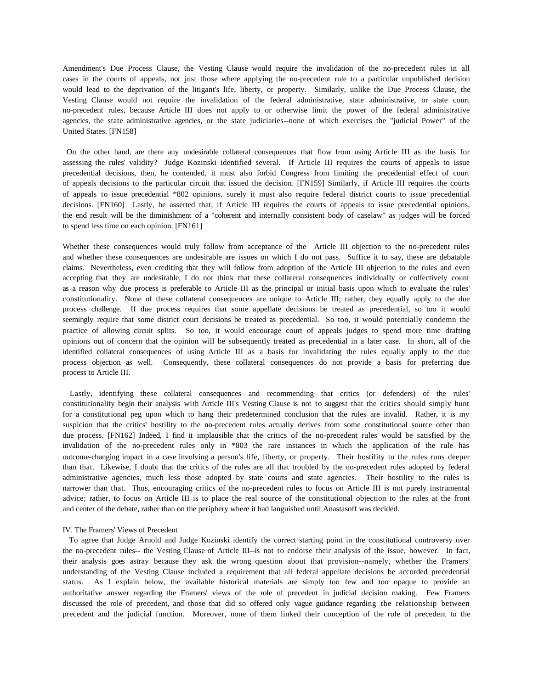Amendment's Due Process Clause, the Vesting Clause would require the invalidation of the no-precedent rules in all cases in the courts of appeals, not just those where applying the no-precedent rule to a particular unpublished decision would lead to the deprivation of the litigant's life, liberty, or property. Similarly, unlike the Due Process Clause, the Vesting Clause would not require the invalidation of the federal administrative, state administrative, or state court no-precedent rules, because Article III does not apply to or otherwise limit the power of the federal administrative agencies, the state administrative agencies, or the state judiciaries--none of which exercises the "judicial Power" of the United States. [FN158]

On the other hand, are there any undesirable collateral consequences that flow from using Article III as the basis for assessing the rules' validity? Judge Kozinski identified several. If Article III requires the courts of appeals to issue precedential decisions, then, he contended, it must also forbid Congress from limiting the precedential effect of court of appeals decisions to the particular circuit that issued the decision. [FN159] Similarly, if Article III requires the courts of appeals to issue precedential \*802 opinions, surely it must also require federal district courts to issue precedential decisions. [FN160] Lastly, he asserted that, if Article III requires the courts of appeals to issue precedential opinions, the end result will be the diminishment of a "coherent and internally consistent body of caselaw" as judges will be forced to spend less time on each opinion. [FN161]

Whether these consequences would truly follow from acceptance of the Article III objection to the no-precedent rules and whether these consequences are undesirable are issues on which I do not pass. Suffice it to say, these are debatable claims. Nevertheless, even crediting that they will follow from adoption of the Article III objection to the rules and even accepting that they are undesirable, I do not think that these collateral consequences individually or collectively count as a reason why due process is preferable to Article III as the principal or initial basis upon which to evaluate the rules' constitutionality. None of these collateral consequences are unique to Article III; rather, they equally apply to the due process challenge. If due process requires that some appellate decisions be treated as precedential, so too it would seemingly require that some district court decisions be treated as precedential. So too, it would potentially condemn the practice of allowing circuit splits. So too, it would encourage court of appeals judges to spend more time drafting opinions out of concern that the opinion will be subsequently treated as precedential in a later case. In short, all of the identified collateral consequences of using Article III as a basis for invalidating the rules equally apply to the due process objection as well. Consequently, these collateral consequences do not provide a basis for preferring due process to Article III.

Lastly, identifying these collateral consequences and recommending that critics (or defenders) of the rules' constitutionality begin their analysis with Article III's Vesting Clause is not to suggest that the critics should simply hunt for a constitutional peg upon which to hang their predetermined conclusion that the rules are invalid. Rather, it is my suspicion that the critics' hostility to the no-precedent rules actually derives from some constitutional source other than due process. [FN162] Indeed, I find it implausible that the critics of the no-precedent rules would be satisfied by the invalidation of the no-precedent rules only in \*803 the rare instances in which the application of the rule has outcome-changing impact in a case involving a person's life, liberty, or property. Their hostility to the rules runs deeper than that. Likewise, I doubt that the critics of the rules are all that troubled by the no-precedent rules adopted by federal administrative agencies, much less those adopted by state courts and state agencies. Their hostility to the rules is narrower than that. Thus, encouraging critics of the no-precedent rules to focus on Article III is not purely instrumental advice; rather, to focus on Article III is to place the real source of the constitutional objection to the rules at the front and center of the debate, rather than on the periphery where it had languished until Anastasoff was decided.

### IV. The Framers' Views of Precedent

 To agree that Judge Arnold and Judge Kozinski identify the correct starting point in the constitutional controversy over the no-precedent rules-- the Vesting Clause of Article III--is not to endorse their analysis of the issue, however. In fact, their analysis goes astray because they ask the wrong question about that provision--namely, whether the Framers' understanding of the Vesting Clause included a requirement that all federal appellate decisions be accorded precedential status. As I explain below, the available historical materials are simply too few and too opaque to provide an authoritative answer regarding the Framers' views of the role of precedent in judicial decision making. Few Framers discussed the role of precedent, and those that did so offered only vague guidance regarding the relationship between precedent and the judicial function. Moreover, none of them linked their conception of the role of precedent to the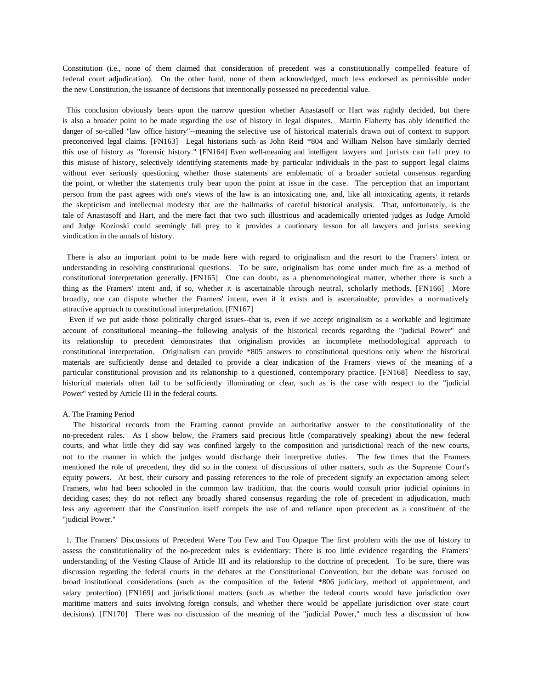Constitution (i.e., none of them claimed that consideration of precedent was a constitutionally compelled feature of federal court adjudication). On the other hand, none of them acknowledged, much less endorsed as permissible under the new Constitution, the issuance of decisions that intentionally possessed no precedential value.

This conclusion obviously bears upon the narrow question whether Anastasoff or Hart was rightly decided, but there is also a broader point to be made regarding the use of history in legal disputes. Martin Flaherty has ably identified the danger of so-called "law office history"--meaning the selective use of historical materials drawn out of context to support preconceived legal claims. [FN163] Legal historians such as John Reid \*804 and William Nelson have similarly decried this use of history as "forensic history." [FN164] Even well-meaning and intelligent lawyers and jurists can fall prey to this misuse of history, selectively identifying statements made by particular individuals in the past to support legal claims without ever seriously questioning whether those statements are emblematic of a broader societal consensus regarding the point, or whether the statements truly bear upon the point at issue in the case. The perception that an important person from the past agrees with one's views of the law is an intoxicating one, and, like all intoxicating agents, it retards the skepticism and intellectual modesty that are the hallmarks of careful historical analysis. That, unfortunately, is the tale of Anastasoff and Hart, and the mere fact that two such illustrious and academically oriented judges as Judge Arnold and Judge Kozinski could seemingly fall prey to it provides a cautionary lesson for all lawyers and jurists seeking vindication in the annals of history.

There is also an important point to be made here with regard to originalism and the resort to the Framers' intent or understanding in resolving constitutional questions. To be sure, originalism has come under much fire as a method of constitutional interpretation generally. [FN165] One can doubt, as a phenomenological matter, whether there is such a thing as the Framers' intent and, if so, whether it is ascertainable through neutral, scholarly methods. [FN166] More broadly, one can dispute whether the Framers' intent, even if it exists and is ascertainable, provides a normatively attractive approach to constitutional interpretation. [FN167]

 Even if we put aside those politically charged issues--that is, even if we accept originalism as a workable and legitimate account of constitutional meaning--the following analysis of the historical records regarding the "judicial Power" and its relationship to precedent demonstrates that originalism provides an incomplete methodological approach to constitutional interpretation. Originalism can provide \*805 answers to constitutional questions only where the historical materials are sufficiently dense and detailed to provide a clear indication of the Framers' views of the meaning of a particular constitutional provision and its relationship to a questioned, contemporary practice. [FN168] Needless to say, historical materials often fail to be sufficiently illuminating or clear, such as is the case with respect to the "judicial Power" vested by Article III in the federal courts.

### A. The Framing Period

 The historical records from the Framing cannot provide an authoritative answer to the constitutionality of the no-precedent rules. As I show below, the Framers said precious little (comparatively speaking) about the new federal courts, and what little they did say was confined largely to the composition and jurisdictional reach of the new courts, not to the manner in which the judges would discharge their interpretive duties. The few times that the Framers mentioned the role of precedent, they did so in the context of discussions of other matters, such as the Supreme Court's equity powers. At best, their cursory and passing references to the role of precedent signify an expectation among select Framers, who had been schooled in the common law tradition, that the courts would consult prior judicial opinions in deciding cases; they do not reflect any broadly shared consensus regarding the role of precedent in adjudication, much less any agreement that the Constitution itself compels the use of and reliance upon precedent as a constituent of the "judicial Power."

1. The Framers' Discussions of Precedent Were Too Few and Too Opaque The first problem with the use of history to assess the constitutionality of the no-precedent rules is evidentiary: There is too little evidence regarding the Framers' understanding of the Vesting Clause of Article III and its relationship to the doctrine of precedent. To be sure, there was discussion regarding the federal courts in the debates at the Constitutional Convention, but the debate was focused on broad institutional considerations (such as the composition of the federal \*806 judiciary, method of appointment, and salary protection) [FN169] and jurisdictional matters (such as whether the federal courts would have jurisdiction over maritime matters and suits involving foreign consuls, and whether there would be appellate jurisdiction over state court decisions). [FN170] There was no discussion of the meaning of the "judicial Power," much less a discussion of how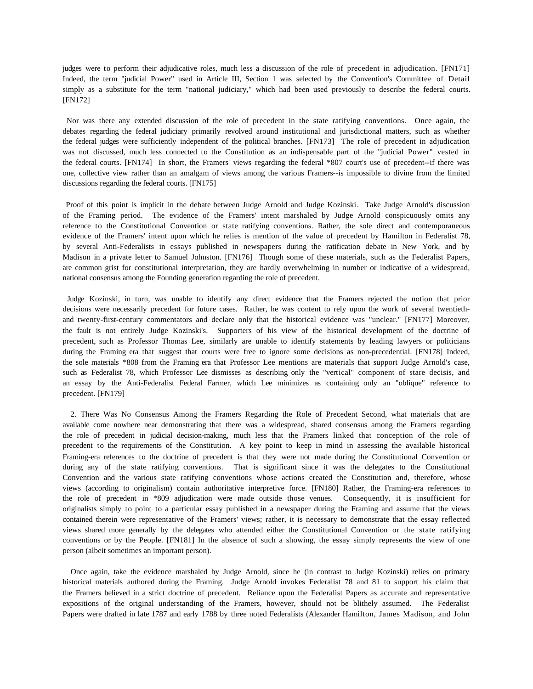judges were to perform their adjudicative roles, much less a discussion of the role of precedent in adjudication. [FN171] Indeed, the term "judicial Power" used in Article III, Section 1 was selected by the Convention's Committee of Detail simply as a substitute for the term "national judiciary," which had been used previously to describe the federal courts. [FN172]

Nor was there any extended discussion of the role of precedent in the state ratifying conventions. Once again, the debates regarding the federal judiciary primarily revolved around institutional and jurisdictional matters, such as whether the federal judges were sufficiently independent of the political branches. [FN173] The role of precedent in adjudication was not discussed, much less connected to the Constitution as an indispensable part of the "judicial Power" vested in the federal courts. [FN174] In short, the Framers' views regarding the federal \*807 court's use of precedent--if there was one, collective view rather than an amalgam of views among the various Framers--is impossible to divine from the limited discussions regarding the federal courts. [FN175]

Proof of this point is implicit in the debate between Judge Arnold and Judge Kozinski. Take Judge Arnold's discussion of the Framing period. The evidence of the Framers' intent marshaled by Judge Arnold conspicuously omits any reference to the Constitutional Convention or state ratifying conventions. Rather, the sole direct and contemporaneous evidence of the Framers' intent upon which he relies is mention of the value of precedent by Hamilton in Federalist 78, by several Anti-Federalists in essays published in newspapers during the ratification debate in New York, and by Madison in a private letter to Samuel Johnston. [FN176] Though some of these materials, such as the Federalist Papers, are common grist for constitutional interpretation, they are hardly overwhelming in number or indicative of a widespread, national consensus among the Founding generation regarding the role of precedent.

Judge Kozinski, in turn, was unable to identify any direct evidence that the Framers rejected the notion that prior decisions were necessarily precedent for future cases. Rather, he was content to rely upon the work of several twentiethand twenty-first-century commentators and declare only that the historical evidence was "unclear." [FN177] Moreover, the fault is not entirely Judge Kozinski's. Supporters of his view of the historical development of the doctrine of precedent, such as Professor Thomas Lee, similarly are unable to identify statements by leading lawyers or politicians during the Framing era that suggest that courts were free to ignore some decisions as non-precedential. [FN178] Indeed, the sole materials \*808 from the Framing era that Professor Lee mentions are materials that support Judge Arnold's case, such as Federalist 78, which Professor Lee dismisses as describing only the "vertical" component of stare decisis, and an essay by the Anti-Federalist Federal Farmer, which Lee minimizes as containing only an "oblique" reference to precedent. [FN179]

 2. There Was No Consensus Among the Framers Regarding the Role of Precedent Second, what materials that are available come nowhere near demonstrating that there was a widespread, shared consensus among the Framers regarding the role of precedent in judicial decision-making, much less that the Framers linked that conception of the role of precedent to the requirements of the Constitution. A key point to keep in mind in assessing the available historical Framing-era references to the doctrine of precedent is that they were not made during the Constitutional Convention or during any of the state ratifying conventions. That is significant since it was the delegates to the Constitutional Convention and the various state ratifying conventions whose actions created the Constitution and, therefore, whose views (according to originalism) contain authoritative interpretive force. [FN180] Rather, the Framing-era references to the role of precedent in \*809 adjudication were made outside those venues. Consequently, it is insufficient for originalists simply to point to a particular essay published in a newspaper during the Framing and assume that the views contained therein were representative of the Framers' views; rather, it is necessary to demonstrate that the essay reflected views shared more generally by the delegates who attended either the Constitutional Convention or the state ratifying conventions or by the People. [FN181] In the absence of such a showing, the essay simply represents the view of one person (albeit sometimes an important person).

 Once again, take the evidence marshaled by Judge Arnold, since he (in contrast to Judge Kozinski) relies on primary historical materials authored during the Framing. Judge Arnold invokes Federalist 78 and 81 to support his claim that the Framers believed in a strict doctrine of precedent. Reliance upon the Federalist Papers as accurate and representative expositions of the original understanding of the Framers, however, should not be blithely assumed. The Federalist Papers were drafted in late 1787 and early 1788 by three noted Federalists (Alexander Hamilton, James Madison, and John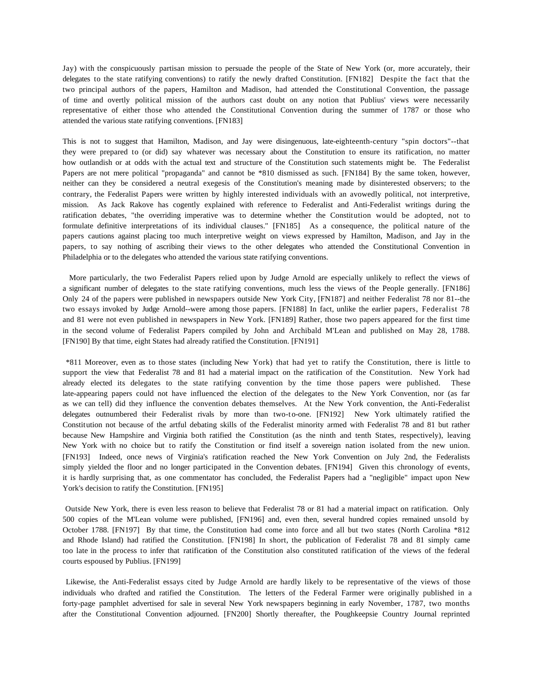Jay) with the conspicuously partisan mission to persuade the people of the State of New York (or, more accurately, their delegates to the state ratifying conventions) to ratify the newly drafted Constitution. [FN182] Despite the fact that the two principal authors of the papers, Hamilton and Madison, had attended the Constitutional Convention, the passage of time and overtly political mission of the authors cast doubt on any notion that Publius' views were necessarily representative of either those who attended the Constitutional Convention during the summer of 1787 or those who attended the various state ratifying conventions. [FN183]

This is not to suggest that Hamilton, Madison, and Jay were disingenuous, late-eighteenth-century "spin doctors"--that they were prepared to (or did) say whatever was necessary about the Constitution to ensure its ratification, no matter how outlandish or at odds with the actual text and structure of the Constitution such statements might be. The Federalist Papers are not mere political "propaganda" and cannot be \*810 dismissed as such. [FN184] By the same token, however, neither can they be considered a neutral exegesis of the Constitution's meaning made by disinterested observers; to the contrary, the Federalist Papers were written by highly interested individuals with an avowedly political, not interpretive, mission. As Jack Rakove has cogently explained with reference to Federalist and Anti-Federalist writings during the ratification debates, "the overriding imperative was to determine whether the Constitution would be adopted, not to formulate definitive interpretations of its individual clauses." [FN185] As a consequence, the political nature of the papers cautions against placing too much interpretive weight on views expressed by Hamilton, Madison, and Jay in the papers, to say nothing of ascribing their views to the other delegates who attended the Constitutional Convention in Philadelphia or to the delegates who attended the various state ratifying conventions.

 More particularly, the two Federalist Papers relied upon by Judge Arnold are especially unlikely to reflect the views of a significant number of delegates to the state ratifying conventions, much less the views of the People generally. [FN186] Only 24 of the papers were published in newspapers outside New York City, [FN187] and neither Federalist 78 nor 81--the two essays invoked by Judge Arnold--were among those papers. [FN188] In fact, unlike the earlier papers, Federalist 78 and 81 were not even published in newspapers in New York. [FN189] Rather, those two papers appeared for the first time in the second volume of Federalist Papers compiled by John and Archibald M'Lean and published on May 28, 1788. [FN190] By that time, eight States had already ratified the Constitution. [FN191]

\*811 Moreover, even as to those states (including New York) that had yet to ratify the Constitution, there is little to support the view that Federalist 78 and 81 had a material impact on the ratification of the Constitution. New York had already elected its delegates to the state ratifying convention by the time those papers were published. These late-appearing papers could not have influenced the election of the delegates to the New York Convention, nor (as far as we can tell) did they influence the convention debates themselves. At the New York convention, the Anti-Federalist delegates outnumbered their Federalist rivals by more than two-to-one. [FN192] New York ultimately ratified the Constitution not because of the artful debating skills of the Federalist minority armed with Federalist 78 and 81 but rather because New Hampshire and Virginia both ratified the Constitution (as the ninth and tenth States, respectively), leaving New York with no choice but to ratify the Constitution or find itself a sovereign nation isolated from the new union. [FN193] Indeed, once news of Virginia's ratification reached the New York Convention on July 2nd, the Federalists simply yielded the floor and no longer participated in the Convention debates. [FN194] Given this chronology of events, it is hardly surprising that, as one commentator has concluded, the Federalist Papers had a "negligible" impact upon New York's decision to ratify the Constitution. [FN195]

Outside New York, there is even less reason to believe that Federalist 78 or 81 had a material impact on ratification. Only 500 copies of the M'Lean volume were published, [FN196] and, even then, several hundred copies remained unsold by October 1788. [FN197] By that time, the Constitution had come into force and all but two states (North Carolina \*812 and Rhode Island) had ratified the Constitution. [FN198] In short, the publication of Federalist 78 and 81 simply came too late in the process to infer that ratification of the Constitution also constituted ratification of the views of the federal courts espoused by Publius. [FN199]

Likewise, the Anti-Federalist essays cited by Judge Arnold are hardly likely to be representative of the views of those individuals who drafted and ratified the Constitution. The letters of the Federal Farmer were originally published in a forty-page pamphlet advertised for sale in several New York newspapers beginning in early November, 1787, two months after the Constitutional Convention adjourned. [FN200] Shortly thereafter, the Poughkeepsie Country Journal reprinted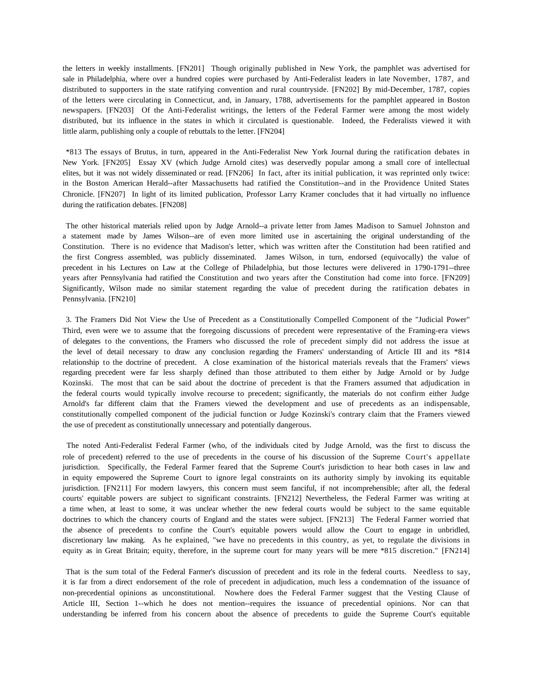the letters in weekly installments. [FN201] Though originally published in New York, the pamphlet was advertised for sale in Philadelphia, where over a hundred copies were purchased by Anti-Federalist leaders in late November, 1787, and distributed to supporters in the state ratifying convention and rural countryside. [FN202] By mid-December, 1787, copies of the letters were circulating in Connecticut, and, in January, 1788, advertisements for the pamphlet appeared in Boston newspapers. [FN203] Of the Anti-Federalist writings, the letters of the Federal Farmer were among the most widely distributed, but its influence in the states in which it circulated is questionable. Indeed, the Federalists viewed it with little alarm, publishing only a couple of rebuttals to the letter. [FN204]

\*813 The essays of Brutus, in turn, appeared in the Anti-Federalist New York Journal during the ratification debates in New York. [FN205] Essay XV (which Judge Arnold cites) was deservedly popular among a small core of intellectual elites, but it was not widely disseminated or read. [FN206] In fact, after its initial publication, it was reprinted only twice: in the Boston American Herald--after Massachusetts had ratified the Constitution--and in the Providence United States Chronicle. [FN207] In light of its limited publication, Professor Larry Kramer concludes that it had virtually no influence during the ratification debates. [FN208]

The other historical materials relied upon by Judge Arnold--a private letter from James Madison to Samuel Johnston and a statement made by James Wilson--are of even more limited use in ascertaining the original understanding of the Constitution. There is no evidence that Madison's letter, which was written after the Constitution had been ratified and the first Congress assembled, was publicly disseminated. James Wilson, in turn, endorsed (equivocally) the value of precedent in his Lectures on Law at the College of Philadelphia, but those lectures were delivered in 1790-1791--three years after Pennsylvania had ratified the Constitution and two years after the Constitution had come into force. [FN209] Significantly, Wilson made no similar statement regarding the value of precedent during the ratification debates in Pennsylvania. [FN210]

3. The Framers Did Not View the Use of Precedent as a Constitutionally Compelled Component of the "Judicial Power" Third, even were we to assume that the foregoing discussions of precedent were representative of the Framing-era views of delegates to the conventions, the Framers who discussed the role of precedent simply did not address the issue at the level of detail necessary to draw any conclusion regarding the Framers' understanding of Article III and its \*814 relationship to the doctrine of precedent. A close examination of the historical materials reveals that the Framers' views regarding precedent were far less sharply defined than those attributed to them either by Judge Arnold or by Judge Kozinski. The most that can be said about the doctrine of precedent is that the Framers assumed that adjudication in the federal courts would typically involve recourse to precedent; significantly, the materials do not confirm either Judge Arnold's far different claim that the Framers viewed the development and use of precedents as an indispensable, constitutionally compelled component of the judicial function or Judge Kozinski's contrary claim that the Framers viewed the use of precedent as constitutionally unnecessary and potentially dangerous.

The noted Anti-Federalist Federal Farmer (who, of the individuals cited by Judge Arnold, was the first to discuss the role of precedent) referred to the use of precedents in the course of his discussion of the Supreme Court's appellate jurisdiction. Specifically, the Federal Farmer feared that the Supreme Court's jurisdiction to hear both cases in law and in equity empowered the Supreme Court to ignore legal constraints on its authority simply by invoking its equitable jurisdiction. [FN211] For modern lawyers, this concern must seem fanciful, if not incomprehensible; after all, the federal courts' equitable powers are subject to significant constraints. [FN212] Nevertheless, the Federal Farmer was writing at a time when, at least to some, it was unclear whether the new federal courts would be subject to the same equitable doctrines to which the chancery courts of England and the states were subject. [FN213] The Federal Farmer worried that the absence of precedents to confine the Court's equitable powers would allow the Court to engage in unbridled, discretionary law making. As he explained, "we have no precedents in this country, as yet, to regulate the divisions in equity as in Great Britain; equity, therefore, in the supreme court for many years will be mere \*815 discretion." [FN214]

That is the sum total of the Federal Farmer's discussion of precedent and its role in the federal courts. Needless to say, it is far from a direct endorsement of the role of precedent in adjudication, much less a condemnation of the issuance of non-precedential opinions as unconstitutional. Nowhere does the Federal Farmer suggest that the Vesting Clause of Article III, Section 1--which he does not mention--requires the issuance of precedential opinions. Nor can that understanding be inferred from his concern about the absence of precedents to guide the Supreme Court's equitable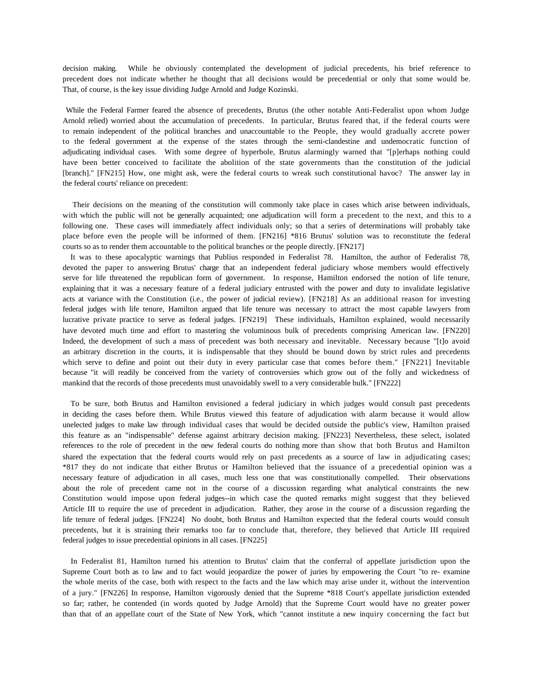decision making. While he obviously contemplated the development of judicial precedents, his brief reference to precedent does not indicate whether he thought that all decisions would be precedential or only that some would be. That, of course, is the key issue dividing Judge Arnold and Judge Kozinski.

While the Federal Farmer feared the absence of precedents, Brutus (the other notable Anti-Federalist upon whom Judge Arnold relied) worried about the accumulation of precedents. In particular, Brutus feared that, if the federal courts were to remain independent of the political branches and unaccountable to the People, they would gradually accrete power to the federal government at the expense of the states through the semi-clandestine and undemocratic function of adjudicating individual cases. With some degree of hyperbole, Brutus alarmingly warned that "[p]erhaps nothing could have been better conceived to facilitate the abolition of the state governments than the constitution of the judicial [branch]." [FN215] How, one might ask, were the federal courts to wreak such constitutional havoc? The answer lay in the federal courts' reliance on precedent:

 Their decisions on the meaning of the constitution will commonly take place in cases which arise between individuals, with which the public will not be generally acquainted; one adjudication will form a precedent to the next, and this to a following one. These cases will immediately affect individuals only; so that a series of determinations will probably take place before even the people will be informed of them. [FN216] \*816 Brutus' solution was to reconstitute the federal courts so as to render them accountable to the political branches or the people directly. [FN217]

 It was to these apocalyptic warnings that Publius responded in Federalist 78. Hamilton, the author of Federalist 78, devoted the paper to answering Brutus' charge that an independent federal judiciary whose members would effectively serve for life threatened the republican form of government. In response, Hamilton endorsed the notion of life tenure, explaining that it was a necessary feature of a federal judiciary entrusted with the power and duty to invalidate legislative acts at variance with the Constitution (i.e., the power of judicial review). [FN218] As an additional reason for investing federal judges with life tenure, Hamilton argued that life tenure was necessary to attract the most capable lawyers from lucrative private practice to serve as federal judges. [FN219] These individuals, Hamilton explained, would necessarily have devoted much time and effort to mastering the voluminous bulk of precedents comprising American law. [FN220] Indeed, the development of such a mass of precedent was both necessary and inevitable. Necessary because "[t]o avoid an arbitrary discretion in the courts, it is indispensable that they should be bound down by strict rules and precedents which serve to define and point out their duty in every particular case that comes before them." [FN221] Inevitable because "it will readily be conceived from the variety of controversies which grow out of the folly and wickedness of mankind that the records of those precedents must unavoidably swell to a very considerable bulk." [FN222]

 To be sure, both Brutus and Hamilton envisioned a federal judiciary in which judges would consult past precedents in deciding the cases before them. While Brutus viewed this feature of adjudication with alarm because it would allow unelected judges to make law through individual cases that would be decided outside the public's view, Hamilton praised this feature as an "indispensable" defense against arbitrary decision making. [FN223] Nevertheless, these select, isolated references to the role of precedent in the new federal courts do nothing more than show that both Brutus and Hamilton shared the expectation that the federal courts would rely on past precedents as a source of law in adjudicating cases; \*817 they do not indicate that either Brutus or Hamilton believed that the issuance of a precedential opinion was a necessary feature of adjudication in all cases, much less one that was constitutionally compelled. Their observations about the role of precedent came not in the course of a discussion regarding what analytical constraints the new Constitution would impose upon federal judges--in which case the quoted remarks might suggest that they believed Article III to require the use of precedent in adjudication. Rather, they arose in the course of a discussion regarding the life tenure of federal judges. [FN224] No doubt, both Brutus and Hamilton expected that the federal courts would consult precedents, but it is straining their remarks too far to conclude that, therefore, they believed that Article III required federal judges to issue precedential opinions in all cases. [FN225]

 In Federalist 81, Hamilton turned his attention to Brutus' claim that the conferral of appellate jurisdiction upon the Supreme Court both as to law and to fact would jeopardize the power of juries by empowering the Court "to re- examine the whole merits of the case, both with respect to the facts and the law which may arise under it, without the intervention of a jury." [FN226] In response, Hamilton vigorously denied that the Supreme \*818 Court's appellate jurisdiction extended so far; rather, he contended (in words quoted by Judge Arnold) that the Supreme Court would have no greater power than that of an appellate court of the State of New York, which "cannot institute a new inquiry concerning the fact but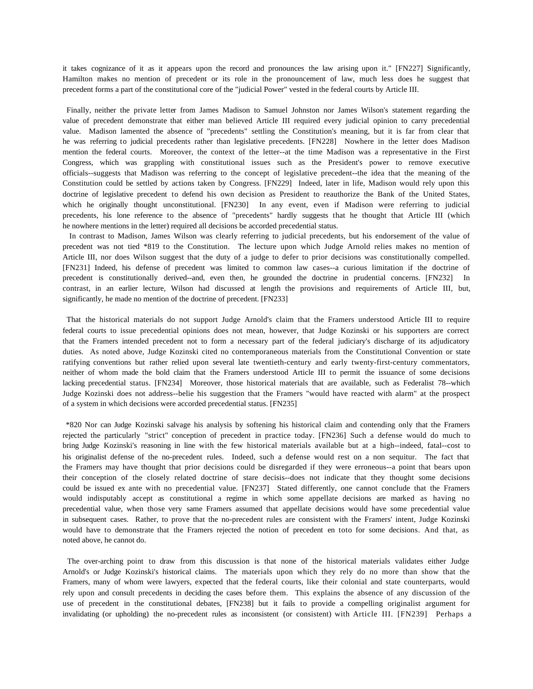it takes cognizance of it as it appears upon the record and pronounces the law arising upon it." [FN227] Significantly, Hamilton makes no mention of precedent or its role in the pronouncement of law, much less does he suggest that precedent forms a part of the constitutional core of the "judicial Power" vested in the federal courts by Article III.

Finally, neither the private letter from James Madison to Samuel Johnston nor James Wilson's statement regarding the value of precedent demonstrate that either man believed Article III required every judicial opinion to carry precedential value. Madison lamented the absence of "precedents" settling the Constitution's meaning, but it is far from clear that he was referring to judicial precedents rather than legislative precedents. [FN228] Nowhere in the letter does Madison mention the federal courts. Moreover, the context of the letter--at the time Madison was a representative in the First Congress, which was grappling with constitutional issues such as the President's power to remove executive officials--suggests that Madison was referring to the concept of legislative precedent--the idea that the meaning of the Constitution could be settled by actions taken by Congress. [FN229] Indeed, later in life, Madison would rely upon this doctrine of legislative precedent to defend his own decision as President to reauthorize the Bank of the United States, which he originally thought unconstitutional. [FN230] In any event, even if Madison were referring to judicial precedents, his lone reference to the absence of "precedents" hardly suggests that he thought that Article III (which he nowhere mentions in the letter) required all decisions be accorded precedential status.

 In contrast to Madison, James Wilson was clearly referring to judicial precedents, but his endorsement of the value of precedent was not tied \*819 to the Constitution. The lecture upon which Judge Arnold relies makes no mention of Article III, nor does Wilson suggest that the duty of a judge to defer to prior decisions was constitutionally compelled. [FN231] Indeed, his defense of precedent was limited to common law cases--a curious limitation if the doctrine of precedent is constitutionally derived--and, even then, he grounded the doctrine in prudential concerns. [FN232] In contrast, in an earlier lecture, Wilson had discussed at length the provisions and requirements of Article III, but, significantly, he made no mention of the doctrine of precedent. [FN233]

That the historical materials do not support Judge Arnold's claim that the Framers understood Article III to require federal courts to issue precedential opinions does not mean, however, that Judge Kozinski or his supporters are correct that the Framers intended precedent not to form a necessary part of the federal judiciary's discharge of its adjudicatory duties. As noted above, Judge Kozinski cited no contemporaneous materials from the Constitutional Convention or state ratifying conventions but rather relied upon several late twentieth-century and early twenty-first-century commentators, neither of whom made the bold claim that the Framers understood Article III to permit the issuance of some decisions lacking precedential status. [FN234] Moreover, those historical materials that are available, such as Federalist 78--which Judge Kozinski does not address--belie his suggestion that the Framers "would have reacted with alarm" at the prospect of a system in which decisions were accorded precedential status. [FN235]

\*820 Nor can Judge Kozinski salvage his analysis by softening his historical claim and contending only that the Framers rejected the particularly "strict" conception of precedent in practice today. [FN236] Such a defense would do much to bring Judge Kozinski's reasoning in line with the few historical materials available but at a high--indeed, fatal--cost to his originalist defense of the no-precedent rules. Indeed, such a defense would rest on a non sequitur. The fact that the Framers may have thought that prior decisions could be disregarded if they were erroneous--a point that bears upon their conception of the closely related doctrine of stare decisis--does not indicate that they thought some decisions could be issued ex ante with no precedential value. [FN237] Stated differently, one cannot conclude that the Framers would indisputably accept as constitutional a regime in which some appellate decisions are marked as having no precedential value, when those very same Framers assumed that appellate decisions would have some precedential value in subsequent cases. Rather, to prove that the no-precedent rules are consistent with the Framers' intent, Judge Kozinski would have to demonstrate that the Framers rejected the notion of precedent en toto for some decisions. And that, as noted above, he cannot do.

The over-arching point to draw from this discussion is that none of the historical materials validates either Judge Arnold's or Judge Kozinski's historical claims. The materials upon which they rely do no more than show that the Framers, many of whom were lawyers, expected that the federal courts, like their colonial and state counterparts, would rely upon and consult precedents in deciding the cases before them. This explains the absence of any discussion of the use of precedent in the constitutional debates, [FN238] but it fails to provide a compelling originalist argument for invalidating (or upholding) the no-precedent rules as inconsistent (or consistent) with Article III. [FN239] Perhaps a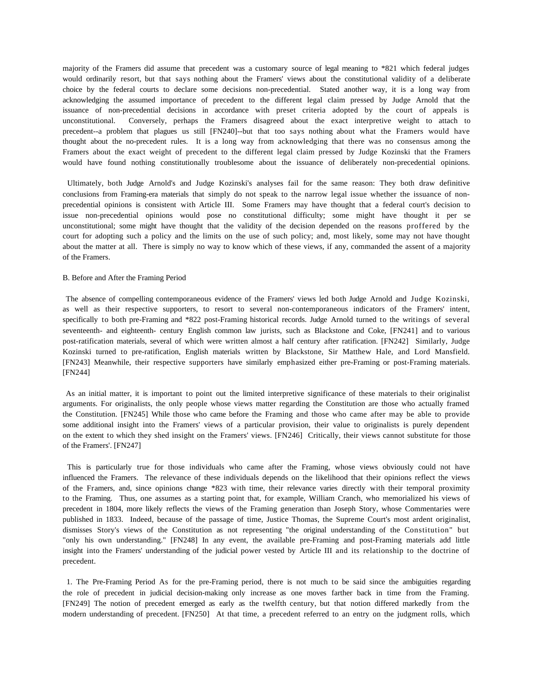majority of the Framers did assume that precedent was a customary source of legal meaning to \*821 which federal judges would ordinarily resort, but that says nothing about the Framers' views about the constitutional validity of a deliberate choice by the federal courts to declare some decisions non-precedential. Stated another way, it is a long way from acknowledging the assumed importance of precedent to the different legal claim pressed by Judge Arnold that the issuance of non-precedential decisions in accordance with preset criteria adopted by the court of appeals is unconstitutional. Conversely, perhaps the Framers disagreed about the exact interpretive weight to attach to precedent--a problem that plagues us still [FN240]--but that too says nothing about what the Framers would have thought about the no-precedent rules. It is a long way from acknowledging that there was no consensus among the Framers about the exact weight of precedent to the different legal claim pressed by Judge Kozinski that the Framers would have found nothing constitutionally troublesome about the issuance of deliberately non-precedential opinions.

Ultimately, both Judge Arnold's and Judge Kozinski's analyses fail for the same reason: They both draw definitive conclusions from Framing-era materials that simply do not speak to the narrow legal issue whether the issuance of nonprecedential opinions is consistent with Article III. Some Framers may have thought that a federal court's decision to issue non-precedential opinions would pose no constitutional difficulty; some might have thought it per se unconstitutional; some might have thought that the validity of the decision depended on the reasons proffered by the court for adopting such a policy and the limits on the use of such policy; and, most likely, some may not have thought about the matter at all. There is simply no way to know which of these views, if any, commanded the assent of a majority of the Framers.

## B. Before and After the Framing Period

The absence of compelling contemporaneous evidence of the Framers' views led both Judge Arnold and Judge Kozinski, as well as their respective supporters, to resort to several non-contemporaneous indicators of the Framers' intent, specifically to both pre-Framing and \*822 post-Framing historical records. Judge Arnold turned to the writings of several seventeenth- and eighteenth- century English common law jurists, such as Blackstone and Coke, [FN241] and to various post-ratification materials, several of which were written almost a half century after ratification. [FN242] Similarly, Judge Kozinski turned to pre-ratification, English materials written by Blackstone, Sir Matthew Hale, and Lord Mansfield. [FN243] Meanwhile, their respective supporters have similarly emphasized either pre-Framing or post-Framing materials. [FN244]

As an initial matter, it is important to point out the limited interpretive significance of these materials to their originalist arguments. For originalists, the only people whose views matter regarding the Constitution are those who actually framed the Constitution. [FN245] While those who came before the Framing and those who came after may be able to provide some additional insight into the Framers' views of a particular provision, their value to originalists is purely dependent on the extent to which they shed insight on the Framers' views. [FN246] Critically, their views cannot substitute for those of the Framers'. [FN247]

This is particularly true for those individuals who came after the Framing, whose views obviously could not have influenced the Framers. The relevance of these individuals depends on the likelihood that their opinions reflect the views of the Framers, and, since opinions change \*823 with time, their relevance varies directly with their temporal proximity to the Framing. Thus, one assumes as a starting point that, for example, William Cranch, who memorialized his views of precedent in 1804, more likely reflects the views of the Framing generation than Joseph Story, whose Commentaries were published in 1833. Indeed, because of the passage of time, Justice Thomas, the Supreme Court's most ardent originalist, dismisses Story's views of the Constitution as not representing "the original understanding of the Constitution" but "only his own understanding." [FN248] In any event, the available pre-Framing and post-Framing materials add little insight into the Framers' understanding of the judicial power vested by Article III and its relationship to the doctrine of precedent.

1. The Pre-Framing Period As for the pre-Framing period, there is not much to be said since the ambiguities regarding the role of precedent in judicial decision-making only increase as one moves farther back in time from the Framing. [FN249] The notion of precedent emerged as early as the twelfth century, but that notion differed markedly from the modern understanding of precedent. [FN250] At that time, a precedent referred to an entry on the judgment rolls, which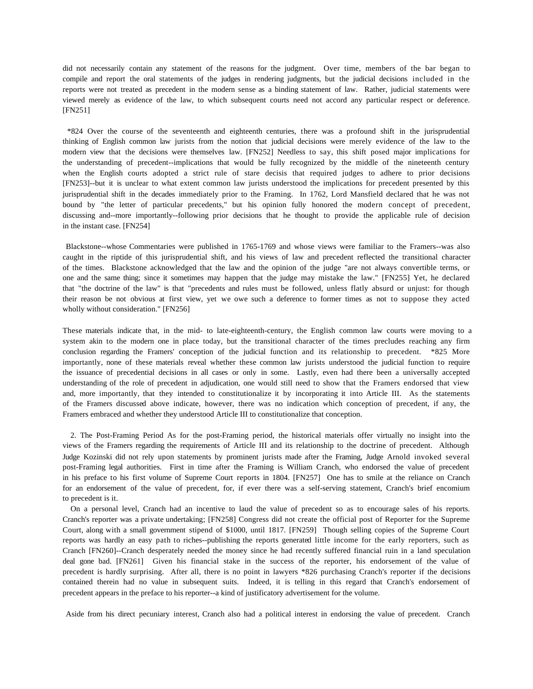did not necessarily contain any statement of the reasons for the judgment. Over time, members of the bar began to compile and report the oral statements of the judges in rendering judgments, but the judicial decisions included in the reports were not treated as precedent in the modern sense as a binding statement of law. Rather, judicial statements were viewed merely as evidence of the law, to which subsequent courts need not accord any particular respect or deference. [FN251]

\*824 Over the course of the seventeenth and eighteenth centuries, there was a profound shift in the jurisprudential thinking of English common law jurists from the notion that judicial decisions were merely evidence of the law to the modern view that the decisions were themselves law. [FN252] Needless to say, this shift posed major implications for the understanding of precedent--implications that would be fully recognized by the middle of the nineteenth century when the English courts adopted a strict rule of stare decisis that required judges to adhere to prior decisions [FN253]--but it is unclear to what extent common law jurists understood the implications for precedent presented by this jurisprudential shift in the decades immediately prior to the Framing. In 1762, Lord Mansfield declared that he was not bound by "the letter of particular precedents," but his opinion fully honored the modern concept of precedent, discussing and--more importantly--following prior decisions that he thought to provide the applicable rule of decision in the instant case. [FN254]

Blackstone--whose Commentaries were published in 1765-1769 and whose views were familiar to the Framers--was also caught in the riptide of this jurisprudential shift, and his views of law and precedent reflected the transitional character of the times. Blackstone acknowledged that the law and the opinion of the judge "are not always convertible terms, or one and the same thing; since it sometimes may happen that the judge may mistake the law." [FN255] Yet, he declared that "the doctrine of the law" is that "precedents and rules must be followed, unless flatly absurd or unjust: for though their reason be not obvious at first view, yet we owe such a deference to former times as not to suppose they acted wholly without consideration." [FN256]

These materials indicate that, in the mid- to late-eighteenth-century, the English common law courts were moving to a system akin to the modern one in place today, but the transitional character of the times precludes reaching any firm conclusion regarding the Framers' conception of the judicial function and its relationship to precedent. \*825 More importantly, none of these materials reveal whether these common law jurists understood the judicial function to require the issuance of precedential decisions in all cases or only in some. Lastly, even had there been a universally accepted understanding of the role of precedent in adjudication, one would still need to show that the Framers endorsed that view and, more importantly, that they intended to constitutionalize it by incorporating it into Article III. As the statements of the Framers discussed above indicate, however, there was no indication which conception of precedent, if any, the Framers embraced and whether they understood Article III to constitutionalize that conception.

 2. The Post-Framing Period As for the post-Framing period, the historical materials offer virtually no insight into the views of the Framers regarding the requirements of Article III and its relationship to the doctrine of precedent. Although Judge Kozinski did not rely upon statements by prominent jurists made after the Framing, Judge Arnold invoked several post-Framing legal authorities. First in time after the Framing is William Cranch, who endorsed the value of precedent in his preface to his first volume of Supreme Court reports in 1804. [FN257] One has to smile at the reliance on Cranch for an endorsement of the value of precedent, for, if ever there was a self-serving statement, Cranch's brief encomium to precedent is it.

 On a personal level, Cranch had an incentive to laud the value of precedent so as to encourage sales of his reports. Cranch's reporter was a private undertaking; [FN258] Congress did not create the official post of Reporter for the Supreme Court, along with a small government stipend of \$1000, until 1817. [FN259] Though selling copies of the Supreme Court reports was hardly an easy path to riches--publishing the reports generated little income for the early reporters, such as Cranch [FN260]--Cranch desperately needed the money since he had recently suffered financial ruin in a land speculation deal gone bad. [FN261] Given his financial stake in the success of the reporter, his endorsement of the value of precedent is hardly surprising. After all, there is no point in lawyers \*826 purchasing Cranch's reporter if the decisions contained therein had no value in subsequent suits. Indeed, it is telling in this regard that Cranch's endorsement of precedent appears in the preface to his reporter--a kind of justificatory advertisement for the volume.

Aside from his direct pecuniary interest, Cranch also had a political interest in endorsing the value of precedent. Cranch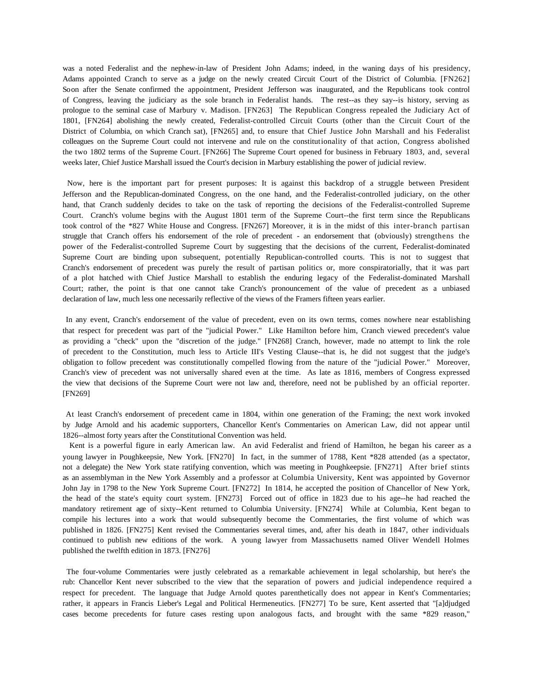was a noted Federalist and the nephew-in-law of President John Adams; indeed, in the waning days of his presidency, Adams appointed Cranch to serve as a judge on the newly created Circuit Court of the District of Columbia. [FN262] Soon after the Senate confirmed the appointment, President Jefferson was inaugurated, and the Republicans took control of Congress, leaving the judiciary as the sole branch in Federalist hands. The rest--as they say--is history, serving as prologue to the seminal case of Marbury v. Madison. [FN263] The Republican Congress repealed the Judiciary Act of 1801, [FN264] abolishing the newly created, Federalist-controlled Circuit Courts (other than the Circuit Court of the District of Columbia, on which Cranch sat), [FN265] and, to ensure that Chief Justice John Marshall and his Federalist colleagues on the Supreme Court could not intervene and rule on the constitutionality of that action, Congress abolished the two 1802 terms of the Supreme Court. [FN266] The Supreme Court opened for business in February 1803, and, several weeks later, Chief Justice Marshall issued the Court's decision in Marbury establishing the power of judicial review.

Now, here is the important part for present purposes: It is against this backdrop of a struggle between President Jefferson and the Republican-dominated Congress, on the one hand, and the Federalist-controlled judiciary, on the other hand, that Cranch suddenly decides to take on the task of reporting the decisions of the Federalist-controlled Supreme Court. Cranch's volume begins with the August 1801 term of the Supreme Court--the first term since the Republicans took control of the \*827 White House and Congress. [FN267] Moreover, it is in the midst of this inter-branch partisan struggle that Cranch offers his endorsement of the role of precedent - an endorsement that (obviously) strengthens the power of the Federalist-controlled Supreme Court by suggesting that the decisions of the current, Federalist-dominated Supreme Court are binding upon subsequent, potentially Republican-controlled courts. This is not to suggest that Cranch's endorsement of precedent was purely the result of partisan politics or, more conspiratorially, that it was part of a plot hatched with Chief Justice Marshall to establish the enduring legacy of the Federalist-dominated Marshall Court; rather, the point is that one cannot take Cranch's pronouncement of the value of precedent as a unbiased declaration of law, much less one necessarily reflective of the views of the Framers fifteen years earlier.

In any event, Cranch's endorsement of the value of precedent, even on its own terms, comes nowhere near establishing that respect for precedent was part of the "judicial Power." Like Hamilton before him, Cranch viewed precedent's value as providing a "check" upon the "discretion of the judge." [FN268] Cranch, however, made no attempt to link the role of precedent to the Constitution, much less to Article III's Vesting Clause--that is, he did not suggest that the judge's obligation to follow precedent was constitutionally compelled flowing from the nature of the "judicial Power." Moreover, Cranch's view of precedent was not universally shared even at the time. As late as 1816, members of Congress expressed the view that decisions of the Supreme Court were not law and, therefore, need not be published by an official reporter. [FN269]

At least Cranch's endorsement of precedent came in 1804, within one generation of the Framing; the next work invoked by Judge Arnold and his academic supporters, Chancellor Kent's Commentaries on American Law, did not appear until 1826--almost forty years after the Constitutional Convention was held.

 Kent is a powerful figure in early American law. An avid Federalist and friend of Hamilton, he began his career as a young lawyer in Poughkeepsie, New York. [FN270] In fact, in the summer of 1788, Kent \*828 attended (as a spectator, not a delegate) the New York state ratifying convention, which was meeting in Poughkeepsie. [FN271] After brief stints as an assemblyman in the New York Assembly and a professor at Columbia University, Kent was appointed by Governor John Jay in 1798 to the New York Supreme Court. [FN272] In 1814, he accepted the position of Chancellor of New York, the head of the state's equity court system. [FN273] Forced out of office in 1823 due to his age--he had reached the mandatory retirement age of sixty--Kent returned to Columbia University. [FN274] While at Columbia, Kent began to compile his lectures into a work that would subsequently become the Commentaries, the first volume of which was published in 1826. [FN275] Kent revised the Commentaries several times, and, after his death in 1847, other individuals continued to publish new editions of the work. A young lawyer from Massachusetts named Oliver Wendell Holmes published the twelfth edition in 1873. [FN276]

The four-volume Commentaries were justly celebrated as a remarkable achievement in legal scholarship, but here's the rub: Chancellor Kent never subscribed to the view that the separation of powers and judicial independence required a respect for precedent. The language that Judge Arnold quotes parenthetically does not appear in Kent's Commentaries; rather, it appears in Francis Lieber's Legal and Political Hermeneutics. [FN277] To be sure, Kent asserted that "[a]djudged cases become precedents for future cases resting upon analogous facts, and brought with the same \*829 reason,"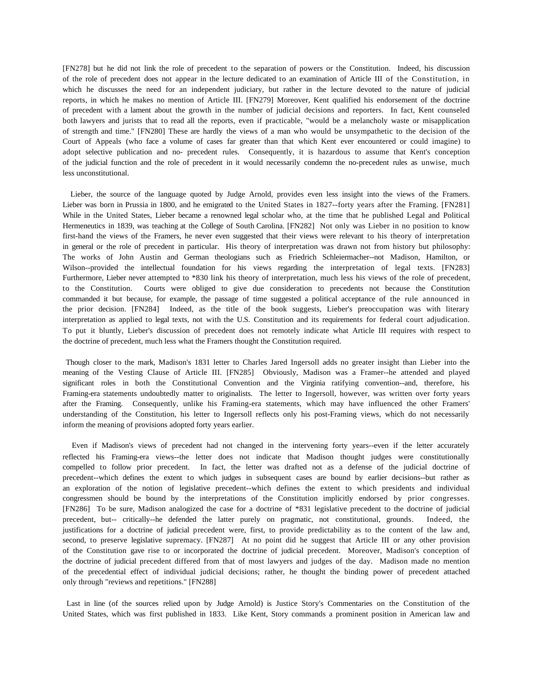[FN278] but he did not link the role of precedent to the separation of powers or the Constitution. Indeed, his discussion of the role of precedent does not appear in the lecture dedicated to an examination of Article III of the Constitution, in which he discusses the need for an independent judiciary, but rather in the lecture devoted to the nature of judicial reports, in which he makes no mention of Article III. [FN279] Moreover, Kent qualified his endorsement of the doctrine of precedent with a lament about the growth in the number of judicial decisions and reporters. In fact, Kent counseled both lawyers and jurists that to read all the reports, even if practicable, "would be a melancholy waste or misapplication of strength and time." [FN280] These are hardly the views of a man who would be unsympathetic to the decision of the Court of Appeals (who face a volume of cases far greater than that which Kent ever encountered or could imagine) to adopt selective publication and no- precedent rules. Consequently, it is hazardous to assume that Kent's conception of the judicial function and the role of precedent in it would necessarily condemn the no-precedent rules as unwise, much less unconstitutional.

 Lieber, the source of the language quoted by Judge Arnold, provides even less insight into the views of the Framers. Lieber was born in Prussia in 1800, and he emigrated to the United States in 1827--forty years after the Framing. [FN281] While in the United States, Lieber became a renowned legal scholar who, at the time that he published Legal and Political Hermeneutics in 1839, was teaching at the College of South Carolina. [FN282] Not only was Lieber in no position to know first-hand the views of the Framers, he never even suggested that their views were relevant to his theory of interpretation in general or the role of precedent in particular. His theory of interpretation was drawn not from history but philosophy: The works of John Austin and German theologians such as Friedrich Schleiermacher--not Madison, Hamilton, or Wilson--provided the intellectual foundation for his views regarding the interpretation of legal texts. [FN283] Furthermore, Lieber never attempted to \*830 link his theory of interpretation, much less his views of the role of precedent, to the Constitution. Courts were obliged to give due consideration to precedents not because the Constitution commanded it but because, for example, the passage of time suggested a political acceptance of the rule announced in the prior decision. [FN284] Indeed, as the title of the book suggests, Lieber's preoccupation was with literary interpretation as applied to legal texts, not with the U.S. Constitution and its requirements for federal court adjudication. To put it bluntly, Lieber's discussion of precedent does not remotely indicate what Article III requires with respect to the doctrine of precedent, much less what the Framers thought the Constitution required.

Though closer to the mark, Madison's 1831 letter to Charles Jared Ingersoll adds no greater insight than Lieber into the meaning of the Vesting Clause of Article III. [FN285] Obviously, Madison was a Framer--he attended and played significant roles in both the Constitutional Convention and the Virginia ratifying convention--and, therefore, his Framing-era statements undoubtedly matter to originalists. The letter to Ingersoll, however, was written over forty years after the Framing. Consequently, unlike his Framing-era statements, which may have influenced the other Framers' understanding of the Constitution, his letter to Ingersoll reflects only his post-Framing views, which do not necessarily inform the meaning of provisions adopted forty years earlier.

 Even if Madison's views of precedent had not changed in the intervening forty years--even if the letter accurately reflected his Framing-era views--the letter does not indicate that Madison thought judges were constitutionally compelled to follow prior precedent. In fact, the letter was drafted not as a defense of the judicial doctrine of precedent--which defines the extent to which judges in subsequent cases are bound by earlier decisions--but rather as an exploration of the notion of legislative precedent--which defines the extent to which presidents and individual congressmen should be bound by the interpretations of the Constitution implicitly endorsed by prior congresses. [FN286] To be sure, Madison analogized the case for a doctrine of \*831 legislative precedent to the doctrine of judicial precedent, but-- critically--he defended the latter purely on pragmatic, not constitutional, grounds. Indeed, the justifications for a doctrine of judicial precedent were, first, to provide predictability as to the content of the law and, second, to preserve legislative supremacy. [FN287] At no point did he suggest that Article III or any other provision of the Constitution gave rise to or incorporated the doctrine of judicial precedent. Moreover, Madison's conception of the doctrine of judicial precedent differed from that of most lawyers and judges of the day. Madison made no mention of the precedential effect of individual judicial decisions; rather, he thought the binding power of precedent attached only through "reviews and repetitions." [FN288]

Last in line (of the sources relied upon by Judge Arnold) is Justice Story's Commentaries on the Constitution of the United States, which was first published in 1833. Like Kent, Story commands a prominent position in American law and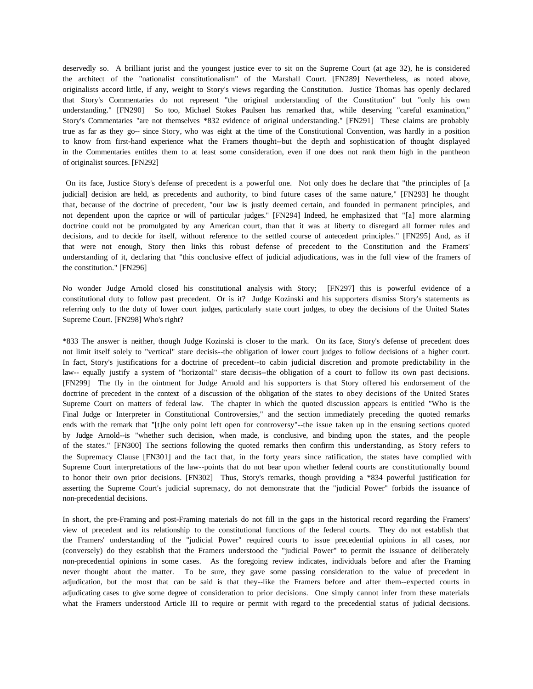deservedly so. A brilliant jurist and the youngest justice ever to sit on the Supreme Court (at age 32), he is considered the architect of the "nationalist constitutionalism" of the Marshall Court. [FN289] Nevertheless, as noted above, originalists accord little, if any, weight to Story's views regarding the Constitution. Justice Thomas has openly declared that Story's Commentaries do not represent "the original understanding of the Constitution" but "only his own understanding." [FN290] So too, Michael Stokes Paulsen has remarked that, while deserving "careful examination," Story's Commentaries "are not themselves \*832 evidence of original understanding." [FN291] These claims are probably true as far as they go-- since Story, who was eight at the time of the Constitutional Convention, was hardly in a position to know from first-hand experience what the Framers thought--but the depth and sophistication of thought displayed in the Commentaries entitles them to at least some consideration, even if one does not rank them high in the pantheon of originalist sources. [FN292]

On its face, Justice Story's defense of precedent is a powerful one. Not only does he declare that "the principles of [a judicial] decision are held, as precedents and authority, to bind future cases of the same nature," [FN293] he thought that, because of the doctrine of precedent, "our law is justly deemed certain, and founded in permanent principles, and not dependent upon the caprice or will of particular judges." [FN294] Indeed, he emphasized that "[a] more alarming doctrine could not be promulgated by any American court, than that it was at liberty to disregard all former rules and decisions, and to decide for itself, without reference to the settled course of antecedent principles." [FN295] And, as if that were not enough, Story then links this robust defense of precedent to the Constitution and the Framers' understanding of it, declaring that "this conclusive effect of judicial adjudications, was in the full view of the framers of the constitution." [FN296]

No wonder Judge Arnold closed his constitutional analysis with Story; [FN297] this is powerful evidence of a constitutional duty to follow past precedent. Or is it? Judge Kozinski and his supporters dismiss Story's statements as referring only to the duty of lower court judges, particularly state court judges, to obey the decisions of the United States Supreme Court. [FN298] Who's right?

\*833 The answer is neither, though Judge Kozinski is closer to the mark. On its face, Story's defense of precedent does not limit itself solely to "vertical" stare decisis--the obligation of lower court judges to follow decisions of a higher court. In fact, Story's justifications for a doctrine of precedent--to cabin judicial discretion and promote predictability in the law-- equally justify a system of "horizontal" stare decisis--the obligation of a court to follow its own past decisions. [FN299] The fly in the ointment for Judge Arnold and his supporters is that Story offered his endorsement of the doctrine of precedent in the context of a discussion of the obligation of the states to obey decisions of the United States Supreme Court on matters of federal law. The chapter in which the quoted discussion appears is entitled "Who is the Final Judge or Interpreter in Constitutional Controversies," and the section immediately preceding the quoted remarks ends with the remark that "[t]he only point left open for controversy"--the issue taken up in the ensuing sections quoted by Judge Arnold--is "whether such decision, when made, is conclusive, and binding upon the states, and the people of the states." [FN300] The sections following the quoted remarks then confirm this understanding, as Story refers to the Supremacy Clause [FN301] and the fact that, in the forty years since ratification, the states have complied with Supreme Court interpretations of the law--points that do not bear upon whether federal courts are constitutionally bound to honor their own prior decisions. [FN302] Thus, Story's remarks, though providing a \*834 powerful justification for asserting the Supreme Court's judicial supremacy, do not demonstrate that the "judicial Power" forbids the issuance of non-precedential decisions.

In short, the pre-Framing and post-Framing materials do not fill in the gaps in the historical record regarding the Framers' view of precedent and its relationship to the constitutional functions of the federal courts. They do not establish that the Framers' understanding of the "judicial Power" required courts to issue precedential opinions in all cases, nor (conversely) do they establish that the Framers understood the "judicial Power" to permit the issuance of deliberately non-precedential opinions in some cases. As the foregoing review indicates, individuals before and after the Framing never thought about the matter. To be sure, they gave some passing consideration to the value of precedent in adjudication, but the most that can be said is that they--like the Framers before and after them--expected courts in adjudicating cases to give some degree of consideration to prior decisions. One simply cannot infer from these materials what the Framers understood Article III to require or permit with regard to the precedential status of judicial decisions.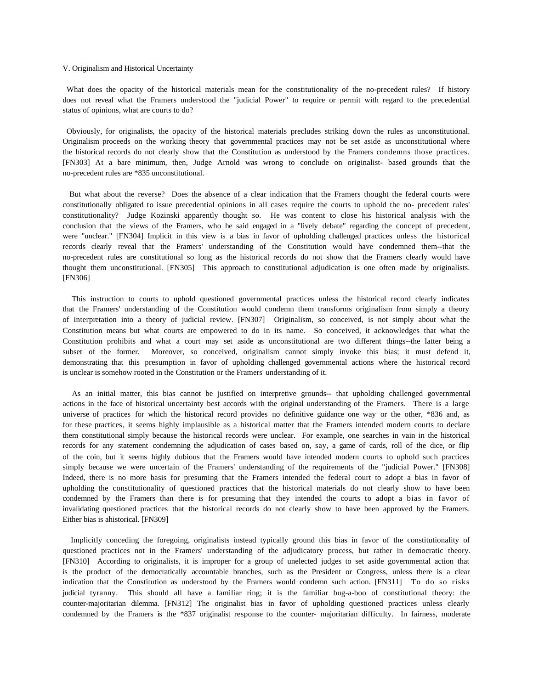#### V. Originalism and Historical Uncertainty

What does the opacity of the historical materials mean for the constitutionality of the no-precedent rules? If history does not reveal what the Framers understood the "judicial Power" to require or permit with regard to the precedential status of opinions, what are courts to do?

Obviously, for originalists, the opacity of the historical materials precludes striking down the rules as unconstitutional. Originalism proceeds on the working theory that governmental practices may not be set aside as unconstitutional where the historical records do not clearly show that the Constitution as understood by the Framers condemns those practices. [FN303] At a bare minimum, then, Judge Arnold was wrong to conclude on originalist- based grounds that the no-precedent rules are \*835 unconstitutional.

 But what about the reverse? Does the absence of a clear indication that the Framers thought the federal courts were constitutionally obligated to issue precedential opinions in all cases require the courts to uphold the no- precedent rules' constitutionality? Judge Kozinski apparently thought so. He was content to close his historical analysis with the conclusion that the views of the Framers, who he said engaged in a "lively debate" regarding the concept of precedent, were "unclear." [FN304] Implicit in this view is a bias in favor of upholding challenged practices unless the historical records clearly reveal that the Framers' understanding of the Constitution would have condemned them--that the no-precedent rules are constitutional so long as the historical records do not show that the Framers clearly would have thought them unconstitutional. [FN305] This approach to constitutional adjudication is one often made by originalists. [FN306]

 This instruction to courts to uphold questioned governmental practices unless the historical record clearly indicates that the Framers' understanding of the Constitution would condemn them transforms originalism from simply a theory of interpretation into a theory of judicial review. [FN307] Originalism, so conceived, is not simply about what the Constitution means but what courts are empowered to do in its name. So conceived, it acknowledges that what the Constitution prohibits and what a court may set aside as unconstitutional are two different things--the latter being a subset of the former. Moreover, so conceived, originalism cannot simply invoke this bias; it must defend it, demonstrating that this presumption in favor of upholding challenged governmental actions where the historical record is unclear is somehow rooted in the Constitution or the Framers' understanding of it.

 As an initial matter, this bias cannot be justified on interpretive grounds-- that upholding challenged governmental actions in the face of historical uncertainty best accords with the original understanding of the Framers. There is a large universe of practices for which the historical record provides no definitive guidance one way or the other, \*836 and, as for these practices, it seems highly implausible as a historical matter that the Framers intended modern courts to declare them constitutional simply because the historical records were unclear. For example, one searches in vain in the historical records for any statement condemning the adjudication of cases based on, say, a game of cards, roll of the dice, or flip of the coin, but it seems highly dubious that the Framers would have intended modern courts to uphold such practices simply because we were uncertain of the Framers' understanding of the requirements of the "judicial Power." [FN308] Indeed, there is no more basis for presuming that the Framers intended the federal court to adopt a bias in favor of upholding the constitutionality of questioned practices that the historical materials do not clearly show to have been condemned by the Framers than there is for presuming that they intended the courts to adopt a bias in favor of invalidating questioned practices that the historical records do not clearly show to have been approved by the Framers. Either bias is ahistorical. [FN309]

 Implicitly conceding the foregoing, originalists instead typically ground this bias in favor of the constitutionality of questioned practices not in the Framers' understanding of the adjudicatory process, but rather in democratic theory. [FN310] According to originalists, it is improper for a group of unelected judges to set aside governmental action that is the product of the democratically accountable branches, such as the President or Congress, unless there is a clear indication that the Constitution as understood by the Framers would condemn such action. [FN311] To do so risks judicial tyranny. This should all have a familiar ring; it is the familiar bug-a-boo of constitutional theory: the counter-majoritarian dilemma. [FN312] The originalist bias in favor of upholding questioned practices unless clearly condemned by the Framers is the \*837 originalist response to the counter- majoritarian difficulty. In fairness, moderate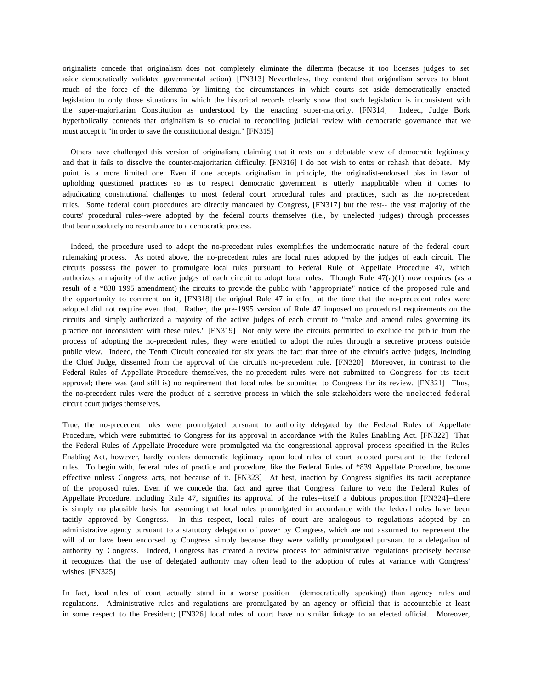originalists concede that originalism does not completely eliminate the dilemma (because it too licenses judges to set aside democratically validated governmental action). [FN313] Nevertheless, they contend that originalism serves to blunt much of the force of the dilemma by limiting the circumstances in which courts set aside democratically enacted legislation to only those situations in which the historical records clearly show that such legislation is inconsistent with the super-majoritarian Constitution as understood by the enacting super-majority. [FN314] Indeed, Judge Bork hyperbolically contends that originalism is so crucial to reconciling judicial review with democratic governance that we must accept it "in order to save the constitutional design." [FN315]

 Others have challenged this version of originalism, claiming that it rests on a debatable view of democratic legitimacy and that it fails to dissolve the counter-majoritarian difficulty. [FN316] I do not wish to enter or rehash that debate. My point is a more limited one: Even if one accepts originalism in principle, the originalist-endorsed bias in favor of upholding questioned practices so as to respect democratic government is utterly inapplicable when it comes to adjudicating constitutional challenges to most federal court procedural rules and practices, such as the no-precedent rules. Some federal court procedures are directly mandated by Congress, [FN317] but the rest-- the vast majority of the courts' procedural rules--were adopted by the federal courts themselves (i.e., by unelected judges) through processes that bear absolutely no resemblance to a democratic process.

 Indeed, the procedure used to adopt the no-precedent rules exemplifies the undemocratic nature of the federal court rulemaking process. As noted above, the no-precedent rules are local rules adopted by the judges of each circuit. The circuits possess the power to promulgate local rules pursuant to Federal Rule of Appellate Procedure 47, which authorizes a majority of the active judges of each circuit to adopt local rules. Though Rule  $47(a)(1)$  now requires (as a result of a \*838 1995 amendment) the circuits to provide the public with "appropriate" notice of the proposed rule and the opportunity to comment on it, [FN318] the original Rule 47 in effect at the time that the no-precedent rules were adopted did not require even that. Rather, the pre-1995 version of Rule 47 imposed no procedural requirements on the circuits and simply authorized a majority of the active judges of each circuit to "make and amend rules governing its practice not inconsistent with these rules." [FN319] Not only were the circuits permitted to exclude the public from the process of adopting the no-precedent rules, they were entitled to adopt the rules through a secretive process outside public view. Indeed, the Tenth Circuit concealed for six years the fact that three of the circuit's active judges, including the Chief Judge, dissented from the approval of the circuit's no-precedent rule. [FN320] Moreover, in contrast to the Federal Rules of Appellate Procedure themselves, the no-precedent rules were not submitted to Congress for its tacit approval; there was (and still is) no requirement that local rules be submitted to Congress for its review. [FN321] Thus, the no-precedent rules were the product of a secretive process in which the sole stakeholders were the unelected federal circuit court judges themselves.

True, the no-precedent rules were promulgated pursuant to authority delegated by the Federal Rules of Appellate Procedure, which were submitted to Congress for its approval in accordance with the Rules Enabling Act. [FN322] That the Federal Rules of Appellate Procedure were promulgated via the congressional approval process specified in the Rules Enabling Act, however, hardly confers democratic legitimacy upon local rules of court adopted pursuant to the federal rules. To begin with, federal rules of practice and procedure, like the Federal Rules of \*839 Appellate Procedure, become effective unless Congress acts, not because of it. [FN323] At best, inaction by Congress signifies its tacit acceptance of the proposed rules. Even if we concede that fact and agree that Congress' failure to veto the Federal Rules of Appellate Procedure, including Rule 47, signifies its approval of the rules--itself a dubious proposition [FN324]--there is simply no plausible basis for assuming that local rules promulgated in accordance with the federal rules have been tacitly approved by Congress. In this respect, local rules of court are analogous to regulations adopted by an administrative agency pursuant to a statutory delegation of power by Congress, which are not assumed to represent the will of or have been endorsed by Congress simply because they were validly promulgated pursuant to a delegation of authority by Congress. Indeed, Congress has created a review process for administrative regulations precisely because it recognizes that the use of delegated authority may often lead to the adoption of rules at variance with Congress' wishes. [FN325]

In fact, local rules of court actually stand in a worse position (democratically speaking) than agency rules and regulations. Administrative rules and regulations are promulgated by an agency or official that is accountable at least in some respect to the President; [FN326] local rules of court have no similar linkage to an elected official. Moreover,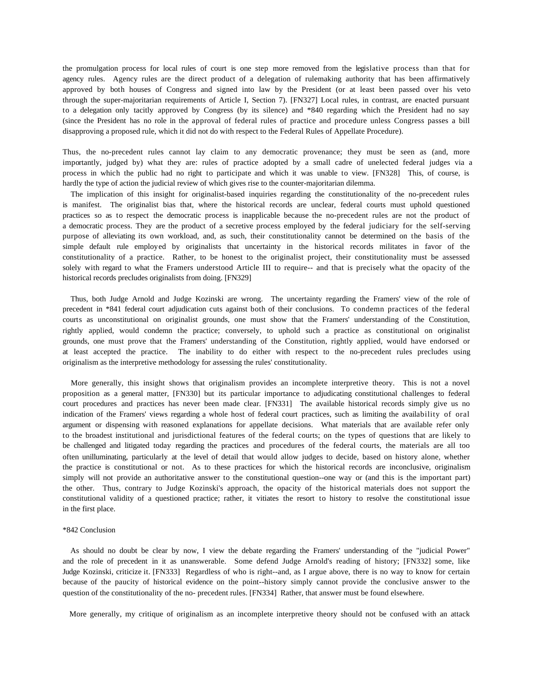the promulgation process for local rules of court is one step more removed from the legislative process than that for agency rules. Agency rules are the direct product of a delegation of rulemaking authority that has been affirmatively approved by both houses of Congress and signed into law by the President (or at least been passed over his veto through the super-majoritarian requirements of Article I, Section 7). [FN327] Local rules, in contrast, are enacted pursuant to a delegation only tacitly approved by Congress (by its silence) and \*840 regarding which the President had no say (since the President has no role in the approval of federal rules of practice and procedure unless Congress passes a bill disapproving a proposed rule, which it did not do with respect to the Federal Rules of Appellate Procedure).

Thus, the no-precedent rules cannot lay claim to any democratic provenance; they must be seen as (and, more importantly, judged by) what they are: rules of practice adopted by a small cadre of unelected federal judges via a process in which the public had no right to participate and which it was unable to view. [FN328] This, of course, is hardly the type of action the judicial review of which gives rise to the counter-majoritarian dilemma.

 The implication of this insight for originalist-based inquiries regarding the constitutionality of the no-precedent rules is manifest. The originalist bias that, where the historical records are unclear, federal courts must uphold questioned practices so as to respect the democratic process is inapplicable because the no-precedent rules are not the product of a democratic process. They are the product of a secretive process employed by the federal judiciary for the self-serving purpose of alleviating its own workload, and, as such, their constitutionality cannot be determined on the basis of the simple default rule employed by originalists that uncertainty in the historical records militates in favor of the constitutionality of a practice. Rather, to be honest to the originalist project, their constitutionality must be assessed solely with regard to what the Framers understood Article III to require-- and that is precisely what the opacity of the historical records precludes originalists from doing. [FN329]

 Thus, both Judge Arnold and Judge Kozinski are wrong. The uncertainty regarding the Framers' view of the role of precedent in \*841 federal court adjudication cuts against both of their conclusions. To condemn practices of the federal courts as unconstitutional on originalist grounds, one must show that the Framers' understanding of the Constitution, rightly applied, would condemn the practice; conversely, to uphold such a practice as constitutional on originalist grounds, one must prove that the Framers' understanding of the Constitution, rightly applied, would have endorsed or at least accepted the practice. The inability to do either with respect to the no-precedent rules precludes using originalism as the interpretive methodology for assessing the rules' constitutionality.

 More generally, this insight shows that originalism provides an incomplete interpretive theory. This is not a novel proposition as a general matter, [FN330] but its particular importance to adjudicating constitutional challenges to federal court procedures and practices has never been made clear. [FN331] The available historical records simply give us no indication of the Framers' views regarding a whole host of federal court practices, such as limiting the availability of oral argument or dispensing with reasoned explanations for appellate decisions. What materials that are available refer only to the broadest institutional and jurisdictional features of the federal courts; on the types of questions that are likely to be challenged and litigated today regarding the practices and procedures of the federal courts, the materials are all too often unilluminating, particularly at the level of detail that would allow judges to decide, based on history alone, whether the practice is constitutional or not. As to these practices for which the historical records are inconclusive, originalism simply will not provide an authoritative answer to the constitutional question--one way or (and this is the important part) the other. Thus, contrary to Judge Kozinski's approach, the opacity of the historical materials does not support the constitutional validity of a questioned practice; rather, it vitiates the resort to history to resolve the constitutional issue in the first place.

#### \*842 Conclusion

 As should no doubt be clear by now, I view the debate regarding the Framers' understanding of the "judicial Power" and the role of precedent in it as unanswerable. Some defend Judge Arnold's reading of history; [FN332] some, like Judge Kozinski, criticize it. [FN333] Regardless of who is right--and, as I argue above, there is no way to know for certain because of the paucity of historical evidence on the point--history simply cannot provide the conclusive answer to the question of the constitutionality of the no- precedent rules. [FN334] Rather, that answer must be found elsewhere.

More generally, my critique of originalism as an incomplete interpretive theory should not be confused with an attack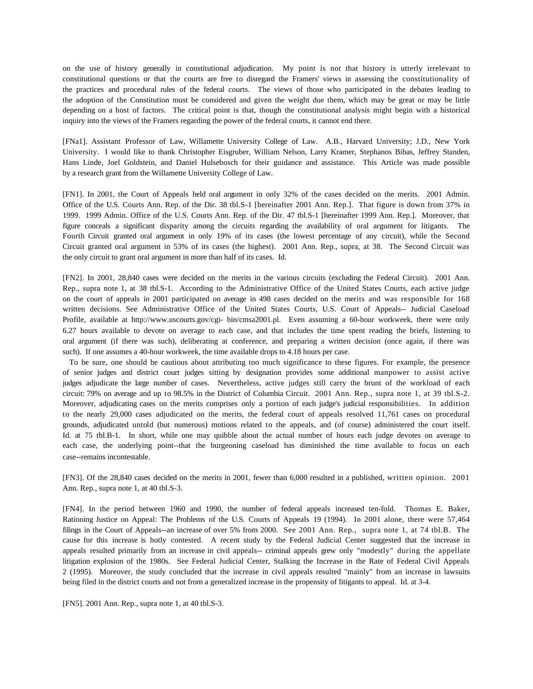on the use of history generally in constitutional adjudication. My point is not that history is utterly irrelevant to constitutional questions or that the courts are free to disregard the Framers' views in assessing the constitutionality of the practices and procedural rules of the federal courts. The views of those who participated in the debates leading to the adoption of the Constitution must be considered and given the weight due them, which may be great or may be little depending on a host of factors. The critical point is that, though the constitutional analysis might begin with a historical inquiry into the views of the Framers regarding the power of the federal courts, it cannot end there.

[FNa1]. Assistant Professor of Law, Willamette University College of Law. A.B., Harvard University; J.D., New York University. I would like to thank Christopher Eisgruber, William Nelson, Larry Kramer, Stephanos Bibas, Jeffrey Standen, Hans Linde, Joel Goldstein, and Daniel Hulsebosch for their guidance and assistance. This Article was made possible by a research grant from the Willamette University College of Law.

[FN1]. In 2001, the Court of Appeals held oral argument in only 32% of the cases decided on the merits. 2001 Admin. Office of the U.S. Courts Ann. Rep. of the Dir. 38 tbl.S-1 [hereinafter 2001 Ann. Rep.]. That figure is down from 37% in 1999. 1999 Admin. Office of the U.S. Courts Ann. Rep. of the Dir. 47 tbl.S-1 [hereinafter 1999 Ann. Rep.]. Moreover, that figure conceals a significant disparity among the circuits regarding the availability of oral argument for litigants. The Fourth Circuit granted oral argument in only 19% of its cases (the lowest percentage of any circuit), while the Second Circuit granted oral argument in 53% of its cases (the highest). 2001 Ann. Rep., supra, at 38. The Second Circuit was the only circuit to grant oral argument in more than half of its cases. Id.

[FN2]. In 2001, 28,840 cases were decided on the merits in the various circuits (excluding the Federal Circuit). 2001 Ann. Rep., supra note 1, at 38 tbl.S-1. According to the Administrative Office of the United States Courts, each active judge on the court of appeals in 2001 participated on average in 498 cases decided on the merits and was responsible for 168 written decisions. See Administrative Office of the United States Courts, U.S. Court of Appeals-- Judicial Caseload Profile, available at http://www.uscourts.gov/cgi- bin/cmsa2001.pl. Even assuming a 60-hour workweek, there were only 6.27 hours available to devote on average to each case, and that includes the time spent reading the briefs, listening to oral argument (if there was such), deliberating at conference, and preparing a written decision (once again, if there was such). If one assumes a 40-hour workweek, the time available drops to 4.18 hours per case.

 To be sure, one should be cautious about attributing too much significance to these figures. For example, the presence of senior judges and district court judges sitting by designation provides some additional manpower to assist active judges adjudicate the large number of cases. Nevertheless, active judges still carry the brunt of the workload of each circuit: 79% on average and up to 98.5% in the District of Columbia Circuit. 2001 Ann. Rep., supra note 1, at 39 tbl.S-2. Moreover, adjudicating cases on the merits comprises only a portion of each judge's judicial responsibilities. In addition to the nearly 29,000 cases adjudicated on the merits, the federal court of appeals resolved 11,761 cases on procedural grounds, adjudicated untold (but numerous) motions related to the appeals, and (of course) administered the court itself. Id. at 75 tbl.B-1. In short, while one may quibble about the actual number of hours each judge devotes on average to each case, the underlying point--that the burgeoning caseload has diminished the time available to focus on each case--remains incontestable.

[FN3]. Of the 28,840 cases decided on the merits in 2001, fewer than 6,000 resulted in a published, written opinion. 2001 Ann. Rep., supra note 1, at 40 tbl.S-3.

[FN4]. In the period between 1960 and 1990, the number of federal appeals increased ten-fold. Thomas E. Baker, Rationing Justice on Appeal: The Problems of the U.S. Courts of Appeals 19 (1994). In 2001 alone, there were 57,464 filings in the Court of Appeals--an increase of over 5% from 2000. See 2001 Ann. Rep., supra note 1, at 74 tbl.B. The cause for this increase is hotly contested. A recent study by the Federal Judicial Center suggested that the increase in appeals resulted primarily from an increase in civil appeals-- criminal appeals grew only "modestly" during the appellate litigation explosion of the 1980s. See Federal Judicial Center, Stalking the Increase in the Rate of Federal Civil Appeals 2 (1995). Moreover, the study concluded that the increase in civil appeals resulted "mainly" from an increase in lawsuits being filed in the district courts and not from a generalized increase in the propensity of litigants to appeal. Id. at 3-4.

[FN5]. 2001 Ann. Rep., supra note 1, at 40 tbl.S-3.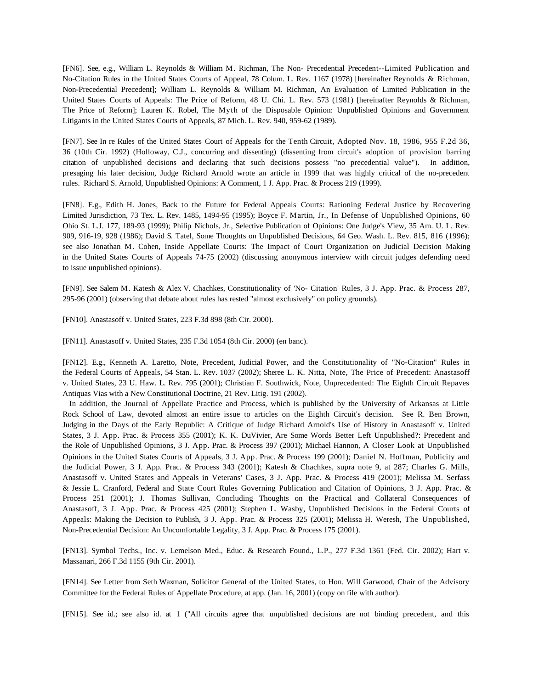[FN6]. See, e.g., William L. Reynolds & William M. Richman, The Non- Precedential Precedent--Limited Publication and No-Citation Rules in the United States Courts of Appeal, 78 Colum. L. Rev. 1167 (1978) [hereinafter Reynolds & Richman, Non-Precedential Precedent]; William L. Reynolds & William M. Richman, An Evaluation of Limited Publication in the United States Courts of Appeals: The Price of Reform, 48 U. Chi. L. Rev. 573 (1981) [hereinafter Reynolds & Richman, The Price of Reform]; Lauren K. Robel, The Myth of the Disposable Opinion: Unpublished Opinions and Government Litigants in the United States Courts of Appeals, 87 Mich. L. Rev. 940, 959-62 (1989).

[FN7]. See In re Rules of the United States Court of Appeals for the Tenth Circuit, Adopted Nov. 18, 1986, 955 F.2d 36, 36 (10th Cir. 1992) (Holloway, C.J., concurring and dissenting) (dissenting from circuit's adoption of provision barring citation of unpublished decisions and declaring that such decisions possess "no precedential value"). In addition, presaging his later decision, Judge Richard Arnold wrote an article in 1999 that was highly critical of the no-precedent rules. Richard S. Arnold, Unpublished Opinions: A Comment, 1 J. App. Prac. & Process 219 (1999).

[FN8]. E.g., Edith H. Jones, Back to the Future for Federal Appeals Courts: Rationing Federal Justice by Recovering Limited Jurisdiction, 73 Tex. L. Rev. 1485, 1494-95 (1995); Boyce F. Martin, Jr., In Defense of Unpublished Opinions, 60 Ohio St. L.J. 177, 189-93 (1999); Philip Nichols, Jr., Selective Publication of Opinions: One Judge's View, 35 Am. U. L. Rev. 909, 916-19, 928 (1986); David S. Tatel, Some Thoughts on Unpublished Decisions, 64 Geo. Wash. L. Rev. 815, 816 (1996); see also Jonathan M. Cohen, Inside Appellate Courts: The Impact of Court Organization on Judicial Decision Making in the United States Courts of Appeals 74-75 (2002) (discussing anonymous interview with circuit judges defending need to issue unpublished opinions).

[FN9]. See Salem M. Katesh & Alex V. Chachkes, Constitutionality of 'No- Citation' Rules, 3 J. App. Prac. & Process 287, 295-96 (2001) (observing that debate about rules has rested "almost exclusively" on policy grounds).

[FN10]. Anastasoff v. United States, 223 F.3d 898 (8th Cir. 2000).

[FN11]. Anastasoff v. United States, 235 F.3d 1054 (8th Cir. 2000) (en banc).

[FN12]. E.g., Kenneth A. Laretto, Note, Precedent, Judicial Power, and the Constitutionality of "No-Citation" Rules in the Federal Courts of Appeals, 54 Stan. L. Rev. 1037 (2002); Sheree L. K. Nitta, Note, The Price of Precedent: Anastasoff v. United States, 23 U. Haw. L. Rev. 795 (2001); Christian F. Southwick, Note, Unprecedented: The Eighth Circuit Repaves Antiquas Vias with a New Constitutional Doctrine, 21 Rev. Litig. 191 (2002).

 In addition, the Journal of Appellate Practice and Process, which is published by the University of Arkansas at Little Rock School of Law, devoted almost an entire issue to articles on the Eighth Circuit's decision. See R. Ben Brown, Judging in the Days of the Early Republic: A Critique of Judge Richard Arnold's Use of History in Anastasoff v. United States, 3 J. App. Prac. & Process 355 (2001); K. K. DuVivier, Are Some Words Better Left Unpublished?: Precedent and the Role of Unpublished Opinions, 3 J. App. Prac. & Process 397 (2001); Michael Hannon, A Closer Look at Unpublished Opinions in the United States Courts of Appeals, 3 J. App. Prac. & Process 199 (2001); Daniel N. Hoffman, Publicity and the Judicial Power, 3 J. App. Prac. & Process 343 (2001); Katesh & Chachkes, supra note 9, at 287; Charles G. Mills, Anastasoff v. United States and Appeals in Veterans' Cases, 3 J. App. Prac. & Process 419 (2001); Melissa M. Serfass & Jessie L. Cranford, Federal and State Court Rules Governing Publication and Citation of Opinions, 3 J. App. Prac. & Process 251 (2001); J. Thomas Sullivan, Concluding Thoughts on the Practical and Collateral Consequences of Anastasoff, 3 J. App. Prac. & Process 425 (2001); Stephen L. Wasby, Unpublished Decisions in the Federal Courts of Appeals: Making the Decision to Publish, 3 J. App. Prac. & Process 325 (2001); Melissa H. Weresh, The Unpublished, Non-Precedential Decision: An Uncomfortable Legality, 3 J. App. Prac. & Process 175 (2001).

[FN13]. Symbol Techs., Inc. v. Lemelson Med., Educ. & Research Found., L.P., 277 F.3d 1361 (Fed. Cir. 2002); Hart v. Massanari, 266 F.3d 1155 (9th Cir. 2001).

[FN14]. See Letter from Seth Waxman, Solicitor General of the United States, to Hon. Will Garwood, Chair of the Advisory Committee for the Federal Rules of Appellate Procedure, at app. (Jan. 16, 2001) (copy on file with author).

[FN15]. See id.; see also id. at 1 ("All circuits agree that unpublished decisions are not binding precedent, and this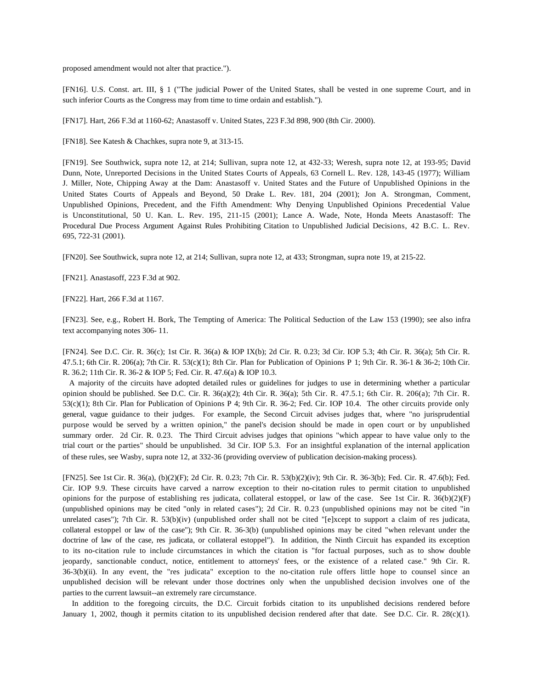proposed amendment would not alter that practice.").

[FN16]. U.S. Const. art. III, § 1 ("The judicial Power of the United States, shall be vested in one supreme Court, and in such inferior Courts as the Congress may from time to time ordain and establish.").

[FN17]. Hart, 266 F.3d at 1160-62; Anastasoff v. United States, 223 F.3d 898, 900 (8th Cir. 2000).

[FN18]. See Katesh & Chachkes, supra note 9, at 313-15.

[FN19]. See Southwick, supra note 12, at 214; Sullivan, supra note 12, at 432-33; Weresh, supra note 12, at 193-95; David Dunn, Note, Unreported Decisions in the United States Courts of Appeals, 63 Cornell L. Rev. 128, 143-45 (1977); William J. Miller, Note, Chipping Away at the Dam: Anastasoff v. United States and the Future of Unpublished Opinions in the United States Courts of Appeals and Beyond, 50 Drake L. Rev. 181, 204 (2001); Jon A. Strongman, Comment, Unpublished Opinions, Precedent, and the Fifth Amendment: Why Denying Unpublished Opinions Precedential Value is Unconstitutional, 50 U. Kan. L. Rev. 195, 211-15 (2001); Lance A. Wade, Note, Honda Meets Anastasoff: The Procedural Due Process Argument Against Rules Prohibiting Citation to Unpublished Judicial Decisions, 42 B.C. L. Rev. 695, 722-31 (2001).

[FN20]. See Southwick, supra note 12, at 214; Sullivan, supra note 12, at 433; Strongman, supra note 19, at 215-22.

[FN21]. Anastasoff, 223 F.3d at 902.

[FN22]. Hart, 266 F.3d at 1167.

[FN23]. See, e.g., Robert H. Bork, The Tempting of America: The Political Seduction of the Law 153 (1990); see also infra text accompanying notes 306- 11.

[FN24]. See D.C. Cir. R. 36(c); 1st Cir. R. 36(a) & IOP IX(b); 2d Cir. R. 0.23; 3d Cir. IOP 5.3; 4th Cir. R. 36(a); 5th Cir. R. 47.5.1; 6th Cir. R. 206(a); 7th Cir. R. 53(c)(1); 8th Cir. Plan for Publication of Opinions P 1; 9th Cir. R. 36-1 & 36-2; 10th Cir. R. 36.2; 11th Cir. R. 36-2 & IOP 5; Fed. Cir. R. 47.6(a) & IOP 10.3.

 A majority of the circuits have adopted detailed rules or guidelines for judges to use in determining whether a particular opinion should be published. See D.C. Cir. R. 36(a)(2); 4th Cir. R. 36(a); 5th Cir. R. 47.5.1; 6th Cir. R. 206(a); 7th Cir. R. 53(c)(1); 8th Cir. Plan for Publication of Opinions P 4; 9th Cir. R. 36-2; Fed. Cir. IOP 10.4. The other circuits provide only general, vague guidance to their judges. For example, the Second Circuit advises judges that, where "no jurisprudential purpose would be served by a written opinion," the panel's decision should be made in open court or by unpublished summary order. 2d Cir. R. 0.23. The Third Circuit advises judges that opinions "which appear to have value only to the trial court or the parties" should be unpublished. 3d Cir. IOP 5.3. For an insightful explanation of the internal application of these rules, see Wasby, supra note 12, at 332-36 (providing overview of publication decision-making process).

[FN25]. See 1st Cir. R. 36(a), (b)(2)(F); 2d Cir. R. 0.23; 7th Cir. R. 53(b)(2)(iv); 9th Cir. R. 36-3(b); Fed. Cir. R. 47.6(b); Fed. Cir. IOP 9.9. These circuits have carved a narrow exception to their no-citation rules to permit citation to unpublished opinions for the purpose of establishing res judicata, collateral estoppel, or law of the case. See 1st Cir. R.  $36(b)(2)(F)$ (unpublished opinions may be cited "only in related cases"); 2d Cir. R. 0.23 (unpublished opinions may not be cited "in unrelated cases"); 7th Cir. R.  $53(b)(iv)$  (unpublished order shall not be cited "[e]xcept to support a claim of res judicata, collateral estoppel or law of the case"); 9th Cir. R. 36-3(b) (unpublished opinions may be cited "when relevant under the doctrine of law of the case, res judicata, or collateral estoppel"). In addition, the Ninth Circuit has expanded its exception to its no-citation rule to include circumstances in which the citation is "for factual purposes, such as to show double jeopardy, sanctionable conduct, notice, entitlement to attorneys' fees, or the existence of a related case." 9th Cir. R. 36-3(b)(ii). In any event, the "res judicata" exception to the no-citation rule offers little hope to counsel since an unpublished decision will be relevant under those doctrines only when the unpublished decision involves one of the parties to the current lawsuit--an extremely rare circumstance.

 In addition to the foregoing circuits, the D.C. Circuit forbids citation to its unpublished decisions rendered before January 1, 2002, though it permits citation to its unpublished decision rendered after that date. See D.C. Cir. R.  $28(c)(1)$ .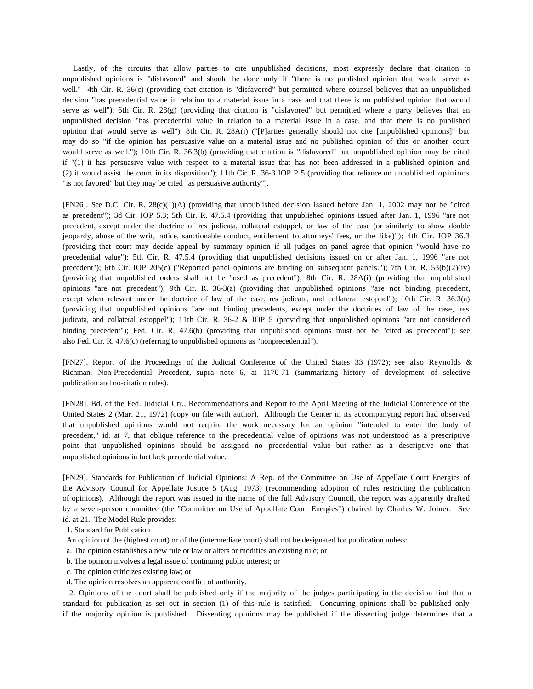Lastly, of the circuits that allow parties to cite unpublished decisions, most expressly declare that citation to unpublished opinions is "disfavored" and should be done only if "there is no published opinion that would serve as well." 4th Cir. R. 36(c) (providing that citation is "disfavored" but permitted where counsel believes that an unpublished decision "has precedential value in relation to a material issue in a case and that there is no published opinion that would serve as well"); 6th Cir. R. 28(g) (providing that citation is "disfavored" but permitted where a party believes that an unpublished decision "has precedential value in relation to a material issue in a case, and that there is no published opinion that would serve as well"); 8th Cir. R. 28A(i) ("[P]arties generally should not cite [unpublished opinions]" but may do so "if the opinion has persuasive value on a material issue and no published opinion of this or another court would serve as well."); 10th Cir. R. 36.3(b) (providing that citation is "disfavored" but unpublished opinion may be cited if "(1) it has persuasive value with respect to a material issue that has not been addressed in a published opinion and (2) it would assist the court in its disposition"); 11th Cir. R. 36-3 IOP P 5 (providing that reliance on unpublished opinions "is not favored" but they may be cited "as persuasive authority").

[FN26]. See D.C. Cir. R. 28(c)(1)(A) (providing that unpublished decision issued before Jan. 1, 2002 may not be "cited as precedent"); 3d Cir. IOP 5.3; 5th Cir. R. 47.5.4 (providing that unpublished opinions issued after Jan. 1, 1996 "are not precedent, except under the doctrine of res judicata, collateral estoppel, or law of the case (or similarly to show double jeopardy, abuse of the writ, notice, sanctionable conduct, entitlement to attorneys' fees, or the like)"); 4th Cir. IOP 36.3 (providing that court may decide appeal by summary opinion if all judges on panel agree that opinion "would have no precedential value"); 5th Cir. R. 47.5.4 (providing that unpublished decisions issued on or after Jan. 1, 1996 "are not precedent"); 6th Cir. IOP 205(c) ("Reported panel opinions are binding on subsequent panels."); 7th Cir. R. 53(b)(2)(iv) (providing that unpublished orders shall not be "used as precedent"); 8th Cir. R. 28A(i) (providing that unpublished opinions "are not precedent"); 9th Cir. R. 36-3(a) (providing that unpublished opinions "are not binding precedent, except when relevant under the doctrine of law of the case, res judicata, and collateral estoppel"); 10th Cir. R. 36.3(a) (providing that unpublished opinions "are not binding precedents, except under the doctrines of law of the case, res judicata, and collateral estoppel"); 11th Cir. R. 36-2 & IOP 5 (providing that unpublished opinions "are not considered binding precedent"); Fed. Cir. R. 47.6(b) (providing that unpublished opinions must not be "cited as precedent"); see also Fed. Cir. R. 47.6(c) (referring to unpublished opinions as "nonprecedential").

[FN27]. Report of the Proceedings of the Judicial Conference of the United States 33 (1972); see also Reynolds & Richman, Non-Precedential Precedent, supra note 6, at 1170-71 (summarizing history of development of selective publication and no-citation rules).

[FN28]. Bd. of the Fed. Judicial Ctr., Recommendations and Report to the April Meeting of the Judicial Conference of the United States 2 (Mar. 21, 1972) (copy on file with author). Although the Center in its accompanying report had observed that unpublished opinions would not require the work necessary for an opinion "intended to enter the body of precedent," id. at 7, that oblique reference to the precedential value of opinions was not understood as a prescriptive point--that unpublished opinions should be assigned no precedential value--but rather as a descriptive one--that unpublished opinions in fact lack precedential value.

[FN29]. Standards for Publication of Judicial Opinions: A Rep. of the Committee on Use of Appellate Court Energies of the Advisory Council for Appellate Justice 5 (Aug. 1973) (recommending adoption of rules restricting the publication of opinions). Although the report was issued in the name of the full Advisory Council, the report was apparently drafted by a seven-person committee (the "Committee on Use of Appellate Court Energies") chaired by Charles W. Joiner. See id. at 21. The Model Rule provides:

1. Standard for Publication

- An opinion of the (highest court) or of the (intermediate court) shall not be designated for publication unless:
- a. The opinion establishes a new rule or law or alters or modifies an existing rule; or
- b. The opinion involves a legal issue of continuing public interest; or
- c. The opinion criticizes existing law; or
- d. The opinion resolves an apparent conflict of authority.

 2. Opinions of the court shall be published only if the majority of the judges participating in the decision find that a standard for publication as set out in section (1) of this rule is satisfied. Concurring opinions shall be published only if the majority opinion is published. Dissenting opinions may be published if the dissenting judge determines that a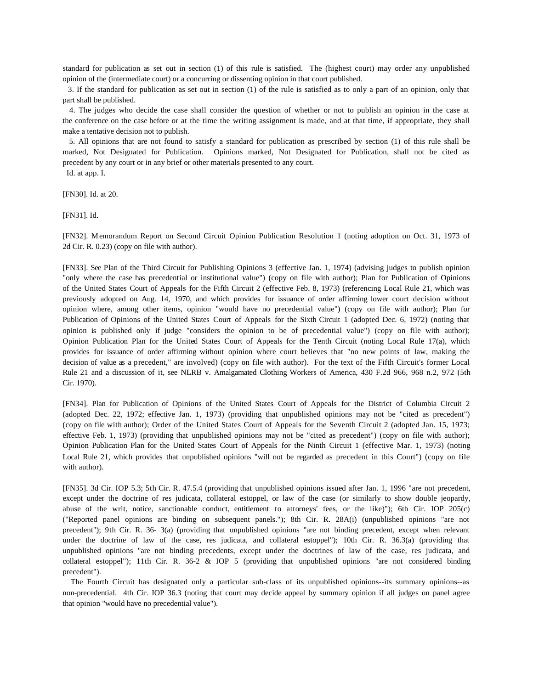standard for publication as set out in section (1) of this rule is satisfied. The (highest court) may order any unpublished opinion of the (intermediate court) or a concurring or dissenting opinion in that court published.

 3. If the standard for publication as set out in section (1) of the rule is satisfied as to only a part of an opinion, only that part shall be published.

 4. The judges who decide the case shall consider the question of whether or not to publish an opinion in the case at the conference on the case before or at the time the writing assignment is made, and at that time, if appropriate, they shall make a tentative decision not to publish.

 5. All opinions that are not found to satisfy a standard for publication as prescribed by section (1) of this rule shall be marked, Not Designated for Publication. Opinions marked, Not Designated for Publication, shall not be cited as precedent by any court or in any brief or other materials presented to any court.

Id. at app. I.

[FN30]. Id. at 20.

[FN31]. Id.

[FN32]. M emorandum Report on Second Circuit Opinion Publication Resolution 1 (noting adoption on Oct. 31, 1973 of 2d Cir. R. 0.23) (copy on file with author).

[FN33]. See Plan of the Third Circuit for Publishing Opinions 3 (effective Jan. 1, 1974) (advising judges to publish opinion "only where the case has precedential or institutional value") (copy on file with author); Plan for Publication of Opinions of the United States Court of Appeals for the Fifth Circuit 2 (effective Feb. 8, 1973) (referencing Local Rule 21, which was previously adopted on Aug. 14, 1970, and which provides for issuance of order affirming lower court decision without opinion where, among other items, opinion "would have no precedential value") (copy on file with author); Plan for Publication of Opinions of the United States Court of Appeals for the Sixth Circuit 1 (adopted Dec. 6, 1972) (noting that opinion is published only if judge "considers the opinion to be of precedential value") (copy on file with author); Opinion Publication Plan for the United States Court of Appeals for the Tenth Circuit (noting Local Rule 17(a), which provides for issuance of order affirming without opinion where court believes that "no new points of law, making the decision of value as a precedent," are involved) (copy on file with author). For the text of the Fifth Circuit's former Local Rule 21 and a discussion of it, see NLRB v. Amalgamated Clothing Workers of America, 430 F.2d 966, 968 n.2, 972 (5th Cir. 1970).

[FN34]. Plan for Publication of Opinions of the United States Court of Appeals for the District of Columbia Circuit 2 (adopted Dec. 22, 1972; effective Jan. 1, 1973) (providing that unpublished opinions may not be "cited as precedent") (copy on file with author); Order of the United States Court of Appeals for the Seventh Circuit 2 (adopted Jan. 15, 1973; effective Feb. 1, 1973) (providing that unpublished opinions may not be "cited as precedent") (copy on file with author); Opinion Publication Plan for the United States Court of Appeals for the Ninth Circuit 1 (effective Mar. 1, 1973) (noting Local Rule 21, which provides that unpublished opinions "will not be regarded as precedent in this Court") (copy on file with author).

[FN35]. 3d Cir. IOP 5.3; 5th Cir. R. 47.5.4 (providing that unpublished opinions issued after Jan. 1, 1996 "are not precedent, except under the doctrine of res judicata, collateral estoppel, or law of the case (or similarly to show double jeopardy, abuse of the writ, notice, sanctionable conduct, entitlement to attorneys' fees, or the like)"); 6th Cir. IOP 205(c) ("Reported panel opinions are binding on subsequent panels."); 8th Cir. R. 28A(i) (unpublished opinions "are not precedent"); 9th Cir. R. 36- 3(a) (providing that unpublished opinions "are not binding precedent, except when relevant under the doctrine of law of the case, res judicata, and collateral estoppel"); 10th Cir. R. 36.3(a) (providing that unpublished opinions "are not binding precedents, except under the doctrines of law of the case, res judicata, and collateral estoppel"); 11th Cir. R. 36-2 & IOP 5 (providing that unpublished opinions "are not considered binding precedent").

 The Fourth Circuit has designated only a particular sub-class of its unpublished opinions--its summary opinions--as non-precedential. 4th Cir. IOP 36.3 (noting that court may decide appeal by summary opinion if all judges on panel agree that opinion "would have no precedential value").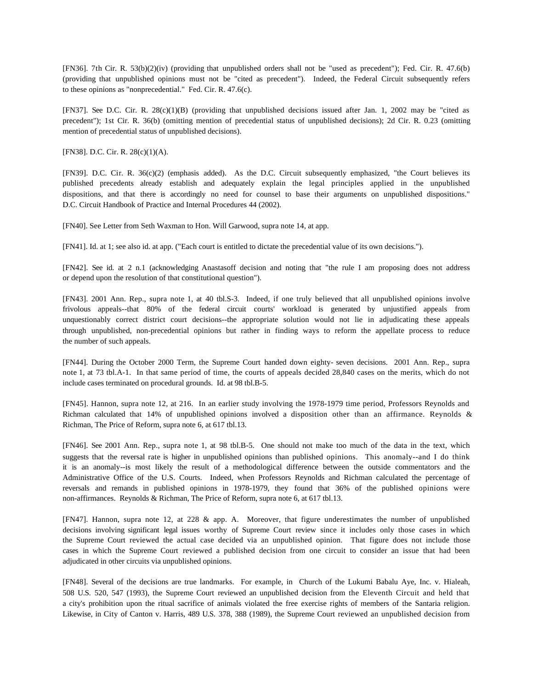[FN36]. 7th Cir. R. 53(b)(2)(iv) (providing that unpublished orders shall not be "used as precedent"); Fed. Cir. R. 47.6(b) (providing that unpublished opinions must not be "cited as precedent"). Indeed, the Federal Circuit subsequently refers to these opinions as "nonprecedential." Fed. Cir. R. 47.6(c).

[FN37]. See D.C. Cir. R. 28(c)(1)(B) (providing that unpublished decisions issued after Jan. 1, 2002 may be "cited as precedent"); 1st Cir. R. 36(b) (omitting mention of precedential status of unpublished decisions); 2d Cir. R. 0.23 (omitting mention of precedential status of unpublished decisions).

[FN38]. D.C. Cir. R. 28(c)(1)(A).

[FN39]. D.C. Cir. R. 36(c)(2) (emphasis added). As the D.C. Circuit subsequently emphasized, "the Court believes its published precedents already establish and adequately explain the legal principles applied in the unpublished dispositions, and that there is accordingly no need for counsel to base their arguments on unpublished dispositions." D.C. Circuit Handbook of Practice and Internal Procedures 44 (2002).

[FN40]. See Letter from Seth Waxman to Hon. Will Garwood, supra note 14, at app.

[FN41]. Id. at 1; see also id. at app. ("Each court is entitled to dictate the precedential value of its own decisions.").

[FN42]. See id. at 2 n.1 (acknowledging Anastasoff decision and noting that "the rule I am proposing does not address or depend upon the resolution of that constitutional question").

[FN43]. 2001 Ann. Rep., supra note 1, at 40 tbl.S-3. Indeed, if one truly believed that all unpublished opinions involve frivolous appeals--that 80% of the federal circuit courts' workload is generated by unjustified appeals from unquestionably correct district court decisions--the appropriate solution would not lie in adjudicating these appeals through unpublished, non-precedential opinions but rather in finding ways to reform the appellate process to reduce the number of such appeals.

[FN44]. During the October 2000 Term, the Supreme Court handed down eighty- seven decisions. 2001 Ann. Rep., supra note 1, at 73 tbl.A-1. In that same period of time, the courts of appeals decided 28,840 cases on the merits, which do not include cases terminated on procedural grounds. Id. at 98 tbl.B-5.

[FN45]. Hannon, supra note 12, at 216. In an earlier study involving the 1978-1979 time period, Professors Reynolds and Richman calculated that 14% of unpublished opinions involved a disposition other than an affirmance. Reynolds & Richman, The Price of Reform, supra note 6, at 617 tbl.13.

[FN46]. See 2001 Ann. Rep., supra note 1, at 98 tbl.B-5. One should not make too much of the data in the text, which suggests that the reversal rate is higher in unpublished opinions than published opinions. This anomaly--and I do think it is an anomaly--is most likely the result of a methodological difference between the outside commentators and the Administrative Office of the U.S. Courts. Indeed, when Professors Reynolds and Richman calculated the percentage of reversals and remands in published opinions in 1978-1979, they found that 36% of the published opinions were non-affirmances. Reynolds & Richman, The Price of Reform, supra note 6, at 617 tbl.13.

[FN47]. Hannon, supra note 12, at 228 & app. A. Moreover, that figure underestimates the number of unpublished decisions involving significant legal issues worthy of Supreme Court review since it includes only those cases in which the Supreme Court reviewed the actual case decided via an unpublished opinion. That figure does not include those cases in which the Supreme Court reviewed a published decision from one circuit to consider an issue that had been adjudicated in other circuits via unpublished opinions.

[FN48]. Several of the decisions are true landmarks. For example, in Church of the Lukumi Babalu Aye, Inc. v. Hialeah, 508 U.S. 520, 547 (1993), the Supreme Court reviewed an unpublished decision from the Eleventh Circuit and held that a city's prohibition upon the ritual sacrifice of animals violated the free exercise rights of members of the Santaria religion. Likewise, in City of Canton v. Harris, 489 U.S. 378, 388 (1989), the Supreme Court reviewed an unpublished decision from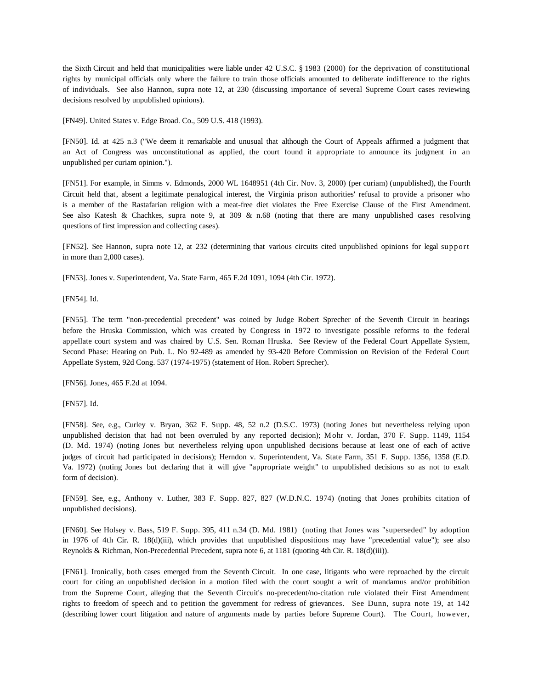the Sixth Circuit and held that municipalities were liable under 42 U.S.C. § 1983 (2000) for the deprivation of constitutional rights by municipal officials only where the failure to train those officials amounted to deliberate indifference to the rights of individuals. See also Hannon, supra note 12, at 230 (discussing importance of several Supreme Court cases reviewing decisions resolved by unpublished opinions).

[FN49]. United States v. Edge Broad. Co., 509 U.S. 418 (1993).

[FN50]. Id. at 425 n.3 ("We deem it remarkable and unusual that although the Court of Appeals affirmed a judgment that an Act of Congress was unconstitutional as applied, the court found it appropriate to announce its judgment in an unpublished per curiam opinion.").

[FN51]. For example, in Simms v. Edmonds, 2000 WL 1648951 (4th Cir. Nov. 3, 2000) (per curiam) (unpublished), the Fourth Circuit held that, absent a legitimate penalogical interest, the Virginia prison authorities' refusal to provide a prisoner who is a member of the Rastafarian religion with a meat-free diet violates the Free Exercise Clause of the First Amendment. See also Katesh & Chachkes, supra note 9, at 309 & n.68 (noting that there are many unpublished cases resolving questions of first impression and collecting cases).

[FN52]. See Hannon, supra note 12, at 232 (determining that various circuits cited unpublished opinions for legal support in more than 2,000 cases).

[FN53]. Jones v. Superintendent, Va. State Farm, 465 F.2d 1091, 1094 (4th Cir. 1972).

[FN54]. Id.

[FN55]. The term "non-precedential precedent" was coined by Judge Robert Sprecher of the Seventh Circuit in hearings before the Hruska Commission, which was created by Congress in 1972 to investigate possible reforms to the federal appellate court system and was chaired by U.S. Sen. Roman Hruska. See Review of the Federal Court Appellate System, Second Phase: Hearing on Pub. L. No 92-489 as amended by 93-420 Before Commission on Revision of the Federal Court Appellate System, 92d Cong. 537 (1974-1975) (statement of Hon. Robert Sprecher).

[FN56]. Jones, 465 F.2d at 1094.

[FN57]. Id.

[FN58]. See, e.g., Curley v. Bryan, 362 F. Supp. 48, 52 n.2 (D.S.C. 1973) (noting Jones but nevertheless relying upon unpublished decision that had not been overruled by any reported decision); Mohr v. Jordan, 370 F. Supp. 1149, 1154 (D. Md. 1974) (noting Jones but nevertheless relying upon unpublished decisions because at least one of each of active judges of circuit had participated in decisions); Herndon v. Superintendent, Va. State Farm, 351 F. Supp. 1356, 1358 (E.D. Va. 1972) (noting Jones but declaring that it will give "appropriate weight" to unpublished decisions so as not to exalt form of decision).

[FN59]. See, e.g., Anthony v. Luther, 383 F. Supp. 827, 827 (W.D.N.C. 1974) (noting that Jones prohibits citation of unpublished decisions).

[FN60]. See Holsey v. Bass, 519 F. Supp. 395, 411 n.34 (D. Md. 1981) (noting that Jones was "superseded" by adoption in 1976 of 4th Cir. R. 18(d)(iii), which provides that unpublished dispositions may have "precedential value"); see also Reynolds & Richman, Non-Precedential Precedent, supra note 6, at 1181 (quoting 4th Cir. R. 18(d)(iii)).

[FN61]. Ironically, both cases emerged from the Seventh Circuit. In one case, litigants who were reproached by the circuit court for citing an unpublished decision in a motion filed with the court sought a writ of mandamus and/or prohibition from the Supreme Court, alleging that the Seventh Circuit's no-precedent/no-citation rule violated their First Amendment rights to freedom of speech and to petition the government for redress of grievances. See Dunn, supra note 19, at 142 (describing lower court litigation and nature of arguments made by parties before Supreme Court). The Court, however,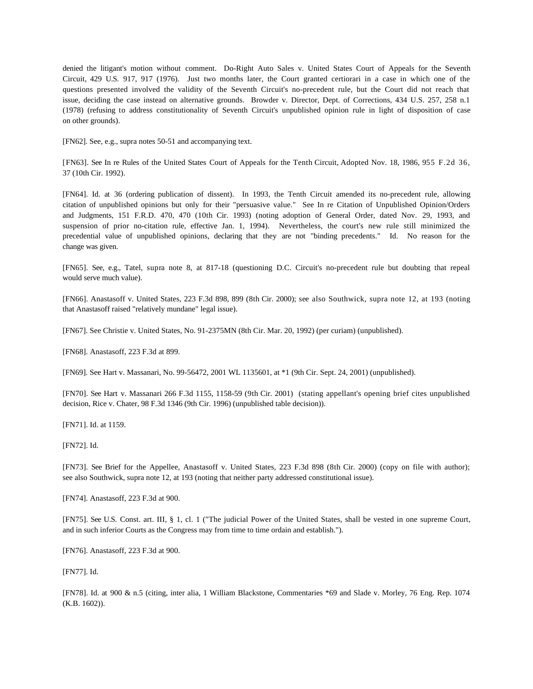denied the litigant's motion without comment. Do-Right Auto Sales v. United States Court of Appeals for the Seventh Circuit, 429 U.S. 917, 917 (1976). Just two months later, the Court granted certiorari in a case in which one of the questions presented involved the validity of the Seventh Circuit's no-precedent rule, but the Court did not reach that issue, deciding the case instead on alternative grounds. Browder v. Director, Dept. of Corrections, 434 U.S. 257, 258 n.1 (1978) (refusing to address constitutionality of Seventh Circuit's unpublished opinion rule in light of disposition of case on other grounds).

[FN62]. See, e.g., supra notes 50-51 and accompanying text.

[FN63]. See In re Rules of the United States Court of Appeals for the Tenth Circuit, Adopted Nov. 18, 1986, 955 F.2d 36, 37 (10th Cir. 1992).

[FN64]. Id. at 36 (ordering publication of dissent). In 1993, the Tenth Circuit amended its no-precedent rule, allowing citation of unpublished opinions but only for their "persuasive value." See In re Citation of Unpublished Opinion/Orders and Judgments, 151 F.R.D. 470, 470 (10th Cir. 1993) (noting adoption of General Order, dated Nov. 29, 1993, and suspension of prior no-citation rule, effective Jan. 1, 1994). Nevertheless, the court's new rule still minimized the precedential value of unpublished opinions, declaring that they are not "binding precedents." Id. No reason for the change was given.

[FN65]. See, e.g., Tatel, supra note 8, at 817-18 (questioning D.C. Circuit's no-precedent rule but doubting that repeal would serve much value).

[FN66]. Anastasoff v. United States, 223 F.3d 898, 899 (8th Cir. 2000); see also Southwick, supra note 12, at 193 (noting that Anastasoff raised "relatively mundane" legal issue).

[FN67]. See Christie v. United States, No. 91-2375MN (8th Cir. Mar. 20, 1992) (per curiam) (unpublished).

[FN68]. Anastasoff, 223 F.3d at 899.

[FN69]. See Hart v. Massanari, No. 99-56472, 2001 WL 1135601, at \*1 (9th Cir. Sept. 24, 2001) (unpublished).

[FN70]. See Hart v. Massanari 266 F.3d 1155, 1158-59 (9th Cir. 2001) (stating appellant's opening brief cites unpublished decision, Rice v. Chater, 98 F.3d 1346 (9th Cir. 1996) (unpublished table decision)).

[FN71]. Id. at 1159.

[FN72]. Id.

[FN73]. See Brief for the Appellee, Anastasoff v. United States, 223 F.3d 898 (8th Cir. 2000) (copy on file with author); see also Southwick, supra note 12, at 193 (noting that neither party addressed constitutional issue).

[FN74]. Anastasoff, 223 F.3d at 900.

[FN75]. See U.S. Const. art. III, § 1, cl. 1 ("The judicial Power of the United States, shall be vested in one supreme Court, and in such inferior Courts as the Congress may from time to time ordain and establish.").

[FN76]. Anastasoff, 223 F.3d at 900.

[FN77]. Id.

[FN78]. Id. at 900 & n.5 (citing, inter alia, 1 William Blackstone, Commentaries \*69 and Slade v. Morley, 76 Eng. Rep. 1074 (K.B. 1602)).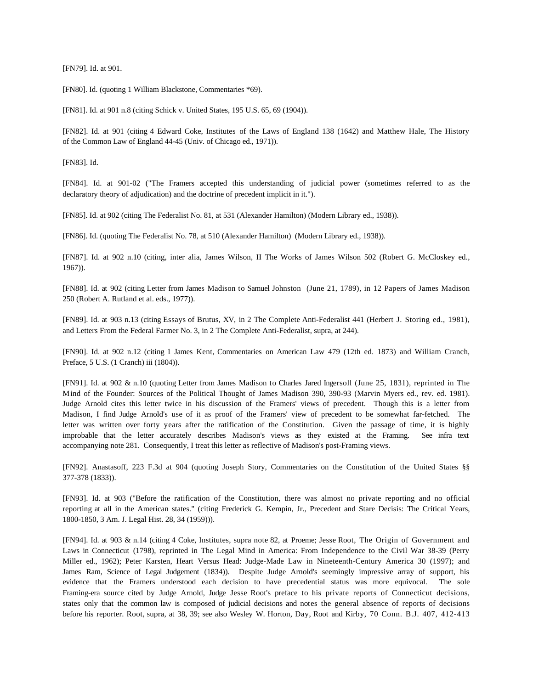[FN79]. Id. at 901.

[FN80]. Id. (quoting 1 William Blackstone, Commentaries \*69).

[FN81]. Id. at 901 n.8 (citing Schick v. United States, 195 U.S. 65, 69 (1904)).

[FN82]. Id. at 901 (citing 4 Edward Coke, Institutes of the Laws of England 138 (1642) and Matthew Hale, The History of the Common Law of England 44-45 (Univ. of Chicago ed., 1971)).

[FN83]. Id.

[FN84]. Id. at 901-02 ("The Framers accepted this understanding of judicial power (sometimes referred to as the declaratory theory of adjudication) and the doctrine of precedent implicit in it.").

[FN85]. Id. at 902 (citing The Federalist No. 81, at 531 (Alexander Hamilton) (Modern Library ed., 1938)).

[FN86]. Id. (quoting The Federalist No. 78, at 510 (Alexander Hamilton) (Modern Library ed., 1938)).

[FN87]. Id. at 902 n.10 (citing, inter alia, James Wilson, II The Works of James Wilson 502 (Robert G. McCloskey ed., 1967)).

[FN88]. Id. at 902 (citing Letter from James Madison to Samuel Johnston (June 21, 1789), in 12 Papers of James Madison 250 (Robert A. Rutland et al. eds., 1977)).

[FN89]. Id. at 903 n.13 (citing Essays of Brutus, XV, in 2 The Complete Anti-Federalist 441 (Herbert J. Storing ed., 1981), and Letters From the Federal Farmer No. 3, in 2 The Complete Anti-Federalist, supra, at 244).

[FN90]. Id. at 902 n.12 (citing 1 James Kent, Commentaries on American Law 479 (12th ed. 1873) and William Cranch, Preface, 5 U.S. (1 Cranch) iii (1804)).

[FN91]. Id. at 902 & n.10 (quoting Letter from James Madison to Charles Jared Ingersoll (June 25, 1831), reprinted in The Mind of the Founder: Sources of the Political Thought of James Madison 390, 390-93 (Marvin Myers ed., rev. ed. 1981). Judge Arnold cites this letter twice in his discussion of the Framers' views of precedent. Though this is a letter from Madison, I find Judge Arnold's use of it as proof of the Framers' view of precedent to be somewhat far-fetched. The letter was written over forty years after the ratification of the Constitution. Given the passage of time, it is highly improbable that the letter accurately describes Madison's views as they existed at the Framing. See infra text accompanying note 281. Consequently, I treat this letter as reflective of Madison's post-Framing views.

[FN92]. Anastasoff, 223 F.3d at 904 (quoting Joseph Story, Commentaries on the Constitution of the United States §§ 377-378 (1833)).

[FN93]. Id. at 903 ("Before the ratification of the Constitution, there was almost no private reporting and no official reporting at all in the American states." (citing Frederick G. Kempin, Jr., Precedent and Stare Decisis: The Critical Years, 1800-1850, 3 Am. J. Legal Hist. 28, 34 (1959))).

[FN94]. Id. at 903 & n.14 (citing 4 Coke, Institutes, supra note 82, at Proeme; Jesse Root, The Origin of Government and Laws in Connecticut (1798), reprinted in The Legal Mind in America: From Independence to the Civil War 38-39 (Perry Miller ed., 1962); Peter Karsten, Heart Versus Head: Judge-Made Law in Nineteenth-Century America 30 (1997); and James Ram, Science of Legal Judgement (1834)). Despite Judge Arnold's seemingly impressive array of support, his evidence that the Framers understood each decision to have precedential status was more equivocal. The sole Framing-era source cited by Judge Arnold, Judge Jesse Root's preface to his private reports of Connecticut decisions, states only that the common law is composed of judicial decisions and notes the general absence of reports of decisions before his reporter. Root, supra, at 38, 39; see also Wesley W. Horton, Day, Root and Kirby, 70 Conn. B.J. 407, 412-413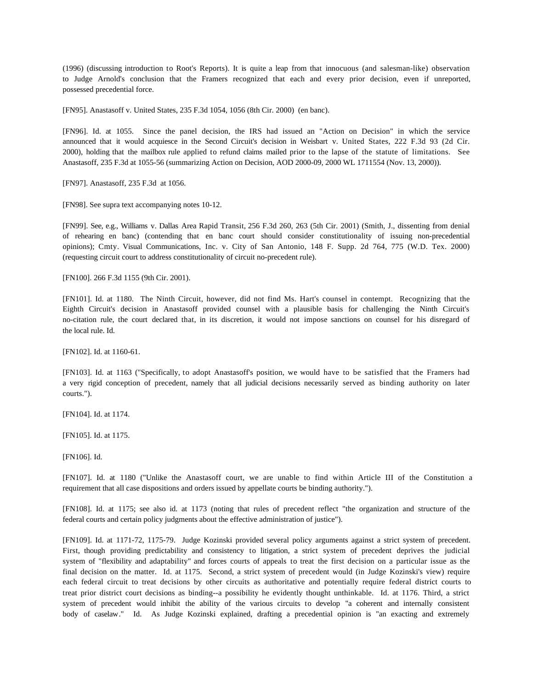(1996) (discussing introduction to Root's Reports). It is quite a leap from that innocuous (and salesman-like) observation to Judge Arnold's conclusion that the Framers recognized that each and every prior decision, even if unreported, possessed precedential force.

[FN95]. Anastasoff v. United States, 235 F.3d 1054, 1056 (8th Cir. 2000) (en banc).

[FN96]. Id. at 1055. Since the panel decision, the IRS had issued an "Action on Decision" in which the service announced that it would acquiesce in the Second Circuit's decision in Weisbart v. United States, 222 F.3d 93 (2d Cir. 2000), holding that the mailbox rule applied to refund claims mailed prior to the lapse of the statute of limitations. See Anastasoff, 235 F.3d at 1055-56 (summarizing Action on Decision, AOD 2000-09, 2000 WL 1711554 (Nov. 13, 2000)).

[FN97]. Anastasoff, 235 F.3d at 1056.

[FN98]. See supra text accompanying notes 10-12.

[FN99]. See, e.g., Williams v. Dallas Area Rapid Transit, 256 F.3d 260, 263 (5th Cir. 2001) (Smith, J., dissenting from denial of rehearing en banc) (contending that en banc court should consider constitutionality of issuing non-precedential opinions); Cmty. Visual Communications, Inc. v. City of San Antonio, 148 F. Supp. 2d 764, 775 (W.D. Tex. 2000) (requesting circuit court to address constitutionality of circuit no-precedent rule).

[FN100]. 266 F.3d 1155 (9th Cir. 2001).

[FN101]. Id. at 1180. The Ninth Circuit, however, did not find Ms. Hart's counsel in contempt. Recognizing that the Eighth Circuit's decision in Anastasoff provided counsel with a plausible basis for challenging the Ninth Circuit's no-citation rule, the court declared that, in its discretion, it would not impose sanctions on counsel for his disregard of the local rule. Id.

[FN102]. Id. at 1160-61.

[FN103]. Id. at 1163 ("Specifically, to adopt Anastasoff's position, we would have to be satisfied that the Framers had a very rigid conception of precedent, namely that all judicial decisions necessarily served as binding authority on later courts.").

[FN104]. Id. at 1174.

[FN105]. Id. at 1175.

[FN106]. Id.

[FN107]. Id. at 1180 ("Unlike the Anastasoff court, we are unable to find within Article III of the Constitution a requirement that all case dispositions and orders issued by appellate courts be binding authority.").

[FN108]. Id. at 1175; see also id. at 1173 (noting that rules of precedent reflect "the organization and structure of the federal courts and certain policy judgments about the effective administration of justice").

[FN109]. Id. at 1171-72, 1175-79. Judge Kozinski provided several policy arguments against a strict system of precedent. First, though providing predictability and consistency to litigation, a strict system of precedent deprives the judicial system of "flexibility and adaptability" and forces courts of appeals to treat the first decision on a particular issue as the final decision on the matter. Id. at 1175. Second, a strict system of precedent would (in Judge Kozinski's view) require each federal circuit to treat decisions by other circuits as authoritative and potentially require federal district courts to treat prior district court decisions as binding--a possibility he evidently thought unthinkable. Id. at 1176. Third, a strict system of precedent would inhibit the ability of the various circuits to develop "a coherent and internally consistent body of caselaw." Id. As Judge Kozinski explained, drafting a precedential opinion is "an exacting and extremely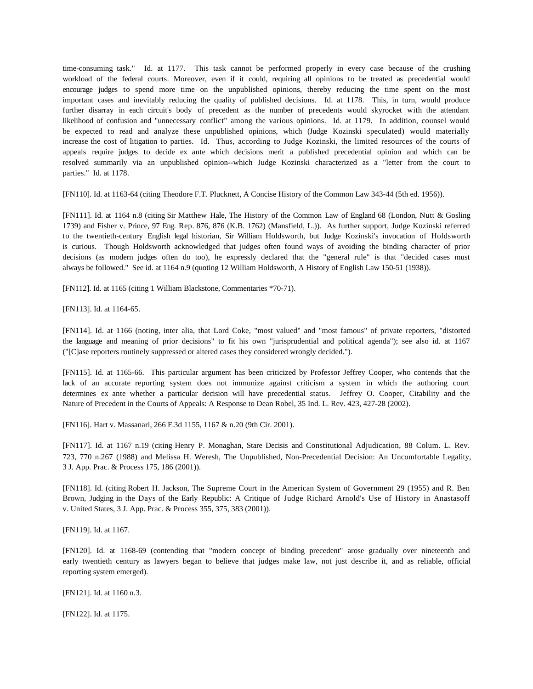time-consuming task." Id. at 1177. This task cannot be performed properly in every case because of the crushing workload of the federal courts. Moreover, even if it could, requiring all opinions to be treated as precedential would encourage judges to spend more time on the unpublished opinions, thereby reducing the time spent on the most important cases and inevitably reducing the quality of published decisions. Id. at 1178. This, in turn, would produce further disarray in each circuit's body of precedent as the number of precedents would skyrocket with the attendant likelihood of confusion and "unnecessary conflict" among the various opinions. Id. at 1179. In addition, counsel would be expected to read and analyze these unpublished opinions, which (Judge Kozinski speculated) would materially increase the cost of litigation to parties. Id. Thus, according to Judge Kozinski, the limited resources of the courts of appeals require judges to decide ex ante which decisions merit a published precedential opinion and which can be resolved summarily via an unpublished opinion--which Judge Kozinski characterized as a "letter from the court to parties." Id. at 1178.

[FN110]. Id. at 1163-64 (citing Theodore F.T. Plucknett, A Concise History of the Common Law 343-44 (5th ed. 1956)).

[FN111]. Id. at 1164 n.8 (citing Sir Matthew Hale, The History of the Common Law of England 68 (London, Nutt & Gosling 1739) and Fisher v. Prince, 97 Eng. Rep. 876, 876 (K.B. 1762) (Mansfield, L.)). As further support, Judge Kozinski referred to the twentieth-century English legal historian, Sir William Holdsworth, but Judge Kozinski's invocation of Holdsworth is curious. Though Holdsworth acknowledged that judges often found ways of avoiding the binding character of prior decisions (as modern judges often do too), he expressly declared that the "general rule" is that "decided cases must always be followed." See id. at 1164 n.9 (quoting 12 William Holdsworth, A History of English Law 150-51 (1938)).

[FN112]. Id. at 1165 (citing 1 William Blackstone, Commentaries \*70-71).

[FN113]. Id. at 1164-65.

[FN114]. Id. at 1166 (noting, inter alia, that Lord Coke, "most valued" and "most famous" of private reporters, "distorted the language and meaning of prior decisions" to fit his own "jurisprudential and political agenda"); see also id. at 1167 ("[C]ase reporters routinely suppressed or altered cases they considered wrongly decided.").

[FN115]. Id. at 1165-66. This particular argument has been criticized by Professor Jeffrey Cooper, who contends that the lack of an accurate reporting system does not immunize against criticism a system in which the authoring court determines ex ante whether a particular decision will have precedential status. Jeffrey O. Cooper, Citability and the Nature of Precedent in the Courts of Appeals: A Response to Dean Robel, 35 Ind. L. Rev. 423, 427-28 (2002).

[FN116]. Hart v. Massanari, 266 F.3d 1155, 1167 & n.20 (9th Cir. 2001).

[FN117]. Id. at 1167 n.19 (citing Henry P. Monaghan, Stare Decisis and Constitutional Adjudication, 88 Colum. L. Rev. 723, 770 n.267 (1988) and Melissa H. Weresh, The Unpublished, Non-Precedential Decision: An Uncomfortable Legality, 3 J. App. Prac. & Process 175, 186 (2001)).

[FN118]. Id. (citing Robert H. Jackson, The Supreme Court in the American System of Government 29 (1955) and R. Ben Brown, Judging in the Days of the Early Republic: A Critique of Judge Richard Arnold's Use of History in Anastasoff v. United States, 3 J. App. Prac. & Process 355, 375, 383 (2001)).

[FN119]. Id. at 1167.

[FN120]. Id. at 1168-69 (contending that "modern concept of binding precedent" arose gradually over nineteenth and early twentieth century as lawyers began to believe that judges make law, not just describe it, and as reliable, official reporting system emerged).

[FN121]. Id. at 1160 n.3.

[FN122]. Id. at 1175.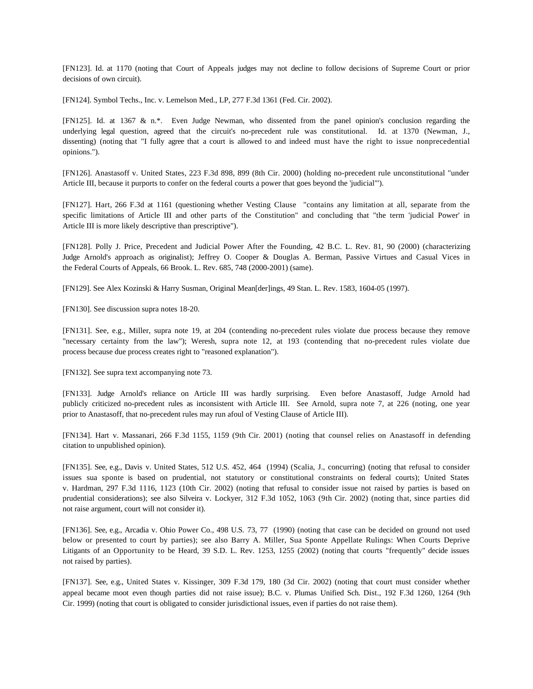[FN123]. Id. at 1170 (noting that Court of Appeals judges may not decline to follow decisions of Supreme Court or prior decisions of own circuit).

[FN124]. Symbol Techs., Inc. v. Lemelson Med., LP, 277 F.3d 1361 (Fed. Cir. 2002).

[FN125]. Id. at 1367 & n.\*. Even Judge Newman, who dissented from the panel opinion's conclusion regarding the underlying legal question, agreed that the circuit's no-precedent rule was constitutional. Id. at 1370 (Newman, J., dissenting) (noting that "I fully agree that a court is allowed to and indeed must have the right to issue nonprecedential opinions.").

[FN126]. Anastasoff v. United States, 223 F.3d 898, 899 (8th Cir. 2000) (holding no-precedent rule unconstitutional "under Article III, because it purports to confer on the federal courts a power that goes beyond the 'judicial"').

[FN127]. Hart, 266 F.3d at 1161 (questioning whether Vesting Clause "contains any limitation at all, separate from the specific limitations of Article III and other parts of the Constitution" and concluding that "the term 'judicial Power' in Article III is more likely descriptive than prescriptive").

[FN128]. Polly J. Price, Precedent and Judicial Power After the Founding, 42 B.C. L. Rev. 81, 90 (2000) (characterizing Judge Arnold's approach as originalist); Jeffrey O. Cooper & Douglas A. Berman, Passive Virtues and Casual Vices in the Federal Courts of Appeals, 66 Brook. L. Rev. 685, 748 (2000-2001) (same).

[FN129]. See Alex Kozinski & Harry Susman, Original Mean[der]ings, 49 Stan. L. Rev. 1583, 1604-05 (1997).

[FN130]. See discussion supra notes 18-20.

[FN131]. See, e.g., Miller, supra note 19, at 204 (contending no-precedent rules violate due process because they remove "necessary certainty from the law"); Weresh, supra note 12, at 193 (contending that no-precedent rules violate due process because due process creates right to "reasoned explanation").

[FN132]. See supra text accompanying note 73.

[FN133]. Judge Arnold's reliance on Article III was hardly surprising. Even before Anastasoff, Judge Arnold had publicly criticized no-precedent rules as inconsistent with Article III. See Arnold, supra note 7, at 226 (noting, one year prior to Anastasoff, that no-precedent rules may run afoul of Vesting Clause of Article III).

[FN134]. Hart v. Massanari, 266 F.3d 1155, 1159 (9th Cir. 2001) (noting that counsel relies on Anastasoff in defending citation to unpublished opinion).

[FN135]. See, e.g., Davis v. United States, 512 U.S. 452, 464 (1994) (Scalia, J., concurring) (noting that refusal to consider issues sua sponte is based on prudential, not statutory or constitutional constraints on federal courts); United States v. Hardman, 297 F.3d 1116, 1123 (10th Cir. 2002) (noting that refusal to consider issue not raised by parties is based on prudential considerations); see also Silveira v. Lockyer, 312 F.3d 1052, 1063 (9th Cir. 2002) (noting that, since parties did not raise argument, court will not consider it).

[FN136]. See, e.g., Arcadia v. Ohio Power Co., 498 U.S. 73, 77 (1990) (noting that case can be decided on ground not used below or presented to court by parties); see also Barry A. Miller, Sua Sponte Appellate Rulings: When Courts Deprive Litigants of an Opportunity to be Heard, 39 S.D. L. Rev. 1253, 1255 (2002) (noting that courts "frequently" decide issues not raised by parties).

[FN137]. See, e.g., United States v. Kissinger, 309 F.3d 179, 180 (3d Cir. 2002) (noting that court must consider whether appeal became moot even though parties did not raise issue); B.C. v. Plumas Unified Sch. Dist., 192 F.3d 1260, 1264 (9th Cir. 1999) (noting that court is obligated to consider jurisdictional issues, even if parties do not raise them).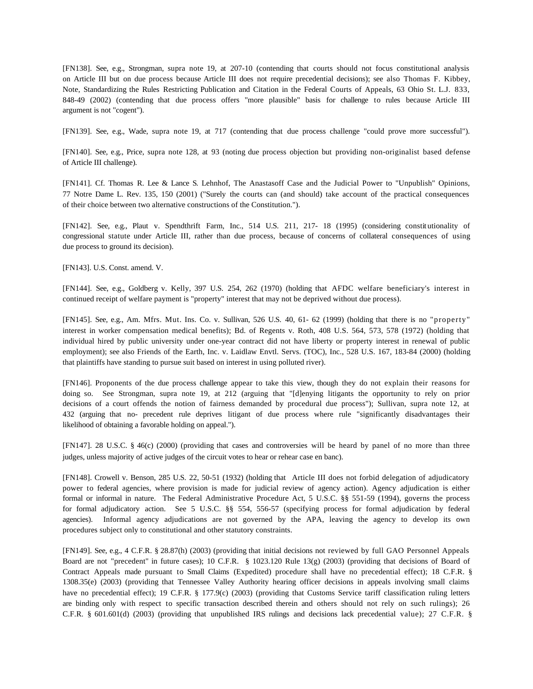[FN138]. See, e.g., Strongman, supra note 19, at 207-10 (contending that courts should not focus constitutional analysis on Article III but on due process because Article III does not require precedential decisions); see also Thomas F. Kibbey, Note, Standardizing the Rules Restricting Publication and Citation in the Federal Courts of Appeals, 63 Ohio St. L.J. 833, 848-49 (2002) (contending that due process offers "more plausible" basis for challenge to rules because Article III argument is not "cogent").

[FN139]. See, e.g., Wade, supra note 19, at 717 (contending that due process challenge "could prove more successful").

[FN140]. See, e.g., Price, supra note 128, at 93 (noting due process objection but providing non-originalist based defense of Article III challenge).

[FN141]. Cf. Thomas R. Lee & Lance S. Lehnhof, The Anastasoff Case and the Judicial Power to "Unpublish" Opinions, 77 Notre Dame L. Rev. 135, 150 (2001) ("Surely the courts can (and should) take account of the practical consequences of their choice between two alternative constructions of the Constitution.").

[FN142]. See, e.g., Plaut v. Spendthrift Farm, Inc., 514 U.S. 211, 217- 18 (1995) (considering constit utionality of congressional statute under Article III, rather than due process, because of concerns of collateral consequences of using due process to ground its decision).

[FN143]. U.S. Const. amend. V.

[FN144]. See, e.g., Goldberg v. Kelly, 397 U.S. 254, 262 (1970) (holding that AFDC welfare beneficiary's interest in continued receipt of welfare payment is "property" interest that may not be deprived without due process).

[FN145]. See, e.g., Am. Mfrs. Mut. Ins. Co. v. Sullivan, 526 U.S. 40, 61- 62 (1999) (holding that there is no "property" interest in worker compensation medical benefits); Bd. of Regents v. Roth, 408 U.S. 564, 573, 578 (1972) (holding that individual hired by public university under one-year contract did not have liberty or property interest in renewal of public employment); see also Friends of the Earth, Inc. v. Laidlaw Envtl. Servs. (TOC), Inc., 528 U.S. 167, 183-84 (2000) (holding that plaintiffs have standing to pursue suit based on interest in using polluted river).

[FN146]. Proponents of the due process challenge appear to take this view, though they do not explain their reasons for doing so. See Strongman, supra note 19, at 212 (arguing that "[d]enying litigants the opportunity to rely on prior decisions of a court offends the notion of fairness demanded by procedural due process"); Sullivan, supra note 12, at 432 (arguing that no- precedent rule deprives litigant of due process where rule "significantly disadvantages their likelihood of obtaining a favorable holding on appeal.").

[FN147]. 28 U.S.C. § 46(c) (2000) (providing that cases and controversies will be heard by panel of no more than three judges, unless majority of active judges of the circuit votes to hear or rehear case en banc).

[FN148]. Crowell v. Benson, 285 U.S. 22, 50-51 (1932) (holding that Article III does not forbid delegation of adjudicatory power to federal agencies, where provision is made for judicial review of agency action). Agency adjudication is either formal or informal in nature. The Federal Administrative Procedure Act, 5 U.S.C. §§ 551-59 (1994), governs the process for formal adjudicatory action. See 5 U.S.C. §§ 554, 556-57 (specifying process for formal adjudication by federal agencies). Informal agency adjudications are not governed by the APA, leaving the agency to develop its own procedures subject only to constitutional and other statutory constraints.

[FN149]. See, e.g., 4 C.F.R. § 28.87(h) (2003) (providing that initial decisions not reviewed by full GAO Personnel Appeals Board are not "precedent" in future cases); 10 C.F.R. § 1023.120 Rule 13(g) (2003) (providing that decisions of Board of Contract Appeals made pursuant to Small Claims (Expedited) procedure shall have no precedential effect); 18 C.F.R. § 1308.35(e) (2003) (providing that Tennessee Valley Authority hearing officer decisions in appeals involving small claims have no precedential effect); 19 C.F.R. § 177.9(c) (2003) (providing that Customs Service tariff classification ruling letters are binding only with respect to specific transaction described therein and others should not rely on such rulings); 26 C.F.R. § 601.601(d) (2003) (providing that unpublished IRS rulings and decisions lack precedential value); 27 C.F.R. §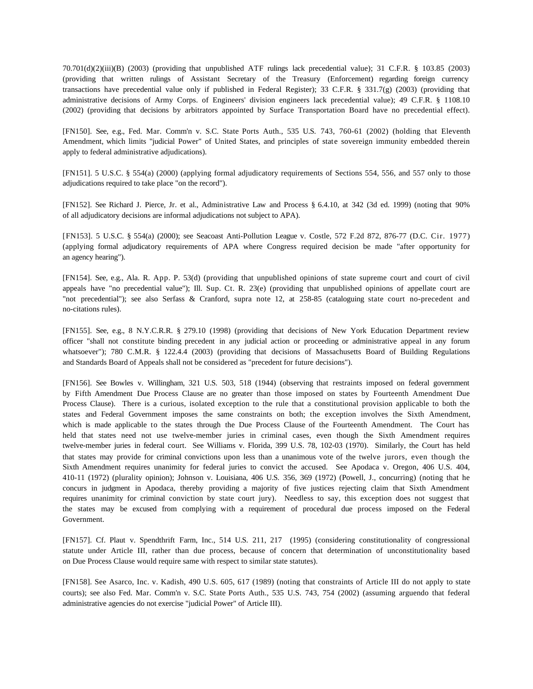70.701(d)(2)(iii)(B) (2003) (providing that unpublished ATF rulings lack precedential value); 31 C.F.R. § 103.85 (2003) (providing that written rulings of Assistant Secretary of the Treasury (Enforcement) regarding foreign currency transactions have precedential value only if published in Federal Register); 33 C.F.R. § 331.7(g) (2003) (providing that administrative decisions of Army Corps. of Engineers' division engineers lack precedential value); 49 C.F.R. § 1108.10 (2002) (providing that decisions by arbitrators appointed by Surface Transportation Board have no precedential effect).

[FN150]. See, e.g., Fed. Mar. Comm'n v. S.C. State Ports Auth., 535 U.S. 743, 760-61 (2002) (holding that Eleventh Amendment, which limits "judicial Power" of United States, and principles of state sovereign immunity embedded therein apply to federal administrative adjudications).

[FN151]. 5 U.S.C. § 554(a) (2000) (applying formal adjudicatory requirements of Sections 554, 556, and 557 only to those adjudications required to take place "on the record").

[FN152]. See Richard J. Pierce, Jr. et al., Administrative Law and Process § 6.4.10, at 342 (3d ed. 1999) (noting that 90% of all adjudicatory decisions are informal adjudications not subject to APA).

[FN153]. 5 U.S.C. § 554(a) (2000); see Seacoast Anti-Pollution League v. Costle, 572 F.2d 872, 876-77 (D.C. Cir. 1977) (applying formal adjudicatory requirements of APA where Congress required decision be made "after opportunity for an agency hearing").

[FN154]. See, e.g., Ala. R. App. P. 53(d) (providing that unpublished opinions of state supreme court and court of civil appeals have "no precedential value"); Ill. Sup. Ct. R. 23(e) (providing that unpublished opinions of appellate court are "not precedential"); see also Serfass & Cranford, supra note 12, at 258-85 (cataloguing state court no-precedent and no-citations rules).

[FN155]. See, e.g., 8 N.Y.C.R.R. § 279.10 (1998) (providing that decisions of New York Education Department review officer "shall not constitute binding precedent in any judicial action or proceeding or administrative appeal in any forum whatsoever"); 780 C.M.R. § 122.4.4 (2003) (providing that decisions of Massachusetts Board of Building Regulations and Standards Board of Appeals shall not be considered as "precedent for future decisions").

[FN156]. See Bowles v. Willingham, 321 U.S. 503, 518 (1944) (observing that restraints imposed on federal government by Fifth Amendment Due Process Clause are no greater than those imposed on states by Fourteenth Amendment Due Process Clause). There is a curious, isolated exception to the rule that a constitutional provision applicable to both the states and Federal Government imposes the same constraints on both; the exception involves the Sixth Amendment, which is made applicable to the states through the Due Process Clause of the Fourteenth Amendment. The Court has held that states need not use twelve-member juries in criminal cases, even though the Sixth Amendment requires twelve-member juries in federal court. See Williams v. Florida, 399 U.S. 78, 102-03 (1970). Similarly, the Court has held that states may provide for criminal convictions upon less than a unanimous vote of the twelve jurors, even though the Sixth Amendment requires unanimity for federal juries to convict the accused. See Apodaca v. Oregon, 406 U.S. 404, 410-11 (1972) (plurality opinion); Johnson v. Louisiana, 406 U.S. 356, 369 (1972) (Powell, J., concurring) (noting that he concurs in judgment in Apodaca, thereby providing a majority of five justices rejecting claim that Sixth Amendment requires unanimity for criminal conviction by state court jury). Needless to say, this exception does not suggest that the states may be excused from complying with a requirement of procedural due process imposed on the Federal Government.

[FN157]. Cf. Plaut v. Spendthrift Farm, Inc., 514 U.S. 211, 217 (1995) (considering constitutionality of congressional statute under Article III, rather than due process, because of concern that determination of unconstitutionality based on Due Process Clause would require same with respect to similar state statutes).

[FN158]. See Asarco, Inc. v. Kadish, 490 U.S. 605, 617 (1989) (noting that constraints of Article III do not apply to state courts); see also Fed. Mar. Comm'n v. S.C. State Ports Auth., 535 U.S. 743, 754 (2002) (assuming arguendo that federal administrative agencies do not exercise "judicial Power" of Article III).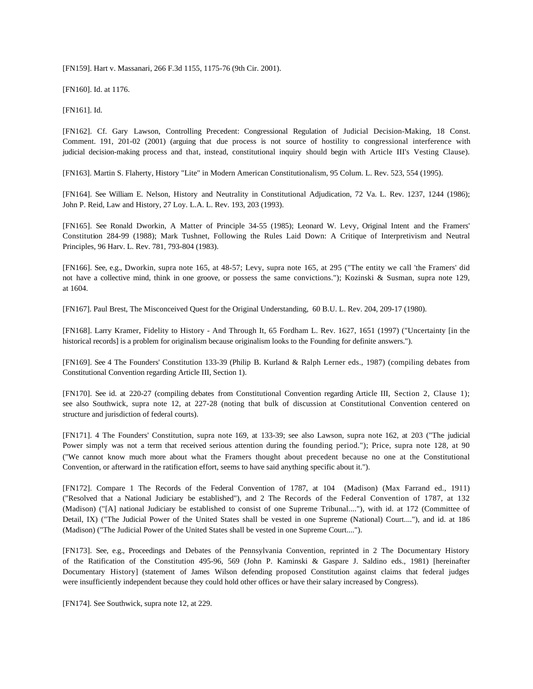[FN159]. Hart v. Massanari, 266 F.3d 1155, 1175-76 (9th Cir. 2001).

[FN160]. Id. at 1176.

[FN161]. Id.

[FN162]. Cf. Gary Lawson, Controlling Precedent: Congressional Regulation of Judicial Decision-Making, 18 Const. Comment. 191, 201-02 (2001) (arguing that due process is not source of hostility to congressional interference with judicial decision-making process and that, instead, constitutional inquiry should begin with Article III's Vesting Clause).

[FN163]. Martin S. Flaherty, History "Lite" in Modern American Constitutionalism, 95 Colum. L. Rev. 523, 554 (1995).

[FN164]. See William E. Nelson, History and Neutrality in Constitutional Adjudication, 72 Va. L. Rev. 1237, 1244 (1986); John P. Reid, Law and History, 27 Loy. L.A. L. Rev. 193, 203 (1993).

[FN165]. See Ronald Dworkin, A Matter of Principle 34-55 (1985); Leonard W. Levy, Original Intent and the Framers' Constitution 284-99 (1988); Mark Tushnet, Following the Rules Laid Down: A Critique of Interpretivism and Neutral Principles, 96 Harv. L. Rev. 781, 793-804 (1983).

[FN166]. See, e.g., Dworkin, supra note 165, at 48-57; Levy, supra note 165, at 295 ("The entity we call 'the Framers' did not have a collective mind, think in one groove, or possess the same convictions."); Kozinski & Susman, supra note 129, at 1604.

[FN167]. Paul Brest, The Misconceived Quest for the Original Understanding, 60 B.U. L. Rev. 204, 209-17 (1980).

[FN168]. Larry Kramer, Fidelity to History - And Through It, 65 Fordham L. Rev. 1627, 1651 (1997) ("Uncertainty [in the historical records] is a problem for originalism because originalism looks to the Founding for definite answers.").

[FN169]. See 4 The Founders' Constitution 133-39 (Philip B. Kurland & Ralph Lerner eds., 1987) (compiling debates from Constitutional Convention regarding Article III, Section 1).

[FN170]. See id. at 220-27 (compiling debates from Constitutional Convention regarding Article III, Section 2, Clause 1); see also Southwick, supra note 12, at 227-28 (noting that bulk of discussion at Constitutional Convention centered on structure and jurisdiction of federal courts).

[FN171]. 4 The Founders' Constitution, supra note 169, at 133-39; see also Lawson, supra note 162, at 203 ("The judicial Power simply was not a term that received serious attention during the founding period."); Price, supra note 128, at 90 ("We cannot know much more about what the Framers thought about precedent because no one at the Constitutional Convention, or afterward in the ratification effort, seems to have said anything specific about it.").

[FN172]. Compare 1 The Records of the Federal Convention of 1787, at 104 (Madison) (Max Farrand ed., 1911) ("Resolved that a National Judiciary be established"), and 2 The Records of the Federal Convention of 1787, at 132 (Madison) ("[A] national Judiciary be established to consist of one Supreme Tribunal...."), with id. at 172 (Committee of Detail, IX) ("The Judicial Power of the United States shall be vested in one Supreme (National) Court...."), and id. at 186 (Madison) ("The Judicial Power of the United States shall be vested in one Supreme Court....").

[FN173]. See, e.g., Proceedings and Debates of the Pennsylvania Convention, reprinted in 2 The Documentary History of the Ratification of the Constitution 495-96, 569 (John P. Kaminski & Gaspare J. Saldino eds., 1981) [hereinafter Documentary History] (statement of James Wilson defending proposed Constitution against claims that federal judges were insufficiently independent because they could hold other offices or have their salary increased by Congress).

[FN174]. See Southwick, supra note 12, at 229.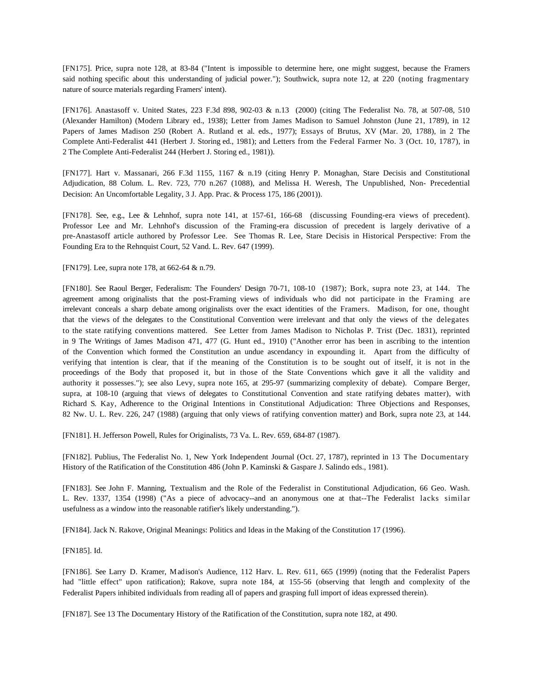[FN175]. Price, supra note 128, at 83-84 ("Intent is impossible to determine here, one might suggest, because the Framers said nothing specific about this understanding of judicial power."); Southwick, supra note 12, at 220 (noting fragmentary nature of source materials regarding Framers' intent).

[FN176]. Anastasoff v. United States, 223 F.3d 898, 902-03 & n.13 (2000) (citing The Federalist No. 78, at 507-08, 510 (Alexander Hamilton) (Modern Library ed., 1938); Letter from James Madison to Samuel Johnston (June 21, 1789), in 12 Papers of James Madison 250 (Robert A. Rutland et al. eds., 1977); Essays of Brutus, XV (Mar. 20, 1788), in 2 The Complete Anti-Federalist 441 (Herbert J. Storing ed., 1981); and Letters from the Federal Farmer No. 3 (Oct. 10, 1787), in 2 The Complete Anti-Federalist 244 (Herbert J. Storing ed., 1981)).

[FN177]. Hart v. Massanari, 266 F.3d 1155, 1167 & n.19 (citing Henry P. Monaghan, Stare Decisis and Constitutional Adjudication, 88 Colum. L. Rev. 723, 770 n.267 (1088), and Melissa H. Weresh, The Unpublished, Non- Precedential Decision: An Uncomfortable Legality, 3 J. App. Prac. & Process 175, 186 (2001)).

[FN178]. See, e.g., Lee & Lehnhof, supra note 141, at 157-61, 166-68 (discussing Founding-era views of precedent). Professor Lee and Mr. Lehnhof's discussion of the Framing-era discussion of precedent is largely derivative of a pre-Anastasoff article authored by Professor Lee. See Thomas R. Lee, Stare Decisis in Historical Perspective: From the Founding Era to the Rehnquist Court, 52 Vand. L. Rev. 647 (1999).

[FN179]. Lee, supra note 178, at 662-64 & n.79.

[FN180]. See Raoul Berger, Federalism: The Founders' Design 70-71, 108-10 (1987); Bork, supra note 23, at 144. The agreement among originalists that the post-Framing views of individuals who did not participate in the Framing are irrelevant conceals a sharp debate among originalists over the exact identities of the Framers. Madison, for one, thought that the views of the delegates to the Constitutional Convention were irrelevant and that only the views of the delegates to the state ratifying conventions mattered. See Letter from James Madison to Nicholas P. Trist (Dec. 1831), reprinted in 9 The Writings of James Madison 471, 477 (G. Hunt ed., 1910) ("Another error has been in ascribing to the intention of the Convention which formed the Constitution an undue ascendancy in expounding it. Apart from the difficulty of verifying that intention is clear, that if the meaning of the Constitution is to be sought out of itself, it is not in the proceedings of the Body that proposed it, but in those of the State Conventions which gave it all the validity and authority it possesses."); see also Levy, supra note 165, at 295-97 (summarizing complexity of debate). Compare Berger, supra, at 108-10 (arguing that views of delegates to Constitutional Convention and state ratifying debates matter), with Richard S. Kay, Adherence to the Original Intentions in Constitutional Adjudication: Three Objections and Responses, 82 Nw. U. L. Rev. 226, 247 (1988) (arguing that only views of ratifying convention matter) and Bork, supra note 23, at 144.

[FN181]. H. Jefferson Powell, Rules for Originalists, 73 Va. L. Rev. 659, 684-87 (1987).

[FN182]. Publius, The Federalist No. 1, New York Independent Journal (Oct. 27, 1787), reprinted in 13 The Documentary History of the Ratification of the Constitution 486 (John P. Kaminski & Gaspare J. Salindo eds., 1981).

[FN183]. See John F. Manning, Textualism and the Role of the Federalist in Constitutional Adjudication, 66 Geo. Wash. L. Rev. 1337, 1354 (1998) ("As a piece of advocacy--and an anonymous one at that--The Federalist lacks similar usefulness as a window into the reasonable ratifier's likely understanding.").

[FN184]. Jack N. Rakove, Original Meanings: Politics and Ideas in the Making of the Constitution 17 (1996).

[FN185]. Id.

[FN186]. See Larry D. Kramer, M adison's Audience, 112 Harv. L. Rev. 611, 665 (1999) (noting that the Federalist Papers had "little effect" upon ratification); Rakove, supra note 184, at 155-56 (observing that length and complexity of the Federalist Papers inhibited individuals from reading all of papers and grasping full import of ideas expressed therein).

[FN187]. See 13 The Documentary History of the Ratification of the Constitution, supra note 182, at 490.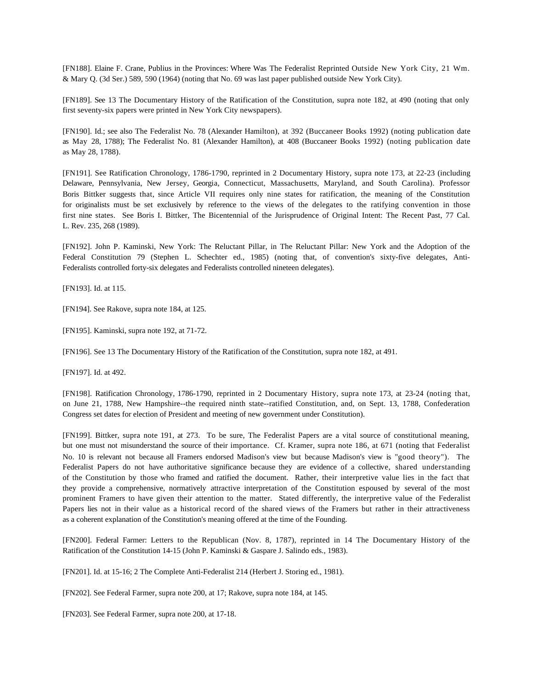[FN188]. Elaine F. Crane, Publius in the Provinces: Where Was The Federalist Reprinted Outside New York City, 21 Wm. & Mary Q. (3d Ser.) 589, 590 (1964) (noting that No. 69 was last paper published outside New York City).

[FN189]. See 13 The Documentary History of the Ratification of the Constitution, supra note 182, at 490 (noting that only first seventy-six papers were printed in New York City newspapers).

[FN190]. Id.; see also The Federalist No. 78 (Alexander Hamilton), at 392 (Buccaneer Books 1992) (noting publication date as May 28, 1788); The Federalist No. 81 (Alexander Hamilton), at 408 (Buccaneer Books 1992) (noting publication date as May 28, 1788).

[FN191]. See Ratification Chronology, 1786-1790, reprinted in 2 Documentary History, supra note 173, at 22-23 (including Delaware, Pennsylvania, New Jersey, Georgia, Connecticut, Massachusetts, Maryland, and South Carolina). Professor Boris Bittker suggests that, since Article VII requires only nine states for ratification, the meaning of the Constitution for originalists must be set exclusively by reference to the views of the delegates to the ratifying convention in those first nine states. See Boris I. Bittker, The Bicentennial of the Jurisprudence of Original Intent: The Recent Past, 77 Cal. L. Rev. 235, 268 (1989).

[FN192]. John P. Kaminski, New York: The Reluctant Pillar, in The Reluctant Pillar: New York and the Adoption of the Federal Constitution 79 (Stephen L. Schechter ed., 1985) (noting that, of convention's sixty-five delegates, Anti-Federalists controlled forty-six delegates and Federalists controlled nineteen delegates).

[FN193]. Id. at 115.

[FN194]. See Rakove, supra note 184, at 125.

[FN195]. Kaminski, supra note 192, at 71-72.

[FN196]. See 13 The Documentary History of the Ratification of the Constitution, supra note 182, at 491.

[FN197]. Id. at 492.

[FN198]. Ratification Chronology, 1786-1790, reprinted in 2 Documentary History, supra note 173, at 23-24 (noting that, on June 21, 1788, New Hampshire--the required ninth state--ratified Constitution, and, on Sept. 13, 1788, Confederation Congress set dates for election of President and meeting of new government under Constitution).

[FN199]. Bittker, supra note 191, at 273. To be sure, The Federalist Papers are a vital source of constitutional meaning, but one must not misunderstand the source of their importance. Cf. Kramer, supra note 186, at 671 (noting that Federalist No. 10 is relevant not because all Framers endorsed Madison's view but because Madison's view is "good theory"). The Federalist Papers do not have authoritative significance because they are evidence of a collective, shared understanding of the Constitution by those who framed and ratified the document. Rather, their interpretive value lies in the fact that they provide a comprehensive, normatively attractive interpretation of the Constitution espoused by several of the most prominent Framers to have given their attention to the matter. Stated differently, the interpretive value of the Federalist Papers lies not in their value as a historical record of the shared views of the Framers but rather in their attractiveness as a coherent explanation of the Constitution's meaning offered at the time of the Founding.

[FN200]. Federal Farmer: Letters to the Republican (Nov. 8, 1787), reprinted in 14 The Documentary History of the Ratification of the Constitution 14-15 (John P. Kaminski & Gaspare J. Salindo eds., 1983).

[FN201]. Id. at 15-16; 2 The Complete Anti-Federalist 214 (Herbert J. Storing ed., 1981).

[FN202]. See Federal Farmer, supra note 200, at 17; Rakove, supra note 184, at 145.

[FN203]. See Federal Farmer, supra note 200, at 17-18.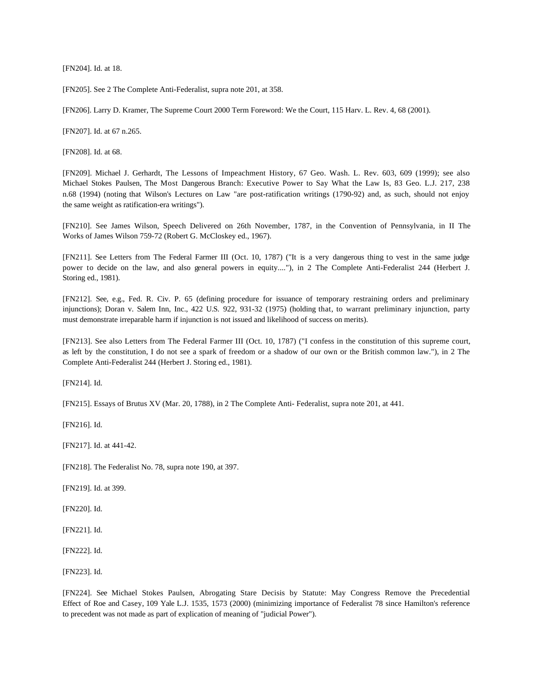[FN204]. Id. at 18.

[FN205]. See 2 The Complete Anti-Federalist, supra note 201, at 358.

[FN206]. Larry D. Kramer, The Supreme Court 2000 Term Foreword: We the Court, 115 Harv. L. Rev. 4, 68 (2001).

[FN207]. Id. at 67 n.265.

[FN208]. Id. at 68.

[FN209]. Michael J. Gerhardt, The Lessons of Impeachment History, 67 Geo. Wash. L. Rev. 603, 609 (1999); see also Michael Stokes Paulsen, The Most Dangerous Branch: Executive Power to Say What the Law Is, 83 Geo. L.J. 217, 238 n.68 (1994) (noting that Wilson's Lectures on Law "are post-ratification writings (1790-92) and, as such, should not enjoy the same weight as ratification-era writings").

[FN210]. See James Wilson, Speech Delivered on 26th November, 1787, in the Convention of Pennsylvania, in II The Works of James Wilson 759-72 (Robert G. McCloskey ed., 1967).

[FN211]. See Letters from The Federal Farmer III (Oct. 10, 1787) ("It is a very dangerous thing to vest in the same judge power to decide on the law, and also general powers in equity...."), in 2 The Complete Anti-Federalist 244 (Herbert J. Storing ed., 1981).

[FN212]. See, e.g., Fed. R. Civ. P. 65 (defining procedure for issuance of temporary restraining orders and preliminary injunctions); Doran v. Salem Inn, Inc., 422 U.S. 922, 931-32 (1975) (holding that, to warrant preliminary injunction, party must demonstrate irreparable harm if injunction is not issued and likelihood of success on merits).

[FN213]. See also Letters from The Federal Farmer III (Oct. 10, 1787) ("I confess in the constitution of this supreme court, as left by the constitution, I do not see a spark of freedom or a shadow of our own or the British common law."), in 2 The Complete Anti-Federalist 244 (Herbert J. Storing ed., 1981).

[FN214]. Id.

[FN215]. Essays of Brutus XV (Mar. 20, 1788), in 2 The Complete Anti- Federalist, supra note 201, at 441.

[FN216]. Id.

[FN217]. Id. at 441-42.

[FN218]. The Federalist No. 78, supra note 190, at 397.

[FN219]. Id. at 399.

[FN220]. Id.

[FN221]. Id.

[FN222]. Id.

[FN223]. Id.

[FN224]. See Michael Stokes Paulsen, Abrogating Stare Decisis by Statute: May Congress Remove the Precedential Effect of Roe and Casey, 109 Yale L.J. 1535, 1573 (2000) (minimizing importance of Federalist 78 since Hamilton's reference to precedent was not made as part of explication of meaning of "judicial Power").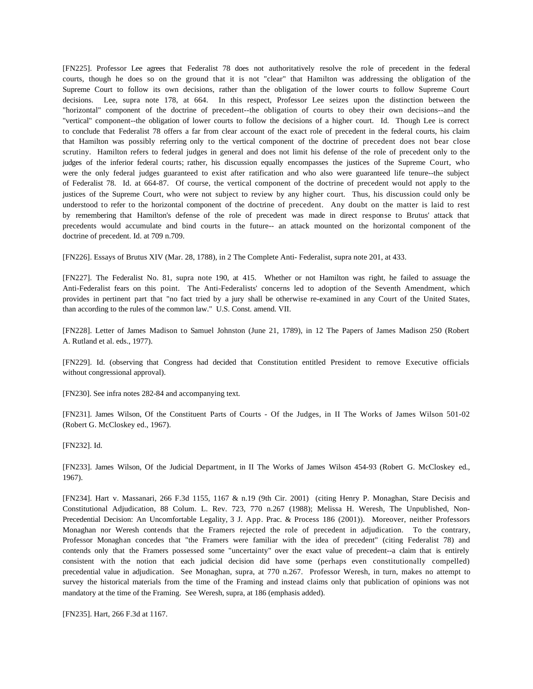[FN225]. Professor Lee agrees that Federalist 78 does not authoritatively resolve the role of precedent in the federal courts, though he does so on the ground that it is not "clear" that Hamilton was addressing the obligation of the Supreme Court to follow its own decisions, rather than the obligation of the lower courts to follow Supreme Court decisions. Lee, supra note 178, at 664. In this respect, Professor Lee seizes upon the distinction between the "horizontal" component of the doctrine of precedent--the obligation of courts to obey their own decisions--and the "vertical" component--the obligation of lower courts to follow the decisions of a higher court. Id. Though Lee is correct to conclude that Federalist 78 offers a far from clear account of the exact role of precedent in the federal courts, his claim that Hamilton was possibly referring only to the vertical component of the doctrine of precedent does not bear close scrutiny. Hamilton refers to federal judges in general and does not limit his defense of the role of precedent only to the judges of the inferior federal courts; rather, his discussion equally encompasses the justices of the Supreme Court, who were the only federal judges guaranteed to exist after ratification and who also were guaranteed life tenure--the subject of Federalist 78. Id. at 664-87. Of course, the vertical component of the doctrine of precedent would not apply to the justices of the Supreme Court, who were not subject to review by any higher court. Thus, his discussion could only be understood to refer to the horizontal component of the doctrine of precedent. Any doubt on the matter is laid to rest by remembering that Hamilton's defense of the role of precedent was made in direct response to Brutus' attack that precedents would accumulate and bind courts in the future-- an attack mounted on the horizontal component of the doctrine of precedent. Id. at 709 n.709.

[FN226]. Essays of Brutus XIV (Mar. 28, 1788), in 2 The Complete Anti- Federalist, supra note 201, at 433.

[FN227]. The Federalist No. 81, supra note 190, at 415. Whether or not Hamilton was right, he failed to assuage the Anti-Federalist fears on this point. The Anti-Federalists' concerns led to adoption of the Seventh Amendment, which provides in pertinent part that "no fact tried by a jury shall be otherwise re-examined in any Court of the United States, than according to the rules of the common law." U.S. Const. amend. VII.

[FN228]. Letter of James Madison to Samuel Johnston (June 21, 1789), in 12 The Papers of James Madison 250 (Robert A. Rutland et al. eds., 1977).

[FN229]. Id. (observing that Congress had decided that Constitution entitled President to remove Executive officials without congressional approval).

[FN230]. See infra notes 282-84 and accompanying text.

[FN231]. James Wilson, Of the Constituent Parts of Courts - Of the Judges, in II The Works of James Wilson 501-02 (Robert G. McCloskey ed., 1967).

[FN232]. Id.

[FN233]. James Wilson, Of the Judicial Department, in II The Works of James Wilson 454-93 (Robert G. McCloskey ed., 1967).

[FN234]. Hart v. Massanari, 266 F.3d 1155, 1167 & n.19 (9th Cir. 2001) (citing Henry P. Monaghan, Stare Decisis and Constitutional Adjudication, 88 Colum. L. Rev. 723, 770 n.267 (1988); Melissa H. Weresh, The Unpublished, Non-Precedential Decision: An Uncomfortable Legality, 3 J. App. Prac. & Process 186 (2001)). Moreover, neither Professors Monaghan nor Weresh contends that the Framers rejected the role of precedent in adjudication. To the contrary, Professor Monaghan concedes that "the Framers were familiar with the idea of precedent" (citing Federalist 78) and contends only that the Framers possessed some "uncertainty" over the exact value of precedent--a claim that is entirely consistent with the notion that each judicial decision did have some (perhaps even constitutionally compelled) precedential value in adjudication. See Monaghan, supra, at 770 n.267. Professor Weresh, in turn, makes no attempt to survey the historical materials from the time of the Framing and instead claims only that publication of opinions was not mandatory at the time of the Framing. See Weresh, supra, at 186 (emphasis added).

[FN235]. Hart, 266 F.3d at 1167.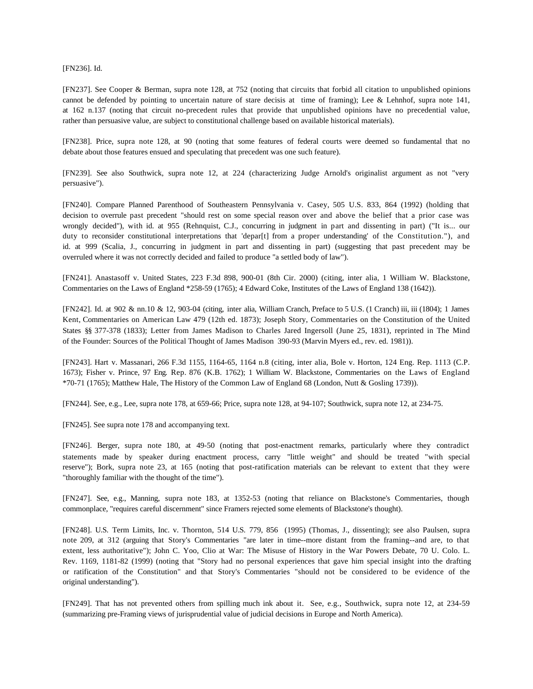[FN236]. Id.

[FN237]. See Cooper & Berman, supra note 128, at 752 (noting that circuits that forbid all citation to unpublished opinions cannot be defended by pointing to uncertain nature of stare decisis at time of framing); Lee & Lehnhof, supra note 141, at 162 n.137 (noting that circuit no-precedent rules that provide that unpublished opinions have no precedential value, rather than persuasive value, are subject to constitutional challenge based on available historical materials).

[FN238]. Price, supra note 128, at 90 (noting that some features of federal courts were deemed so fundamental that no debate about those features ensued and speculating that precedent was one such feature).

[FN239]. See also Southwick, supra note 12, at 224 (characterizing Judge Arnold's originalist argument as not "very persuasive").

[FN240]. Compare Planned Parenthood of Southeastern Pennsylvania v. Casey, 505 U.S. 833, 864 (1992) (holding that decision to overrule past precedent "should rest on some special reason over and above the belief that a prior case was wrongly decided"), with id. at 955 (Rehnquist, C.J., concurring in judgment in part and dissenting in part) ("It is... our duty to reconsider constitutional interpretations that 'depar[t] from a proper understanding' of the Constitution."), and id. at 999 (Scalia, J., concurring in judgment in part and dissenting in part) (suggesting that past precedent may be overruled where it was not correctly decided and failed to produce "a settled body of law").

[FN241]. Anastasoff v. United States, 223 F.3d 898, 900-01 (8th Cir. 2000) (citing, inter alia, 1 William W. Blackstone, Commentaries on the Laws of England \*258-59 (1765); 4 Edward Coke, Institutes of the Laws of England 138 (1642)).

[FN242]. Id. at 902 & nn.10 & 12, 903-04 (citing, inter alia, William Cranch, Preface to 5 U.S. (1 Cranch) iii, iii (1804); 1 James Kent, Commentaries on American Law 479 (12th ed. 1873); Joseph Story, Commentaries on the Constitution of the United States §§ 377-378 (1833); Letter from James Madison to Charles Jared Ingersoll (June 25, 1831), reprinted in The Mind of the Founder: Sources of the Political Thought of James Madison 390-93 (Marvin Myers ed., rev. ed. 1981)).

[FN243]. Hart v. Massanari, 266 F.3d 1155, 1164-65, 1164 n.8 (citing, inter alia, Bole v. Horton, 124 Eng. Rep. 1113 (C.P. 1673); Fisher v. Prince, 97 Eng. Rep. 876 (K.B. 1762); 1 William W. Blackstone, Commentaries on the Laws of England \*70-71 (1765); Matthew Hale, The History of the Common Law of England 68 (London, Nutt & Gosling 1739)).

[FN244]. See, e.g., Lee, supra note 178, at 659-66; Price, supra note 128, at 94-107; Southwick, supra note 12, at 234-75.

[FN245]. See supra note 178 and accompanying text.

[FN246]. Berger, supra note 180, at 49-50 (noting that post-enactment remarks, particularly where they contradict statements made by speaker during enactment process, carry "little weight" and should be treated "with special reserve"); Bork, supra note 23, at 165 (noting that post-ratification materials can be relevant to extent that they were "thoroughly familiar with the thought of the time").

[FN247]. See, e.g., Manning, supra note 183, at 1352-53 (noting that reliance on Blackstone's Commentaries, though commonplace, "requires careful discernment" since Framers rejected some elements of Blackstone's thought).

[FN248]. U.S. Term Limits, Inc. v. Thornton, 514 U.S. 779, 856 (1995) (Thomas, J., dissenting); see also Paulsen, supra note 209, at 312 (arguing that Story's Commentaries "are later in time--more distant from the framing--and are, to that extent, less authoritative"); John C. Yoo, Clio at War: The Misuse of History in the War Powers Debate, 70 U. Colo. L. Rev. 1169, 1181-82 (1999) (noting that "Story had no personal experiences that gave him special insight into the drafting or ratification of the Constitution" and that Story's Commentaries "should not be considered to be evidence of the original understanding").

[FN249]. That has not prevented others from spilling much ink about it. See, e.g., Southwick, supra note 12, at 234-59 (summarizing pre-Framing views of jurisprudential value of judicial decisions in Europe and North America).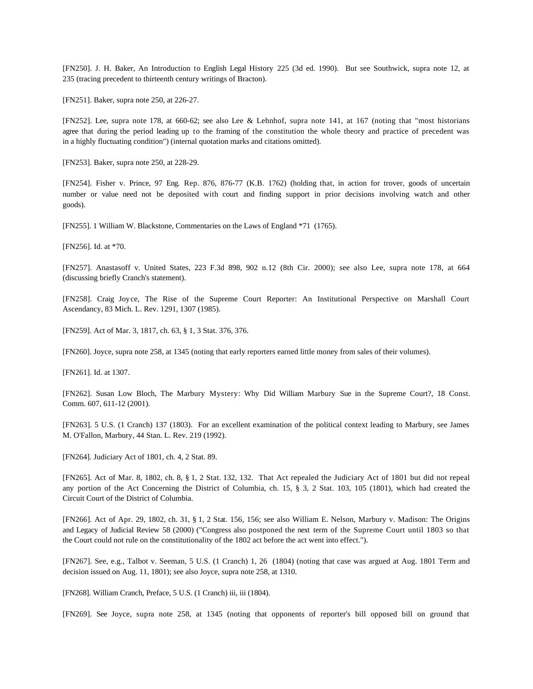[FN250]. J. H. Baker, An Introduction to English Legal History 225 (3d ed. 1990). But see Southwick, supra note 12, at 235 (tracing precedent to thirteenth century writings of Bracton).

[FN251]. Baker, supra note 250, at 226-27.

[FN252]. Lee, supra note 178, at 660-62; see also Lee & Lehnhof, supra note 141, at 167 (noting that "most historians agree that during the period leading up to the framing of the constitution the whole theory and practice of precedent was in a highly fluctuating condition") (internal quotation marks and citations omitted).

[FN253]. Baker, supra note 250, at 228-29.

[FN254]. Fisher v. Prince, 97 Eng. Rep. 876, 876-77 (K.B. 1762) (holding that, in action for trover, goods of uncertain number or value need not be deposited with court and finding support in prior decisions involving watch and other goods).

[FN255]. 1 William W. Blackstone, Commentaries on the Laws of England \*71 (1765).

[FN256]. Id. at \*70.

[FN257]. Anastasoff v. United States, 223 F.3d 898, 902 n.12 (8th Cir. 2000); see also Lee, supra note 178, at 664 (discussing briefly Cranch's statement).

[FN258]. Craig Joyce, The Rise of the Supreme Court Reporter: An Institutional Perspective on Marshall Court Ascendancy, 83 Mich. L. Rev. 1291, 1307 (1985).

[FN259]. Act of Mar. 3, 1817, ch. 63, § 1, 3 Stat. 376, 376.

[FN260]. Joyce, supra note 258, at 1345 (noting that early reporters earned little money from sales of their volumes).

[FN261]. Id. at 1307.

[FN262]. Susan Low Bloch, The Marbury Mystery: Why Did William Marbury Sue in the Supreme Court?, 18 Const. Comm. 607, 611-12 (2001).

[FN263]. 5 U.S. (1 Cranch) 137 (1803). For an excellent examination of the political context leading to Marbury, see James M. O'Fallon, Marbury, 44 Stan. L. Rev. 219 (1992).

[FN264]. Judiciary Act of 1801, ch. 4, 2 Stat. 89.

[FN265]. Act of Mar. 8, 1802, ch. 8, § 1, 2 Stat. 132, 132. That Act repealed the Judiciary Act of 1801 but did not repeal any portion of the Act Concerning the District of Columbia, ch. 15, § 3, 2 Stat. 103, 105 (1801), which had created the Circuit Court of the District of Columbia.

[FN266]. Act of Apr. 29, 1802, ch. 31, § 1, 2 Stat. 156, 156; see also William E. Nelson, Marbury v. Madison: The Origins and Legacy of Judicial Review 58 (2000) ("Congress also postponed the next term of the Supreme Court until 1803 so that the Court could not rule on the constitutionality of the 1802 act before the act went into effect.").

[FN267]. See, e.g., Talbot v. Seeman, 5 U.S. (1 Cranch) 1, 26 (1804) (noting that case was argued at Aug. 1801 Term and decision issued on Aug. 11, 1801); see also Joyce, supra note 258, at 1310.

[FN268]. William Cranch, Preface, 5 U.S. (1 Cranch) iii, iii (1804).

[FN269]. See Joyce, supra note 258, at 1345 (noting that opponents of reporter's bill opposed bill on ground that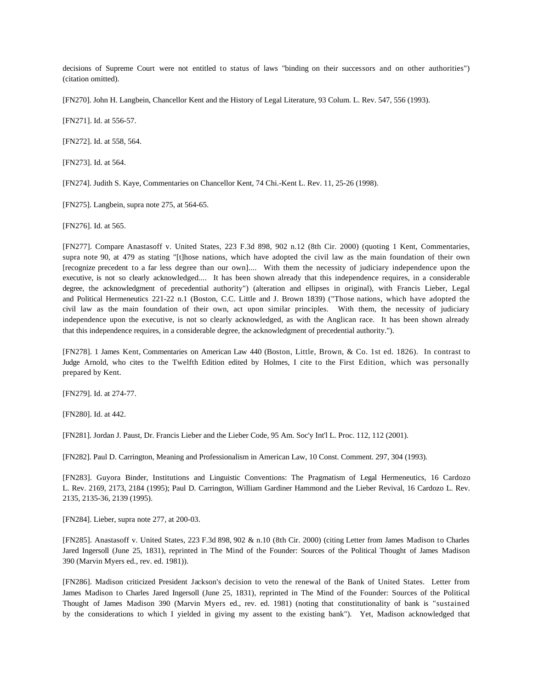decisions of Supreme Court were not entitled to status of laws "binding on their successors and on other authorities") (citation omitted).

[FN270]. John H. Langbein, Chancellor Kent and the History of Legal Literature, 93 Colum. L. Rev. 547, 556 (1993).

[FN271]. Id. at 556-57.

[FN272]. Id. at 558, 564.

[FN273]. Id. at 564.

[FN274]. Judith S. Kaye, Commentaries on Chancellor Kent, 74 Chi.-Kent L. Rev. 11, 25-26 (1998).

[FN275]. Langbein, supra note 275, at 564-65.

[FN276]. Id. at 565.

[FN277]. Compare Anastasoff v. United States, 223 F.3d 898, 902 n.12 (8th Cir. 2000) (quoting 1 Kent, Commentaries, supra note 90, at 479 as stating "[t]hose nations, which have adopted the civil law as the main foundation of their own [recognize precedent to a far less degree than our own].... With them the necessity of judiciary independence upon the executive, is not so clearly acknowledged.... It has been shown already that this independence requires, in a considerable degree, the acknowledgment of precedential authority") (alteration and ellipses in original), with Francis Lieber, Legal and Political Hermeneutics 221-22 n.1 (Boston, C.C. Little and J. Brown 1839) ("Those nations, which have adopted the civil law as the main foundation of their own, act upon similar principles. With them, the necessity of judiciary independence upon the executive, is not so clearly acknowledged, as with the Anglican race. It has been shown already that this independence requires, in a considerable degree, the acknowledgment of precedential authority.").

[FN278]. 1 James Kent, Commentaries on American Law 440 (Boston, Little, Brown, & Co. 1st ed. 1826). In contrast to Judge Arnold, who cites to the Twelfth Edition edited by Holmes, I cite to the First Edition, which was personally prepared by Kent.

[FN279]. Id. at 274-77.

[FN280]. Id. at 442.

[FN281]. Jordan J. Paust, Dr. Francis Lieber and the Lieber Code, 95 Am. Soc'y Int'l L. Proc. 112, 112 (2001).

[FN282]. Paul D. Carrington, Meaning and Professionalism in American Law, 10 Const. Comment. 297, 304 (1993).

[FN283]. Guyora Binder, Institutions and Linguistic Conventions: The Pragmatism of Legal Hermeneutics, 16 Cardozo L. Rev. 2169, 2173, 2184 (1995); Paul D. Carrington, William Gardiner Hammond and the Lieber Revival, 16 Cardozo L. Rev. 2135, 2135-36, 2139 (1995).

[FN284]. Lieber, supra note 277, at 200-03.

[FN285]. Anastasoff v. United States, 223 F.3d 898, 902 & n.10 (8th Cir. 2000) (citing Letter from James Madison to Charles Jared Ingersoll (June 25, 1831), reprinted in The Mind of the Founder: Sources of the Political Thought of James Madison 390 (Marvin Myers ed., rev. ed. 1981)).

[FN286]. Madison criticized President Jackson's decision to veto the renewal of the Bank of United States. Letter from James Madison to Charles Jared Ingersoll (June 25, 1831), reprinted in The Mind of the Founder: Sources of the Political Thought of James Madison 390 (Marvin Myers ed., rev. ed. 1981) (noting that constitutionality of bank is "sustained by the considerations to which I yielded in giving my assent to the existing bank"). Yet, Madison acknowledged that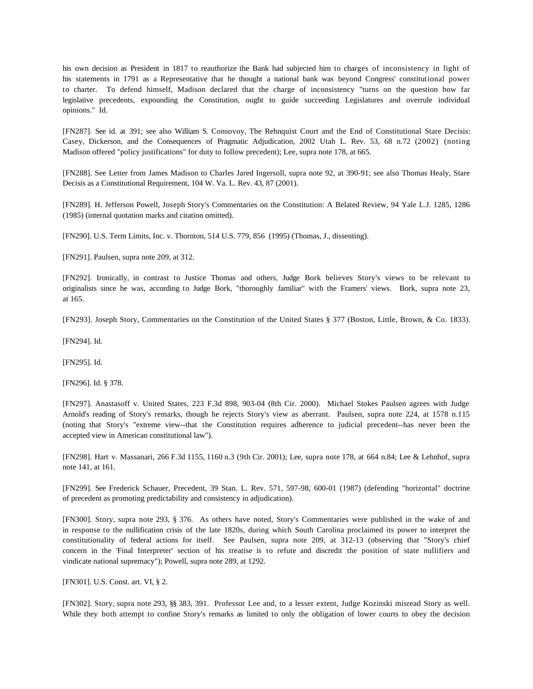his own decision as President in 1817 to reauthorize the Bank had subjected him to charges of inconsistency in light of his statements in 1791 as a Representative that he thought a national bank was beyond Congress' constitutional power to charter. To defend himself, Madison declared that the charge of inconsistency "turns on the question how far legislative precedents, expounding the Constitution, ought to guide succeeding Legislatures and overrule individual opinions." Id.

[FN287]. See id. at 391; see also William S. Consovoy, The Rehnquist Court and the End of Constitutional Stare Decisis: Casey, Dickerson, and the Consequences of Pragmatic Adjudication, 2002 Utah L. Rev. 53, 68 n.72 (2002) (noting Madison offered "policy justifications" for duty to follow precedent); Lee, supra note 178, at 665.

[FN288]. See Letter from James Madison to Charles Jared Ingersoll, supra note 92, at 390-91; see also Thomas Healy, Stare Decisis as a Constitutional Requirement, 104 W. Va. L. Rev. 43, 87 (2001).

[FN289]. H. Jefferson Powell, Joseph Story's Commentaries on the Constitution: A Belated Review, 94 Yale L.J. 1285, 1286 (1985) (internal quotation marks and citation omitted).

[FN290]. U.S. Term Limits, Inc. v. Thornton, 514 U.S. 779, 856 (1995) (Thomas, J., dissenting).

[FN291]. Paulsen, supra note 209, at 312.

[FN292]. Ironically, in contrast to Justice Thomas and others, Judge Bork believes Story's views to be relevant to originalists since he was, according to Judge Bork, "thoroughly familiar" with the Framers' views. Bork, supra note 23, at 165.

[FN293]. Joseph Story, Commentaries on the Constitution of the United States § 377 (Boston, Little, Brown, & Co. 1833).

[FN294]. Id.

[FN295]. Id.

[FN296]. Id. § 378.

[FN297]. Anastasoff v. United States, 223 F.3d 898, 903-04 (8th Cir. 2000). Michael Stokes Paulsen agrees with Judge Arnold's reading of Story's remarks, though he rejects Story's view as aberrant. Paulsen, supra note 224, at 1578 n.115 (noting that Story's "extreme view--that the Constitution requires adherence to judicial precedent--has never been the accepted view in American constitutional law").

[FN298]. Hart v. Massanari, 266 F.3d 1155, 1160 n.3 (9th Cir. 2001); Lee, supra note 178, at 664 n.84; Lee & Lehnhof, supra note 141, at 161.

[FN299]. See Frederick Schauer, Precedent, 39 Stan. L. Rev. 571, 597-98, 600-01 (1987) (defending "horizontal" doctrine of precedent as promoting predictability and consistency in adjudication).

[FN300]. Story, supra note 293, § 376. As others have noted, Story's Commentaries were published in the wake of and in response to the nullification crisis of the late 1820s, during which South Carolina proclaimed its power to interpret the constitutionality of federal actions for itself. See Paulsen, supra note 209, at 312-13 (observing that "Story's chief concern in the 'Final Interpreter' section of his treatise is to refute and discredit the position of state nullifiers and vindicate national supremacy"); Powell, supra note 289, at 1292.

[FN301]. U.S. Const. art. VI, § 2.

[FN302]. Story, supra note 293, §§ 383, 391. Professor Lee and, to a lesser extent, Judge Kozinski misread Story as well. While they both attempt to confine Story's remarks as limited to only the obligation of lower courts to obey the decision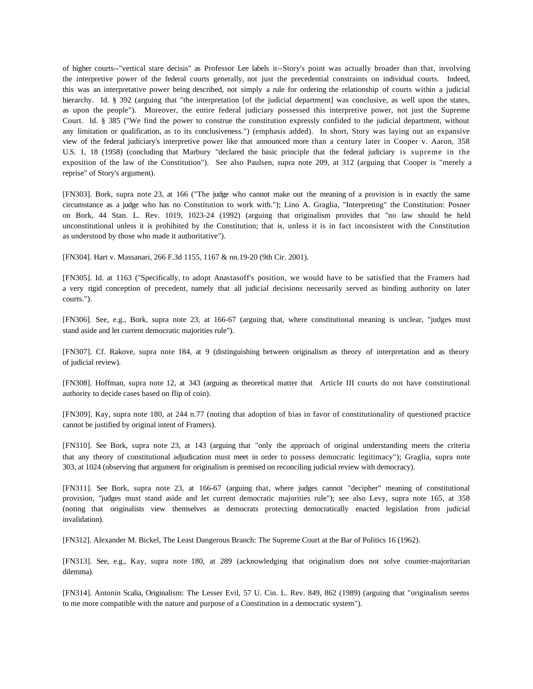of higher courts--"vertical stare decisis" as Professor Lee labels it--Story's point was actually broader than that, involving the interpretive power of the federal courts generally, not just the precedential constraints on individual courts. Indeed, this was an interpretative power being described, not simply a rule for ordering the relationship of courts within a judicial hierarchy. Id. § 392 (arguing that "the interpretation [of the judicial department] was conclusive, as well upon the states, as upon the people"). Moreover, the entire federal judiciary possessed this interpretive power, not just the Supreme Court. Id. § 385 ("We find the power to construe the constitution expressly confided to the judicial department, without any limitation or qualification, as to its conclusiveness.") (emphasis added). In short, Story was laying out an expansive view of the federal judiciary's interpretive power like that announced more than a century later in Cooper v. Aaron, 358 U.S. 1, 18 (1958) (concluding that Marbury "declared the basic principle that the federal judiciary is supreme in the exposition of the law of the Constitution"). See also Paulsen, supra note 209, at 312 (arguing that Cooper is "merely a reprise" of Story's argument).

[FN303]. Bork, supra note 23, at 166 ("The judge who cannot make out the meaning of a provision is in exactly the same circumstance as a judge who has no Constitution to work with."); Lino A. Graglia, "Interpreting" the Constitution: Posner on Bork, 44 Stan. L. Rev. 1019, 1023-24 (1992) (arguing that originalism provides that "no law should be held unconstitutional unless it is prohibited by the Constitution; that is, unless it is in fact inconsistent with the Constitution as understood by those who made it authoritative").

[FN304]. Hart v. Massanari, 266 F.3d 1155, 1167 & nn.19-20 (9th Cir. 2001).

[FN305]. Id. at 1163 ("Specifically, to adopt Anastasoff's position, we would have to be satisfied that the Framers had a very rigid conception of precedent, namely that all judicial decisions necessarily served as binding authority on later courts.").

[FN306]. See, e.g., Bork, supra note 23, at 166-67 (arguing that, where constitutional meaning is unclear, "judges must stand aside and let current democratic majorities rule").

[FN307]. Cf. Rakove, supra note 184, at 9 (distinguishing between originalism as theory of interpretation and as theory of judicial review).

[FN308]. Hoffman, supra note 12, at 343 (arguing as theoretical matter that Article III courts do not have constitutional authority to decide cases based on flip of coin).

[FN309]. Kay, supra note 180, at 244 n.77 (noting that adoption of bias in favor of constitutionality of questioned practice cannot be justified by original intent of Framers).

[FN310]. See Bork, supra note 23, at 143 (arguing that "only the approach of original understanding meets the criteria that any theory of constitutional adjudication must meet in order to possess democratic legitimacy"); Graglia, supra note 303, at 1024 (observing that argument for originalism is premised on reconciling judicial review with democracy).

[FN311]. See Bork, supra note 23, at 166-67 (arguing that, where judges cannot "decipher" meaning of constitutional provision, "judges must stand aside and let current democratic majorities rule"); see also Levy, supra note 165, at 358 (noting that originalists view themselves as democrats protecting democratically enacted legislation from judicial invalidation).

[FN312]. Alexander M. Bickel, The Least Dangerous Branch: The Supreme Court at the Bar of Politics 16 (1962).

[FN313]. See, e.g., Kay, supra note 180, at 289 (acknowledging that originalism does not solve counter-majoritarian dilemma).

[FN314]. Antonin Scalia, Originalism: The Lesser Evil, 57 U. Cin. L. Rev. 849, 862 (1989) (arguing that "originalism seems to me more compatible with the nature and purpose of a Constitution in a democratic system").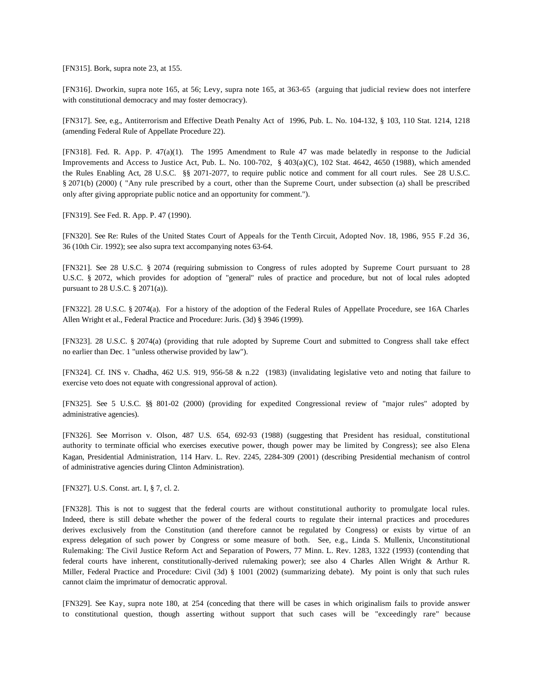[FN315]. Bork, supra note 23, at 155.

[FN316]. Dworkin, supra note 165, at 56; Levy, supra note 165, at 363-65 (arguing that judicial review does not interfere with constitutional democracy and may foster democracy).

[FN317]. See, e.g., Antiterrorism and Effective Death Penalty Act of 1996, Pub. L. No. 104-132, § 103, 110 Stat. 1214, 1218 (amending Federal Rule of Appellate Procedure 22).

[FN318]. Fed. R. App. P. 47(a)(1). The 1995 Amendment to Rule 47 was made belatedly in response to the Judicial Improvements and Access to Justice Act, Pub. L. No. 100-702, § 403(a)(C), 102 Stat. 4642, 4650 (1988), which amended the Rules Enabling Act, 28 U.S.C. §§ 2071-2077, to require public notice and comment for all court rules. See 28 U.S.C. § 2071(b) (2000) ( "Any rule prescribed by a court, other than the Supreme Court, under subsection (a) shall be prescribed only after giving appropriate public notice and an opportunity for comment.").

[FN319]. See Fed. R. App. P. 47 (1990).

[FN320]. See Re: Rules of the United States Court of Appeals for the Tenth Circuit, Adopted Nov. 18, 1986, 955 F.2d 36, 36 (10th Cir. 1992); see also supra text accompanying notes 63-64.

[FN321]. See 28 U.S.C. § 2074 (requiring submission to Congress of rules adopted by Supreme Court pursuant to 28 U.S.C. § 2072, which provides for adoption of "general" rules of practice and procedure, but not of local rules adopted pursuant to 28 U.S.C. § 2071(a)).

[FN322]. 28 U.S.C. § 2074(a). For a history of the adoption of the Federal Rules of Appellate Procedure, see 16A Charles Allen Wright et al., Federal Practice and Procedure: Juris. (3d) § 3946 (1999).

[FN323]. 28 U.S.C. § 2074(a) (providing that rule adopted by Supreme Court and submitted to Congress shall take effect no earlier than Dec. 1 "unless otherwise provided by law").

[FN324]. Cf. INS v. Chadha, 462 U.S. 919, 956-58 & n.22 (1983) (invalidating legislative veto and noting that failure to exercise veto does not equate with congressional approval of action).

[FN325]. See 5 U.S.C. §§ 801-02 (2000) (providing for expedited Congressional review of "major rules" adopted by administrative agencies).

[FN326]. See Morrison v. Olson, 487 U.S. 654, 692-93 (1988) (suggesting that President has residual, constitutional authority to terminate official who exercises executive power, though power may be limited by Congress); see also Elena Kagan, Presidential Administration, 114 Harv. L. Rev. 2245, 2284-309 (2001) (describing Presidential mechanism of control of administrative agencies during Clinton Administration).

[FN327]. U.S. Const. art. I, § 7, cl. 2.

[FN328]. This is not to suggest that the federal courts are without constitutional authority to promulgate local rules. Indeed, there is still debate whether the power of the federal courts to regulate their internal practices and procedures derives exclusively from the Constitution (and therefore cannot be regulated by Congress) or exists by virtue of an express delegation of such power by Congress or some measure of both. See, e.g., Linda S. Mullenix, Unconstitutional Rulemaking: The Civil Justice Reform Act and Separation of Powers, 77 Minn. L. Rev. 1283, 1322 (1993) (contending that federal courts have inherent, constitutionally-derived rulemaking power); see also 4 Charles Allen Wright & Arthur R. Miller, Federal Practice and Procedure: Civil (3d) § 1001 (2002) (summarizing debate). My point is only that such rules cannot claim the imprimatur of democratic approval.

[FN329]. See Kay, supra note 180, at 254 (conceding that there will be cases in which originalism fails to provide answer to constitutional question, though asserting without support that such cases will be "exceedingly rare" because